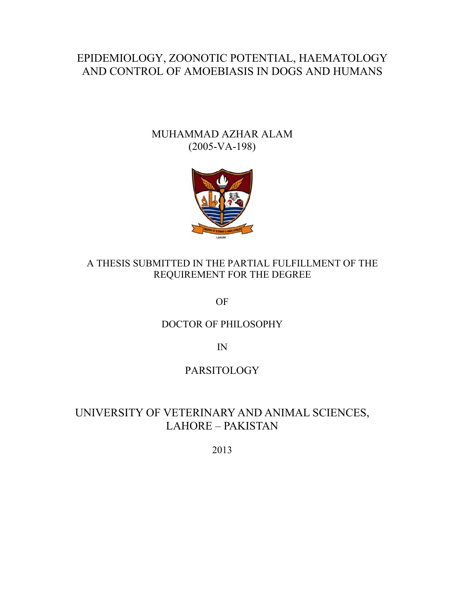# EPIDEMIOLOGY, ZOONOTIC POTENTIAL, HAEMATOLOGY AND CONTROL OF AMOEBIASIS IN DOGS AND HUMANS

## MUHAMMAD AZHAR ALAM (2005-VA-198)



### A THESIS SUBMITTED IN THE PARTIAL FULFILLMENT OF THE REQUIREMENT FOR THE DEGREE

OF

### DOCTOR OF PHILOSOPHY

IN

## PARSITOLOGY

# UNIVERSITY OF VETERINARY AND ANIMAL SCIENCES, LAHORE – PAKISTAN

2013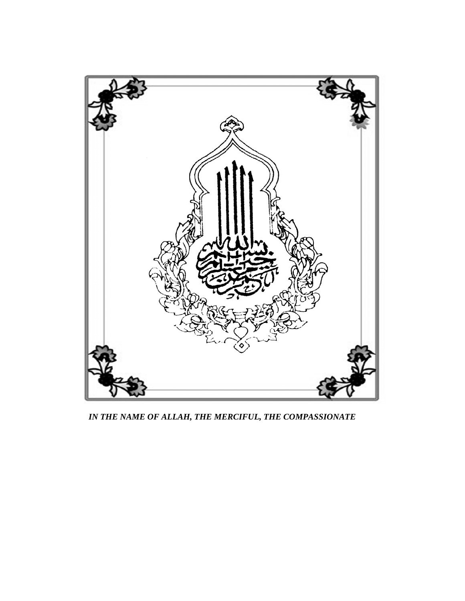

*IN THE NAME OF ALLAH, THE MERCIFUL, THE COMPASSIONATE*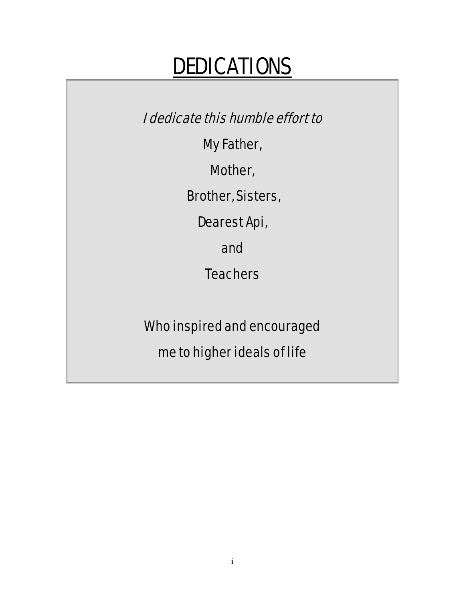# DEDICATIONS

I dedicate this humble effort to

My Father,

Mother,

Brother, Sisters,

Dearest Api,

and

**Teachers** 

Who inspired and encouraged

me to higher ideals of life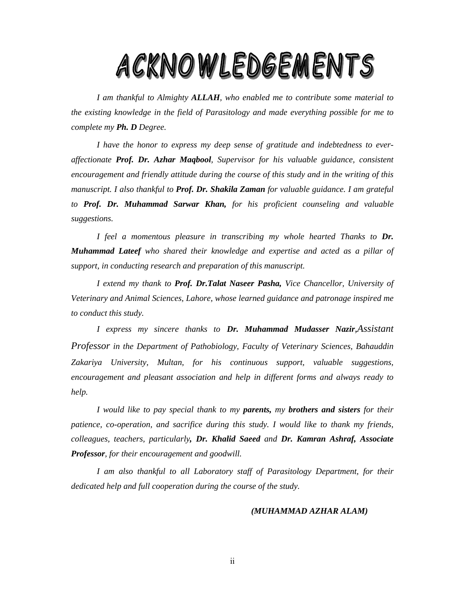# ACKNOWLEDGEMENTS

*I am thankful to Almighty ALLAH, who enabled me to contribute some material to the existing knowledge in the field of Parasitology and made everything possible for me to complete my Ph. D Degree.* 

*I have the honor to express my deep sense of gratitude and indebtedness to everaffectionate Prof. Dr. Azhar Maqbool, Supervisor for his valuable guidance, consistent encouragement and friendly attitude during the course of this study and in the writing of this manuscript. I also thankful to Prof. Dr. Shakila Zaman for valuable guidance. I am grateful to Prof. Dr. Muhammad Sarwar Khan, for his proficient counseling and valuable suggestions.* 

*I feel a momentous pleasure in transcribing my whole hearted Thanks to Dr. Muhammad Lateef who shared their knowledge and expertise and acted as a pillar of support, in conducting research and preparation of this manuscript.* 

*I extend my thank to Prof. Dr.Talat Naseer Pasha, Vice Chancellor, University of Veterinary and Animal Sciences, Lahore, whose learned guidance and patronage inspired me to conduct this study.* 

 *I express my sincere thanks to Dr. Muhammad Mudasser Nazir,Assistant Professor in the Department of Pathobiology, Faculty of Veterinary Sciences, Bahauddin Zakariya University, Multan, for his continuous support, valuable suggestions, encouragement and pleasant association and help in different forms and always ready to help.* 

*I would like to pay special thank to my parents, my brothers and sisters for their patience, co-operation, and sacrifice during this study. I would like to thank my friends, colleagues, teachers, particularly, Dr. Khalid Saeed and Dr. Kamran Ashraf, Associate Professor, for their encouragement and goodwill.* 

*I am also thankful to all Laboratory staff of Parasitology Department, for their dedicated help and full cooperation during the course of the study.* 

#### *(MUHAMMAD AZHAR ALAM)*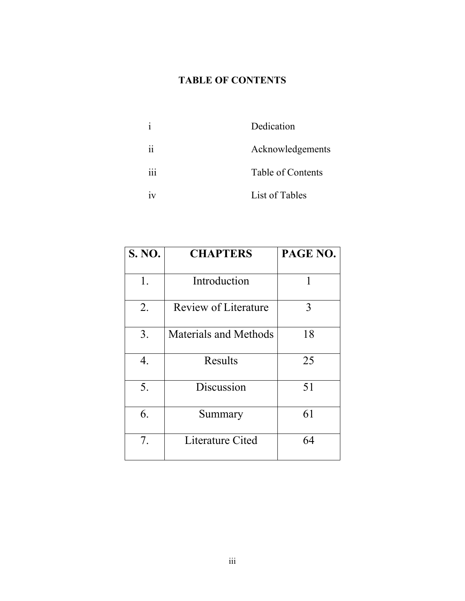# **TABLE OF CONTENTS**

|     | Dedication        |
|-----|-------------------|
| 11  | Acknowledgements  |
| 111 | Table of Contents |
| 1 V | List of Tables    |

| S. NO. | <b>CHAPTERS</b>              | PAGE NO. |
|--------|------------------------------|----------|
| 1.     | Introduction                 | 1        |
| 2.     | <b>Review of Literature</b>  | 3        |
| 3.     | <b>Materials and Methods</b> | 18       |
| 4.     | Results                      | 25       |
| 5.     | Discussion                   | 51       |
| 6.     | Summary                      | 61       |
| 7.     | Literature Cited             | 64       |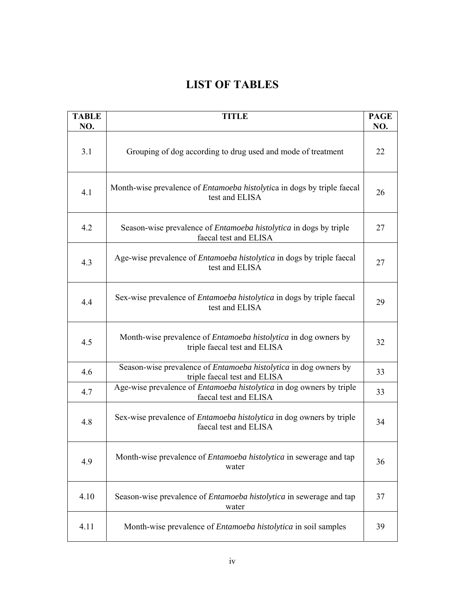# **LIST OF TABLES**

| <b>TABLE</b><br>NO. | <b>TITLE</b>                                                                                           | <b>PAGE</b><br>NO. |  |  |  |  |
|---------------------|--------------------------------------------------------------------------------------------------------|--------------------|--|--|--|--|
| 3.1                 | Grouping of dog according to drug used and mode of treatment                                           |                    |  |  |  |  |
| 4.1                 | Month-wise prevalence of <i>Entamoeba histolytica</i> in dogs by triple faecal<br>test and ELISA       | 26                 |  |  |  |  |
| 4.2                 | Season-wise prevalence of <i>Entamoeba histolytica</i> in dogs by triple<br>faecal test and ELISA      | 27                 |  |  |  |  |
| 4.3                 | Age-wise prevalence of <i>Entamoeba histolytica</i> in dogs by triple faecal<br>test and ELISA         | 27                 |  |  |  |  |
| 4.4                 | Sex-wise prevalence of <i>Entamoeba histolytica</i> in dogs by triple faecal<br>test and ELISA         | 29                 |  |  |  |  |
| 4.5                 | Month-wise prevalence of <i>Entamoeba histolytica</i> in dog owners by<br>triple faecal test and ELISA | 32                 |  |  |  |  |
| 4.6                 | Season-wise prevalence of Entamoeba histolytica in dog owners by<br>triple faecal test and ELISA       | 33                 |  |  |  |  |
| 4.7                 | Age-wise prevalence of <i>Entamoeba histolytica</i> in dog owners by triple<br>faecal test and ELISA   | 33                 |  |  |  |  |
| 4.8                 | Sex-wise prevalence of <i>Entamoeba histolytica</i> in dog owners by triple<br>faecal test and ELISA   | 34                 |  |  |  |  |
| 4.9                 | Month-wise prevalence of <i>Entamoeba histolytica</i> in sewerage and tap<br>water                     | 36                 |  |  |  |  |
| 4.10                | Season-wise prevalence of <i>Entamoeba histolytica</i> in sewerage and tap<br>water                    | 37                 |  |  |  |  |
| 4.11                | Month-wise prevalence of <i>Entamoeba histolytica</i> in soil samples                                  | 39                 |  |  |  |  |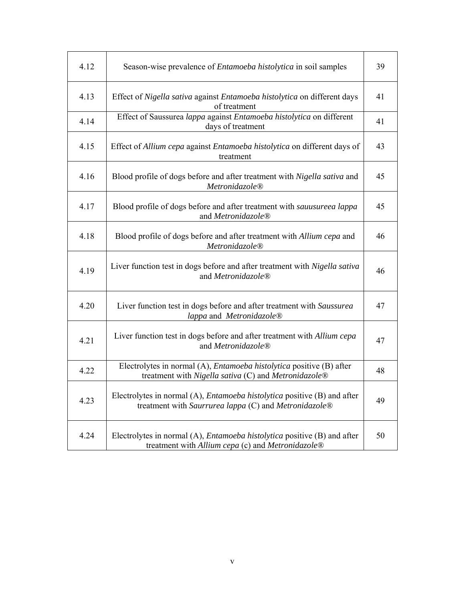| 4.12 | Season-wise prevalence of <i>Entamoeba histolytica</i> in soil samples                                                                   | 39 |
|------|------------------------------------------------------------------------------------------------------------------------------------------|----|
| 4.13 | Effect of Nigella sativa against Entamoeba histolytica on different days<br>of treatment                                                 | 41 |
| 4.14 | Effect of Saussurea lappa against Entamoeba histolytica on different<br>days of treatment                                                | 41 |
| 4.15 | Effect of Allium cepa against Entamoeba histolytica on different days of<br>treatment                                                    | 43 |
| 4.16 | Blood profile of dogs before and after treatment with Nigella sativa and<br>Metronidazole <sup>®</sup>                                   | 45 |
| 4.17 | Blood profile of dogs before and after treatment with sauusureea lappa<br>and Metronidazole <sup>®</sup>                                 | 45 |
| 4.18 | Blood profile of dogs before and after treatment with Allium cepa and<br>Metronidazole®                                                  | 46 |
| 4.19 | Liver function test in dogs before and after treatment with Nigella sativa<br>and Metronidazole <sup>®</sup>                             | 46 |
| 4.20 | Liver function test in dogs before and after treatment with Saussurea<br>lappa and Metronidazole®                                        | 47 |
| 4.21 | Liver function test in dogs before and after treatment with Allium cepa<br>and Metronidazole <sup>®</sup>                                | 47 |
| 4.22 | Electrolytes in normal (A), <i>Entamoeba histolytica</i> positive (B) after<br>treatment with Nigella sativa (C) and Metronidazole®      | 48 |
| 4.23 | Electrolytes in normal (A), <i>Entamoeba histolytica</i> positive (B) and after<br>treatment with Saurrurea lappa (C) and Metronidazole® | 49 |
| 4.24 | Electrolytes in normal (A), <i>Entamoeba histolytica</i> positive (B) and after<br>treatment with Allium cepa (c) and Metronidazole®     | 50 |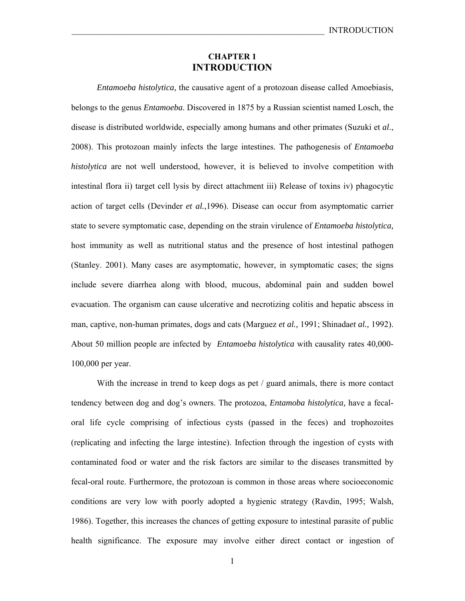#### **CHAPTER 1 INTRODUCTION**

*Entamoeba histolytica,* the causative agent of a protozoan disease called Amoebiasis, belongs to the genus *Entamoeba*. Discovered in 1875 by a Russian scientist named Losch, the disease is distributed worldwide, especially among humans and other primates (Suzuki et *al*., 2008). This protozoan mainly infects the large intestines. The pathogenesis of *Entamoeba histolytica* are not well understood, however, it is believed to involve competition with intestinal flora ii) target cell lysis by direct attachment iii) Release of toxins iv) phagocytic action of target cells (Devinder *et al.,*1996). Disease can occur from asymptomatic carrier state to severe symptomatic case, depending on the strain virulence of *Entamoeba histolytica,* host immunity as well as nutritional status and the presence of host intestinal pathogen (Stanley. 2001). Many cases are asymptomatic, however, in symptomatic cases; the signs include severe diarrhea along with blood, mucous, abdominal pain and sudden bowel evacuation. The organism can cause ulcerative and necrotizing colitis and hepatic abscess in man, captive, non-human primates, dogs and cats (Marguez *et al.,* 1991; Shinada*et al.,* 1992). About 50 million people are infected by *Entamoeba histolytica* with causality rates 40,000- 100,000 per year.

With the increase in trend to keep dogs as pet / guard animals, there is more contact tendency between dog and dog's owners. The protozoa, *Entamoba histolytica,* have a fecaloral life cycle comprising of infectious cysts (passed in the feces) and trophozoites (replicating and infecting the large intestine). Infection through the ingestion of cysts with contaminated food or water and the risk factors are similar to the diseases transmitted by fecal-oral route. Furthermore, the protozoan is common in those areas where socioeconomic conditions are very low with poorly adopted a hygienic strategy (Ravdin, 1995; Walsh, 1986). Together, this increases the chances of getting exposure to intestinal parasite of public health significance. The exposure may involve either direct contact or ingestion of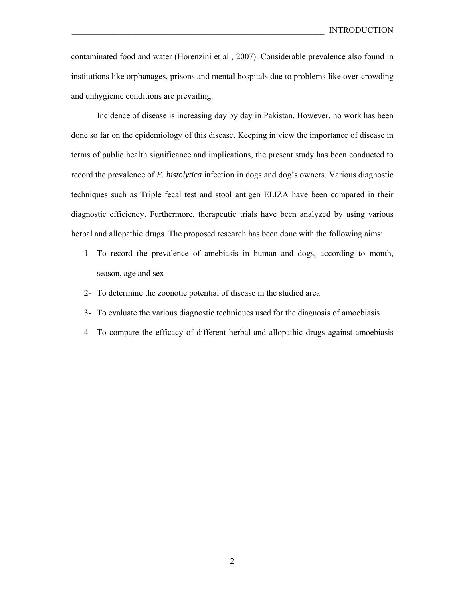contaminated food and water (Horenzini et al., 2007). Considerable prevalence also found in institutions like orphanages, prisons and mental hospitals due to problems like over-crowding and unhygienic conditions are prevailing.

Incidence of disease is increasing day by day in Pakistan. However, no work has been done so far on the epidemiology of this disease. Keeping in view the importance of disease in terms of public health significance and implications, the present study has been conducted to record the prevalence of *E. histolytica* infection in dogs and dog's owners. Various diagnostic techniques such as Triple fecal test and stool antigen ELIZA have been compared in their diagnostic efficiency. Furthermore, therapeutic trials have been analyzed by using various herbal and allopathic drugs. The proposed research has been done with the following aims:

- 1- To record the prevalence of amebiasis in human and dogs, according to month, season, age and sex
- 2- To determine the zoonotic potential of disease in the studied area
- 3- To evaluate the various diagnostic techniques used for the diagnosis of amoebiasis
- 4- To compare the efficacy of different herbal and allopathic drugs against amoebiasis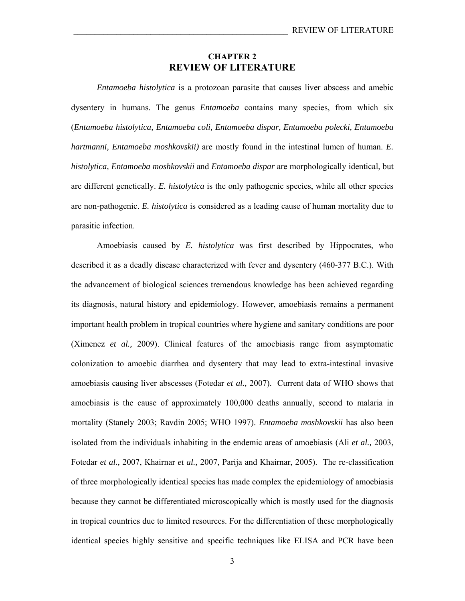#### **CHAPTER 2 REVIEW OF LITERATURE**

*Entamoeba histolytica* is a protozoan parasite that causes liver abscess and amebic dysentery in humans. The genus *Entamoeba* contains many species, from which six (*Entamoeba histolytica, Entamoeba coli, Entamoeba dispar, Entamoeba polecki, Entamoeba hartmanni, Entamoeba moshkovskii)* are mostly found in the intestinal lumen of human. *E. histolytica, Entamoeba moshkovskii* and *Entamoeba dispar* are morphologically identical, but are different genetically. *E. histolytica* is the only pathogenic species, while all other species are non-pathogenic. *E. histolytica* is considered as a leading cause of human mortality due to parasitic infection.

Amoebiasis caused by *E. histolytica* was first described by Hippocrates, who described it as a deadly disease characterized with fever and dysentery (460-377 B.C.). With the advancement of biological sciences tremendous knowledge has been achieved regarding its diagnosis, natural history and epidemiology. However, amoebiasis remains a permanent important health problem in tropical countries where hygiene and sanitary conditions are poor (Ximenez *et al.,* 2009). Clinical features of the amoebiasis range from asymptomatic colonization to amoebic diarrhea and dysentery that may lead to extra-intestinal invasive amoebiasis causing liver abscesses (Fotedar *et al.,* 2007). Current data of WHO shows that amoebiasis is the cause of approximately 100,000 deaths annually, second to malaria in mortality (Stanely 2003; Ravdin 2005; WHO 1997). *Entamoeba moshkovskii* has also been isolated from the individuals inhabiting in the endemic areas of amoebiasis (Ali *et al.,* 2003, Fotedar *et al.,* 2007, Khairnar *et al.,* 2007, Parija and Khairnar, 2005). The re-classification of three morphologically identical species has made complex the epidemiology of amoebiasis because they cannot be differentiated microscopically which is mostly used for the diagnosis in tropical countries due to limited resources. For the differentiation of these morphologically identical species highly sensitive and specific techniques like ELISA and PCR have been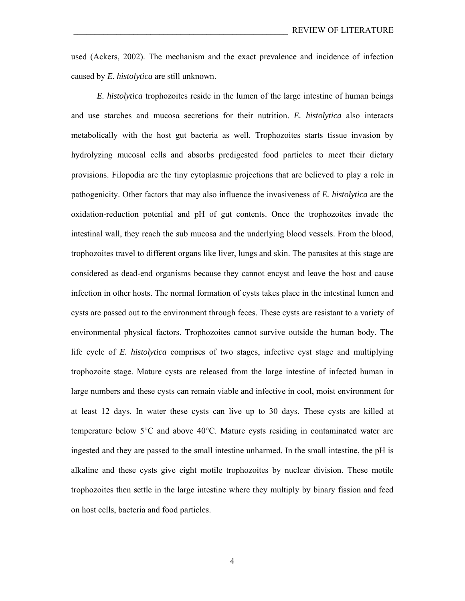used (Ackers, 2002). The mechanism and the exact prevalence and incidence of infection caused by *E. histolytica* are still unknown.

*E. histolytica* trophozoites reside in the lumen of the large intestine of human beings and use starches and mucosa secretions for their nutrition. *E. histolytica* also interacts metabolically with the host gut bacteria as well. Trophozoites starts tissue invasion by hydrolyzing mucosal cells and absorbs predigested food particles to meet their dietary provisions. Filopodia are the tiny cytoplasmic projections that are believed to play a role in pathogenicity. Other factors that may also influence the invasiveness of *E. histolytica* are the oxidation-reduction potential and pH of gut contents. Once the trophozoites invade the intestinal wall, they reach the sub mucosa and the underlying blood vessels. From the blood, trophozoites travel to different organs like liver, lungs and skin. The parasites at this stage are considered as dead-end organisms because they cannot encyst and leave the host and cause infection in other hosts. The normal formation of cysts takes place in the intestinal lumen and cysts are passed out to the environment through feces. These cysts are resistant to a variety of environmental physical factors. Trophozoites cannot survive outside the human body. The life cycle of *E. histolytica* comprises of two stages, infective cyst stage and multiplying trophozoite stage. Mature cysts are released from the large intestine of infected human in large numbers and these cysts can remain viable and infective in cool, moist environment for at least 12 days. In water these cysts can live up to 30 days. These cysts are killed at temperature below 5°C and above 40°C. Mature cysts residing in contaminated water are ingested and they are passed to the small intestine unharmed. In the small intestine, the pH is alkaline and these cysts give eight motile trophozoites by nuclear division. These motile trophozoites then settle in the large intestine where they multiply by binary fission and feed on host cells, bacteria and food particles.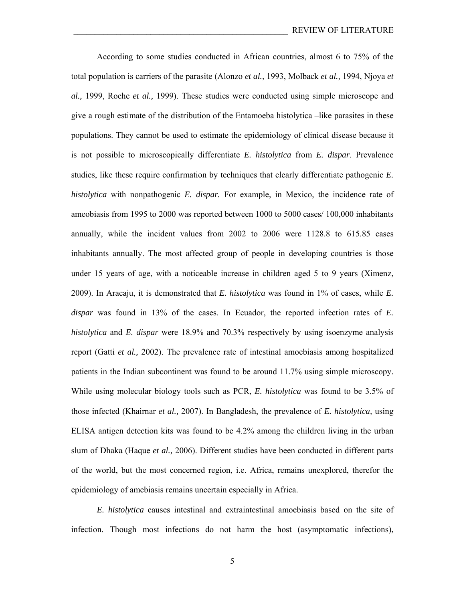According to some studies conducted in African countries, almost 6 to 75% of the total population is carriers of the parasite (Alonzo *et al.,* 1993, Molback *et al.,* 1994, Njoya *et al.,* 1999, Roche *et al.,* 1999). These studies were conducted using simple microscope and give a rough estimate of the distribution of the Entamoeba histolytica –like parasites in these populations. They cannot be used to estimate the epidemiology of clinical disease because it is not possible to microscopically differentiate *E. histolytica* from *E. dispar*. Prevalence studies, like these require confirmation by techniques that clearly differentiate pathogenic *E. histolytica* with nonpathogenic *E. dispar.* For example, in Mexico, the incidence rate of ameobiasis from 1995 to 2000 was reported between 1000 to 5000 cases/ 100,000 inhabitants annually, while the incident values from 2002 to 2006 were 1128.8 to 615.85 cases inhabitants annually. The most affected group of people in developing countries is those under 15 years of age, with a noticeable increase in children aged 5 to 9 years (Ximenz, 2009). In Aracaju, it is demonstrated that *E. histolytica* was found in 1% of cases, while *E. dispar* was found in 13% of the cases. In Ecuador, the reported infection rates of *E. histolytica* and *E. dispar* were 18.9% and 70.3% respectively by using isoenzyme analysis report (Gatti *et al.,* 2002). The prevalence rate of intestinal amoebiasis among hospitalized patients in the Indian subcontinent was found to be around 11.7% using simple microscopy. While using molecular biology tools such as PCR, *E. histolytica* was found to be 3.5% of those infected (Khairnar *et al.,* 2007). In Bangladesh, the prevalence of *E. histolytica,* using ELISA antigen detection kits was found to be 4.2% among the children living in the urban slum of Dhaka (Haque *et al.,* 2006). Different studies have been conducted in different parts of the world, but the most concerned region, i.e. Africa, remains unexplored, therefor the epidemiology of amebiasis remains uncertain especially in Africa.

*E. histolytica* causes intestinal and extraintestinal amoebiasis based on the site of infection. Though most infections do not harm the host (asymptomatic infections),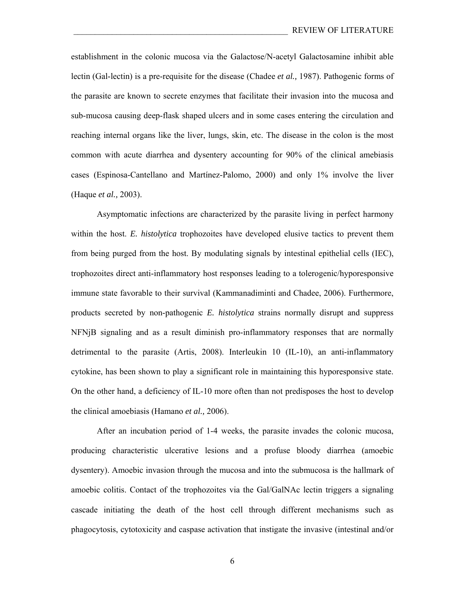establishment in the colonic mucosa via the Galactose/N-acetyl Galactosamine inhibit able lectin (Gal-lectin) is a pre-requisite for the disease (Chadee *et al.,* 1987). Pathogenic forms of the parasite are known to secrete enzymes that facilitate their invasion into the mucosa and sub-mucosa causing deep-flask shaped ulcers and in some cases entering the circulation and reaching internal organs like the liver, lungs, skin, etc. The disease in the colon is the most common with acute diarrhea and dysentery accounting for 90% of the clinical amebiasis cases (Espinosa-Cantellano and Martínez-Palomo, 2000) and only 1% involve the liver (Haque *et al.,* 2003).

Asymptomatic infections are characterized by the parasite living in perfect harmony within the host. *E. histolytica* trophozoites have developed elusive tactics to prevent them from being purged from the host. By modulating signals by intestinal epithelial cells (IEC), trophozoites direct anti-inflammatory host responses leading to a tolerogenic/hyporesponsive immune state favorable to their survival (Kammanadiminti and Chadee, 2006). Furthermore, products secreted by non-pathogenic *E. histolytica* strains normally disrupt and suppress NFNjB signaling and as a result diminish pro-inflammatory responses that are normally detrimental to the parasite (Artis, 2008). Interleukin 10 (IL-10), an anti-inflammatory cytokine, has been shown to play a significant role in maintaining this hyporesponsive state. On the other hand, a deficiency of IL-10 more often than not predisposes the host to develop the clinical amoebiasis (Hamano *et al.,* 2006).

After an incubation period of 1-4 weeks, the parasite invades the colonic mucosa, producing characteristic ulcerative lesions and a profuse bloody diarrhea (amoebic dysentery). Amoebic invasion through the mucosa and into the submucosa is the hallmark of amoebic colitis. Contact of the trophozoites via the Gal/GalNAc lectin triggers a signaling cascade initiating the death of the host cell through different mechanisms such as phagocytosis, cytotoxicity and caspase activation that instigate the invasive (intestinal and/or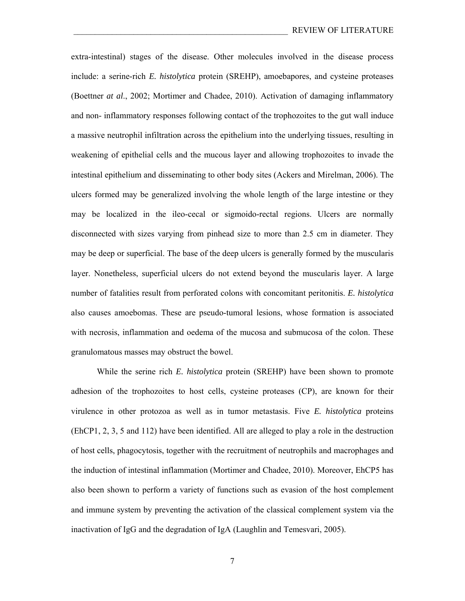extra-intestinal) stages of the disease. Other molecules involved in the disease process include: a serine-rich *E. histolytica* protein (SREHP), amoebapores, and cysteine proteases (Boettner *at al*., 2002; Mortimer and Chadee, 2010). Activation of damaging inflammatory and non- inflammatory responses following contact of the trophozoites to the gut wall induce a massive neutrophil infiltration across the epithelium into the underlying tissues, resulting in weakening of epithelial cells and the mucous layer and allowing trophozoites to invade the intestinal epithelium and disseminating to other body sites (Ackers and Mirelman, 2006). The ulcers formed may be generalized involving the whole length of the large intestine or they may be localized in the ileo-cecal or sigmoido-rectal regions. Ulcers are normally disconnected with sizes varying from pinhead size to more than 2.5 cm in diameter. They may be deep or superficial. The base of the deep ulcers is generally formed by the muscularis layer. Nonetheless, superficial ulcers do not extend beyond the muscularis layer. A large number of fatalities result from perforated colons with concomitant peritonitis. *E. histolytica* also causes amoebomas. These are pseudo-tumoral lesions, whose formation is associated with necrosis, inflammation and oedema of the mucosa and submucosa of the colon. These granulomatous masses may obstruct the bowel.

While the serine rich *E. histolytica* protein (SREHP) have been shown to promote adhesion of the trophozoites to host cells, cysteine proteases (CP), are known for their virulence in other protozoa as well as in tumor metastasis. Five *E. histolytica* proteins (EhCP1, 2, 3, 5 and 112) have been identified. All are alleged to play a role in the destruction of host cells, phagocytosis, together with the recruitment of neutrophils and macrophages and the induction of intestinal inflammation (Mortimer and Chadee, 2010). Moreover, EhCP5 has also been shown to perform a variety of functions such as evasion of the host complement and immune system by preventing the activation of the classical complement system via the inactivation of IgG and the degradation of IgA (Laughlin and Temesvari, 2005).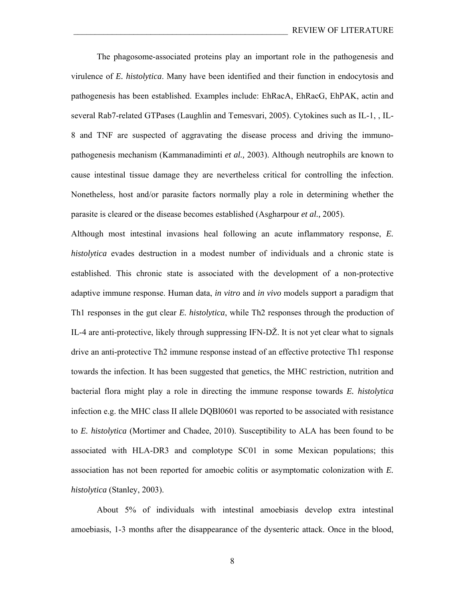The phagosome-associated proteins play an important role in the pathogenesis and virulence of *E. histolytica*. Many have been identified and their function in endocytosis and pathogenesis has been established. Examples include: EhRacA, EhRacG, EhPAK, actin and several Rab7-related GTPases (Laughlin and Temesvari, 2005). Cytokines such as IL-1, , IL-8 and TNF are suspected of aggravating the disease process and driving the immunopathogenesis mechanism (Kammanadiminti *et al.,* 2003). Although neutrophils are known to cause intestinal tissue damage they are nevertheless critical for controlling the infection. Nonetheless, host and/or parasite factors normally play a role in determining whether the parasite is cleared or the disease becomes established (Asgharpour *et al.,* 2005).

Although most intestinal invasions heal following an acute inflammatory response, *E. histolytica* evades destruction in a modest number of individuals and a chronic state is established. This chronic state is associated with the development of a non-protective adaptive immune response. Human data, *in vitro* and *in vivo* models support a paradigm that Th1 responses in the gut clear *E. histolytica*, while Th2 responses through the production of IL-4 are anti-protective, likely through suppressing IFN-DŽ. It is not yet clear what to signals drive an anti-protective Th2 immune response instead of an effective protective Th1 response towards the infection. It has been suggested that genetics, the MHC restriction, nutrition and bacterial flora might play a role in directing the immune response towards *E. histolytica* infection e.g. the MHC class II allele DQBl0601 was reported to be associated with resistance to *E. histolytica* (Mortimer and Chadee, 2010). Susceptibility to ALA has been found to be associated with HLA-DR3 and complotype SC01 in some Mexican populations; this association has not been reported for amoebic colitis or asymptomatic colonization with *E. histolytica* (Stanley, 2003).

About 5% of individuals with intestinal amoebiasis develop extra intestinal amoebiasis, 1-3 months after the disappearance of the dysenteric attack. Once in the blood,

8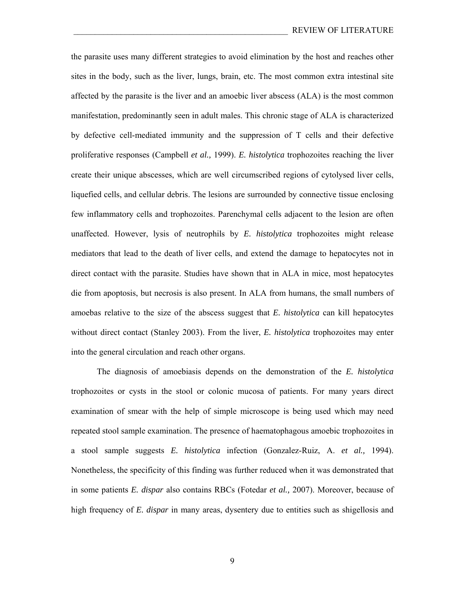the parasite uses many different strategies to avoid elimination by the host and reaches other sites in the body, such as the liver, lungs, brain, etc. The most common extra intestinal site affected by the parasite is the liver and an amoebic liver abscess (ALA) is the most common manifestation, predominantly seen in adult males. This chronic stage of ALA is characterized by defective cell-mediated immunity and the suppression of T cells and their defective proliferative responses (Campbell *et al.,* 1999). *E. histolytica* trophozoites reaching the liver create their unique abscesses, which are well circumscribed regions of cytolysed liver cells, liquefied cells, and cellular debris. The lesions are surrounded by connective tissue enclosing few inflammatory cells and trophozoites. Parenchymal cells adjacent to the lesion are often unaffected. However, lysis of neutrophils by *E. histolytica* trophozoites might release mediators that lead to the death of liver cells, and extend the damage to hepatocytes not in direct contact with the parasite. Studies have shown that in ALA in mice, most hepatocytes die from apoptosis, but necrosis is also present. In ALA from humans, the small numbers of amoebas relative to the size of the abscess suggest that *E. histolytica* can kill hepatocytes without direct contact (Stanley 2003). From the liver, *E. histolytica* trophozoites may enter into the general circulation and reach other organs.

The diagnosis of amoebiasis depends on the demonstration of the *E. histolytica*  trophozoites or cysts in the stool or colonic mucosa of patients. For many years direct examination of smear with the help of simple microscope is being used which may need repeated stool sample examination. The presence of haematophagous amoebic trophozoites in a stool sample suggests *E. histolytica* infection (Gonzalez-Ruiz, A. *et al.,* 1994). Nonetheless, the specificity of this finding was further reduced when it was demonstrated that in some patients *E. dispar* also contains RBCs (Fotedar *et al.,* 2007). Moreover, because of high frequency of *E. dispar* in many areas, dysentery due to entities such as shigellosis and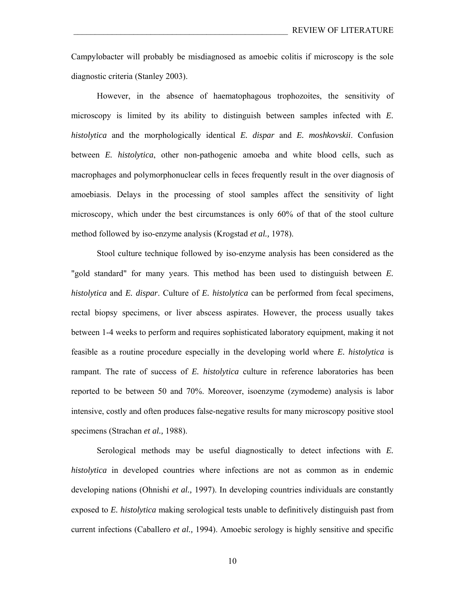Campylobacter will probably be misdiagnosed as amoebic colitis if microscopy is the sole diagnostic criteria (Stanley 2003).

 However, in the absence of haematophagous trophozoites, the sensitivity of microscopy is limited by its ability to distinguish between samples infected with *E. histolytica* and the morphologically identical *E. dispar* and *E. moshkovskii*. Confusion between *E. histolytica*, other non-pathogenic amoeba and white blood cells, such as macrophages and polymorphonuclear cells in feces frequently result in the over diagnosis of amoebiasis. Delays in the processing of stool samples affect the sensitivity of light microscopy, which under the best circumstances is only 60% of that of the stool culture method followed by iso-enzyme analysis (Krogstad *et al.,* 1978).

 Stool culture technique followed by iso-enzyme analysis has been considered as the "gold standard" for many years. This method has been used to distinguish between *E. histolytica* and *E. dispar*. Culture of *E. histolytica* can be performed from fecal specimens, rectal biopsy specimens, or liver abscess aspirates. However, the process usually takes between 1-4 weeks to perform and requires sophisticated laboratory equipment, making it not feasible as a routine procedure especially in the developing world where *E. histolytica* is rampant. The rate of success of *E. histolytica* culture in reference laboratories has been reported to be between 50 and 70%. Moreover, isoenzyme (zymodeme) analysis is labor intensive, costly and often produces false-negative results for many microscopy positive stool specimens (Strachan *et al.,* 1988).

 Serological methods may be useful diagnostically to detect infections with *E. histolytica* in developed countries where infections are not as common as in endemic developing nations (Ohnishi *et al.,* 1997). In developing countries individuals are constantly exposed to *E. histolytica* making serological tests unable to definitively distinguish past from current infections (Caballero *et al.,* 1994). Amoebic serology is highly sensitive and specific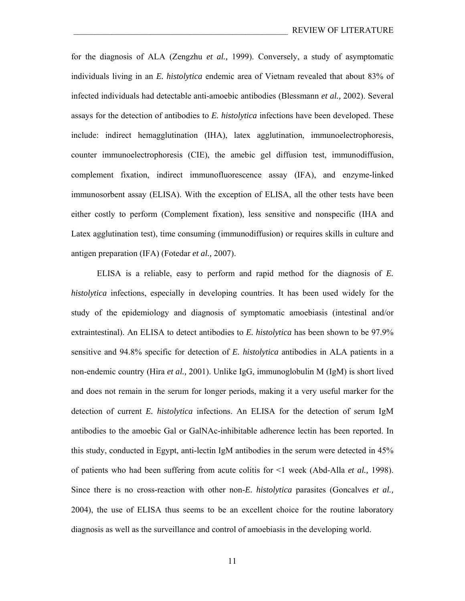for the diagnosis of ALA (Zengzhu *et al.,* 1999). Conversely, a study of asymptomatic individuals living in an *E. histolytica* endemic area of Vietnam revealed that about 83% of infected individuals had detectable anti-amoebic antibodies (Blessmann *et al.,* 2002). Several assays for the detection of antibodies to *E. histolytica* infections have been developed. These include: indirect hemagglutination (IHA), latex agglutination, immunoelectrophoresis, counter immunoelectrophoresis (CIE), the amebic gel diffusion test, immunodiffusion, complement fixation, indirect immunofluorescence assay (IFA), and enzyme-linked immunosorbent assay (ELISA). With the exception of ELISA, all the other tests have been either costly to perform (Complement fixation), less sensitive and nonspecific (IHA and Latex agglutination test), time consuming (immunodiffusion) or requires skills in culture and antigen preparation (IFA) (Fotedar *et al.,* 2007).

ELISA is a reliable, easy to perform and rapid method for the diagnosis of *E. histolytica* infections, especially in developing countries. It has been used widely for the study of the epidemiology and diagnosis of symptomatic amoebiasis (intestinal and/or extraintestinal). An ELISA to detect antibodies to *E. histolytica* has been shown to be 97.9% sensitive and 94.8% specific for detection of *E. histolytica* antibodies in ALA patients in a non-endemic country (Hira *et al.,* 2001). Unlike IgG, immunoglobulin M (IgM) is short lived and does not remain in the serum for longer periods, making it a very useful marker for the detection of current *E. histolytica* infections. An ELISA for the detection of serum IgM antibodies to the amoebic Gal or GalNAc-inhibitable adherence lectin has been reported. In this study, conducted in Egypt, anti-lectin IgM antibodies in the serum were detected in 45% of patients who had been suffering from acute colitis for <1 week (Abd-Alla *et al.,* 1998). Since there is no cross-reaction with other non-*E. histolytica* parasites (Goncalves *et al.,* 2004), the use of ELISA thus seems to be an excellent choice for the routine laboratory diagnosis as well as the surveillance and control of amoebiasis in the developing world.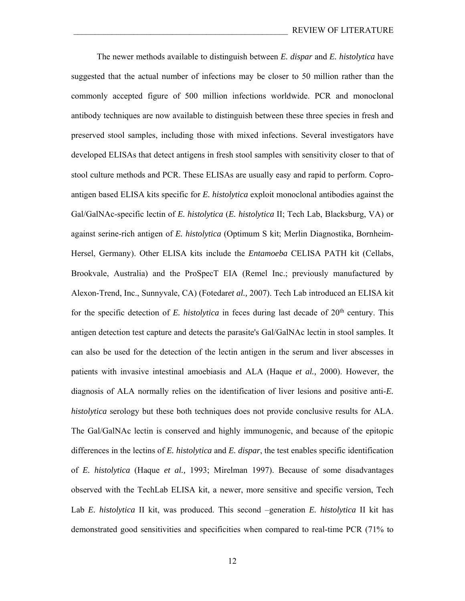The newer methods available to distinguish between *E. dispar* and *E. histolytica* have suggested that the actual number of infections may be closer to 50 million rather than the commonly accepted figure of 500 million infections worldwide. PCR and monoclonal antibody techniques are now available to distinguish between these three species in fresh and preserved stool samples, including those with mixed infections. Several investigators have developed ELISAs that detect antigens in fresh stool samples with sensitivity closer to that of stool culture methods and PCR. These ELISAs are usually easy and rapid to perform. Coproantigen based ELISA kits specific for *E. histolytica* exploit monoclonal antibodies against the Gal/GalNAc-specific lectin of *E. histolytica* (*E. histolytica* II; Tech Lab, Blacksburg, VA) or against serine-rich antigen of *E. histolytica* (Optimum S kit; Merlin Diagnostika, Bornheim-Hersel, Germany). Other ELISA kits include the *Entamoeba* CELISA PATH kit (Cellabs, Brookvale, Australia) and the ProSpecT EIA (Remel Inc.; previously manufactured by Alexon-Trend, Inc., Sunnyvale, CA) (Fotedar*et al.,* 2007). Tech Lab introduced an ELISA kit for the specific detection of *E. histolytica* in feces during last decade of 20<sup>th</sup> century. This antigen detection test capture and detects the parasite's Gal/GalNAc lectin in stool samples. It can also be used for the detection of the lectin antigen in the serum and liver abscesses in patients with invasive intestinal amoebiasis and ALA (Haque *et al.,* 2000). However, the diagnosis of ALA normally relies on the identification of liver lesions and positive anti-*E. histolytica* serology but these both techniques does not provide conclusive results for ALA. The Gal/GalNAc lectin is conserved and highly immunogenic, and because of the epitopic differences in the lectins of *E. histolytica* and *E. dispar*, the test enables specific identification of *E. histolytica* (Haque *et al.,* 1993; Mirelman 1997). Because of some disadvantages observed with the TechLab ELISA kit, a newer, more sensitive and specific version, Tech Lab *E. histolytica* II kit, was produced. This second –generation *E. histolytica* II kit has demonstrated good sensitivities and specificities when compared to real-time PCR (71% to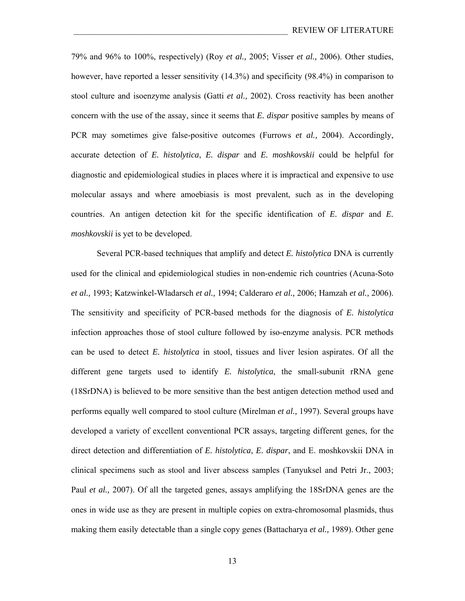79% and 96% to 100%, respectively) (Roy *et al.,* 2005; Visser *et al.,* 2006). Other studies, however, have reported a lesser sensitivity (14.3%) and specificity (98.4%) in comparison to stool culture and isoenzyme analysis (Gatti *et al.,* 2002). Cross reactivity has been another concern with the use of the assay, since it seems that *E. dispar* positive samples by means of PCR may sometimes give false-positive outcomes (Furrows *et al.,* 2004). Accordingly, accurate detection of *E. histolytica*, *E. dispar* and *E. moshkovskii* could be helpful for diagnostic and epidemiological studies in places where it is impractical and expensive to use molecular assays and where amoebiasis is most prevalent, such as in the developing countries. An antigen detection kit for the specific identification of *E. dispar* and *E. moshkovskii* is yet to be developed.

Several PCR-based techniques that amplify and detect *E. histolytica* DNA is currently used for the clinical and epidemiological studies in non-endemic rich countries (Acuna-Soto *et al.,* 1993; Katzwinkel-Wladarsch *et al.,* 1994; Calderaro *et al.,* 2006; Hamzah *et al.,* 2006). The sensitivity and specificity of PCR-based methods for the diagnosis of *E. histolytica* infection approaches those of stool culture followed by iso-enzyme analysis. PCR methods can be used to detect *E. histolytica* in stool, tissues and liver lesion aspirates. Of all the different gene targets used to identify *E. histolytica*, the small-subunit rRNA gene (18SrDNA) is believed to be more sensitive than the best antigen detection method used and performs equally well compared to stool culture (Mirelman *et al.,* 1997). Several groups have developed a variety of excellent conventional PCR assays, targeting different genes, for the direct detection and differentiation of *E. histolytica*, *E. dispar*, and E. moshkovskii DNA in clinical specimens such as stool and liver abscess samples (Tanyuksel and Petri Jr., 2003; Paul *et al.,* 2007). Of all the targeted genes, assays amplifying the 18SrDNA genes are the ones in wide use as they are present in multiple copies on extra-chromosomal plasmids, thus making them easily detectable than a single copy genes (Battacharya *et al.,* 1989). Other gene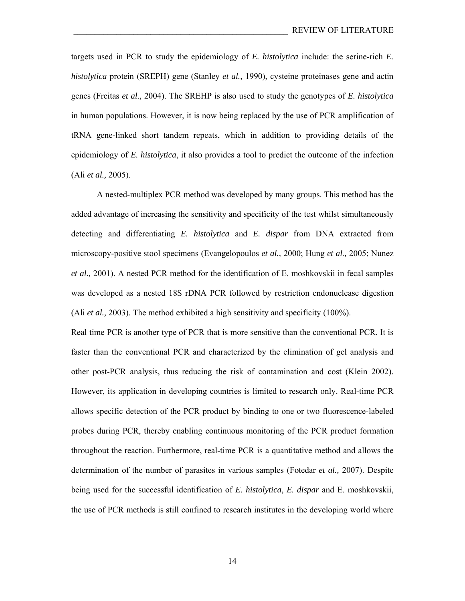targets used in PCR to study the epidemiology of *E. histolytica* include: the serine-rich *E. histolytica* protein (SREPH) gene (Stanley *et al.,* 1990), cysteine proteinases gene and actin genes (Freitas *et al.,* 2004). The SREHP is also used to study the genotypes of *E. histolytica* in human populations. However, it is now being replaced by the use of PCR amplification of tRNA gene-linked short tandem repeats, which in addition to providing details of the epidemiology of *E. histolytica*, it also provides a tool to predict the outcome of the infection (Ali *et al.,* 2005).

 A nested-multiplex PCR method was developed by many groups. This method has the added advantage of increasing the sensitivity and specificity of the test whilst simultaneously detecting and differentiating *E. histolytica* and *E. dispar* from DNA extracted from microscopy-positive stool specimens (Evangelopoulos *et al.,* 2000; Hung *et al.,* 2005; Nunez *et al.,* 2001). A nested PCR method for the identification of E. moshkovskii in fecal samples was developed as a nested 18S rDNA PCR followed by restriction endonuclease digestion (Ali *et al.,* 2003). The method exhibited a high sensitivity and specificity (100%).

Real time PCR is another type of PCR that is more sensitive than the conventional PCR. It is faster than the conventional PCR and characterized by the elimination of gel analysis and other post-PCR analysis, thus reducing the risk of contamination and cost (Klein 2002). However, its application in developing countries is limited to research only. Real-time PCR allows specific detection of the PCR product by binding to one or two fluorescence-labeled probes during PCR, thereby enabling continuous monitoring of the PCR product formation throughout the reaction. Furthermore, real-time PCR is a quantitative method and allows the determination of the number of parasites in various samples (Fotedar *et al.,* 2007). Despite being used for the successful identification of *E. histolytica*, *E. dispar* and E. moshkovskii, the use of PCR methods is still confined to research institutes in the developing world where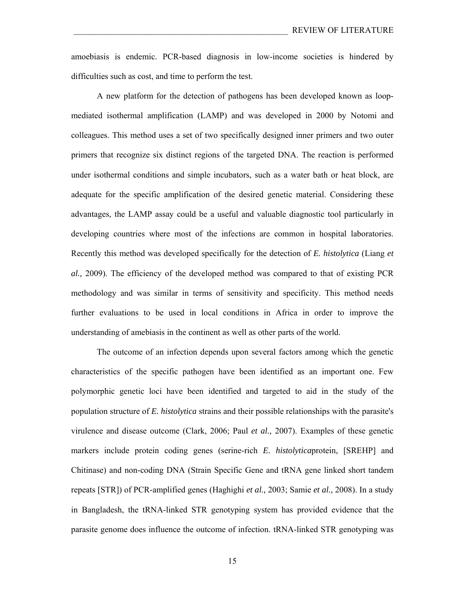amoebiasis is endemic. PCR-based diagnosis in low-income societies is hindered by difficulties such as cost, and time to perform the test.

A new platform for the detection of pathogens has been developed known as loopmediated isothermal amplification (LAMP) and was developed in 2000 by Notomi and colleagues. This method uses a set of two specifically designed inner primers and two outer primers that recognize six distinct regions of the targeted DNA. The reaction is performed under isothermal conditions and simple incubators, such as a water bath or heat block, are adequate for the specific amplification of the desired genetic material. Considering these advantages, the LAMP assay could be a useful and valuable diagnostic tool particularly in developing countries where most of the infections are common in hospital laboratories. Recently this method was developed specifically for the detection of *E. histolytica* (Liang *et al.,* 2009). The efficiency of the developed method was compared to that of existing PCR methodology and was similar in terms of sensitivity and specificity. This method needs further evaluations to be used in local conditions in Africa in order to improve the understanding of amebiasis in the continent as well as other parts of the world.

The outcome of an infection depends upon several factors among which the genetic characteristics of the specific pathogen have been identified as an important one. Few polymorphic genetic loci have been identified and targeted to aid in the study of the population structure of *E. histolytica* strains and their possible relationships with the parasite's virulence and disease outcome (Clark, 2006; Paul *et al.,* 2007). Examples of these genetic markers include protein coding genes (serine-rich *E. histolytica*protein, [SREHP] and Chitinase) and non-coding DNA (Strain Specific Gene and tRNA gene linked short tandem repeats [STR]) of PCR-amplified genes (Haghighi *et al.,* 2003; Samie *et al.,* 2008). In a study in Bangladesh, the tRNA-linked STR genotyping system has provided evidence that the parasite genome does influence the outcome of infection. tRNA-linked STR genotyping was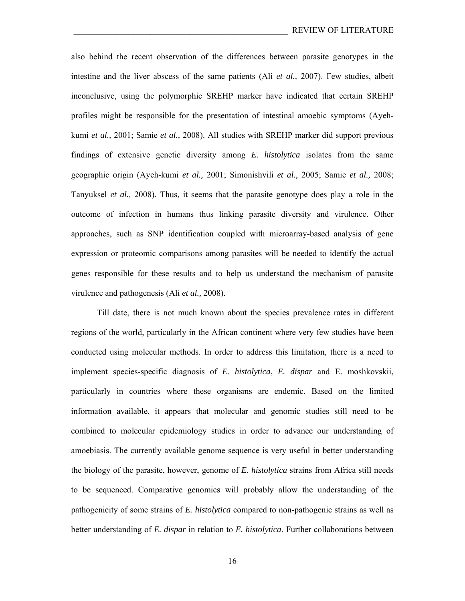also behind the recent observation of the differences between parasite genotypes in the intestine and the liver abscess of the same patients (Ali *et al.,* 2007). Few studies, albeit inconclusive, using the polymorphic SREHP marker have indicated that certain SREHP profiles might be responsible for the presentation of intestinal amoebic symptoms (Ayehkumi *et al.,* 2001; Samie *et al.,* 2008). All studies with SREHP marker did support previous findings of extensive genetic diversity among *E. histolytica* isolates from the same geographic origin (Ayeh-kumi *et al.,* 2001; Simonishvili *et al.,* 2005; Samie *et al.,* 2008; Tanyuksel *et al.,* 2008). Thus, it seems that the parasite genotype does play a role in the outcome of infection in humans thus linking parasite diversity and virulence. Other approaches, such as SNP identification coupled with microarray-based analysis of gene expression or proteomic comparisons among parasites will be needed to identify the actual genes responsible for these results and to help us understand the mechanism of parasite virulence and pathogenesis (Ali *et al.,* 2008).

Till date, there is not much known about the species prevalence rates in different regions of the world, particularly in the African continent where very few studies have been conducted using molecular methods. In order to address this limitation, there is a need to implement species-specific diagnosis of *E. histolytica*, *E. dispar* and E. moshkovskii, particularly in countries where these organisms are endemic. Based on the limited information available, it appears that molecular and genomic studies still need to be combined to molecular epidemiology studies in order to advance our understanding of amoebiasis. The currently available genome sequence is very useful in better understanding the biology of the parasite, however, genome of *E. histolytica* strains from Africa still needs to be sequenced. Comparative genomics will probably allow the understanding of the pathogenicity of some strains of *E. histolytica* compared to non-pathogenic strains as well as better understanding of *E. dispar* in relation to *E. histolytica*. Further collaborations between

16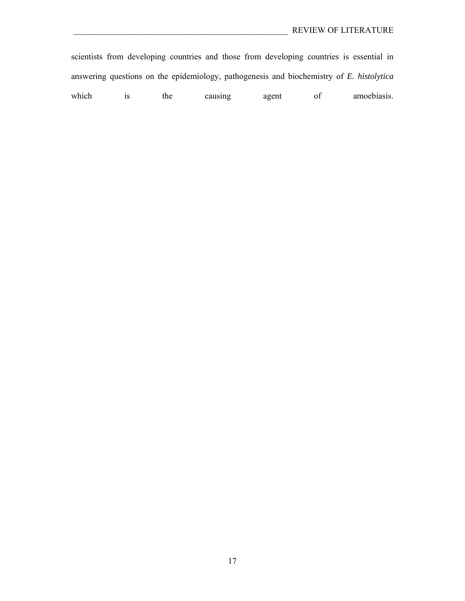scientists from developing countries and those from developing countries is essential in answering questions on the epidemiology, pathogenesis and biochemistry of *E. histolytica* which is the causing agent of amoebiasis.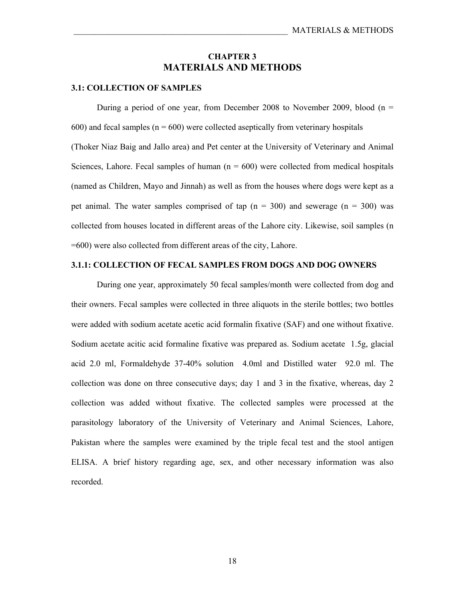#### **CHAPTER 3 MATERIALS AND METHODS**

#### **3.1: COLLECTION OF SAMPLES**

During a period of one year, from December 2008 to November 2009, blood ( $n =$  $600$ ) and fecal samples ( $n = 600$ ) were collected aseptically from veterinary hospitals (Thoker Niaz Baig and Jallo area) and Pet center at the University of Veterinary and Animal Sciences, Lahore. Fecal samples of human  $(n = 600)$  were collected from medical hospitals (named as Children, Mayo and Jinnah) as well as from the houses where dogs were kept as a pet animal. The water samples comprised of tap  $(n = 300)$  and sewerage  $(n = 300)$  was collected from houses located in different areas of the Lahore city. Likewise, soil samples (n =600) were also collected from different areas of the city, Lahore.

#### **3.1.1: COLLECTION OF FECAL SAMPLES FROM DOGS AND DOG OWNERS**

 During one year, approximately 50 fecal samples/month were collected from dog and their owners. Fecal samples were collected in three aliquots in the sterile bottles; two bottles were added with sodium acetate acetic acid formalin fixative (SAF) and one without fixative. Sodium acetate acitic acid formaline fixative was prepared as. Sodium acetate 1.5g, glacial acid 2.0 ml, Formaldehyde 37-40% solution 4.0ml and Distilled water 92.0 ml. The collection was done on three consecutive days; day 1 and 3 in the fixative, whereas, day 2 collection was added without fixative. The collected samples were processed at the parasitology laboratory of the University of Veterinary and Animal Sciences, Lahore, Pakistan where the samples were examined by the triple fecal test and the stool antigen ELISA. A brief history regarding age, sex, and other necessary information was also recorded.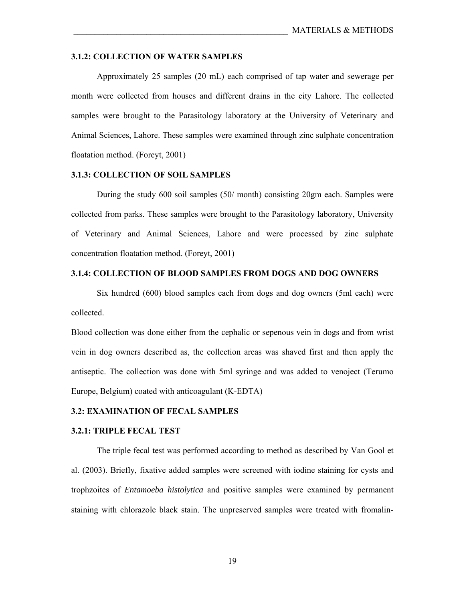#### **3.1.2: COLLECTION OF WATER SAMPLES**

 Approximately 25 samples (20 mL) each comprised of tap water and sewerage per month were collected from houses and different drains in the city Lahore. The collected samples were brought to the Parasitology laboratory at the University of Veterinary and Animal Sciences, Lahore. These samples were examined through zinc sulphate concentration floatation method. (Foreyt, 2001)

#### **3.1.3: COLLECTION OF SOIL SAMPLES**

 During the study 600 soil samples (50/ month) consisting 20gm each. Samples were collected from parks. These samples were brought to the Parasitology laboratory, University of Veterinary and Animal Sciences, Lahore and were processed by zinc sulphate concentration floatation method. (Foreyt, 2001)

#### **3.1.4: COLLECTION OF BLOOD SAMPLES FROM DOGS AND DOG OWNERS**

 Six hundred (600) blood samples each from dogs and dog owners (5ml each) were collected.

Blood collection was done either from the cephalic or sepenous vein in dogs and from wrist vein in dog owners described as, the collection areas was shaved first and then apply the antiseptic. The collection was done with 5ml syringe and was added to venoject (Terumo Europe, Belgium) coated with anticoagulant (K-EDTA)

#### **3.2: EXAMINATION OF FECAL SAMPLES**

#### **3.2.1: TRIPLE FECAL TEST**

 The triple fecal test was performed according to method as described by Van Gool et al. (2003). Briefly, fixative added samples were screened with iodine staining for cysts and trophzoites of *Entamoeba histolytica* and positive samples were examined by permanent staining with chlorazole black stain. The unpreserved samples were treated with fromalin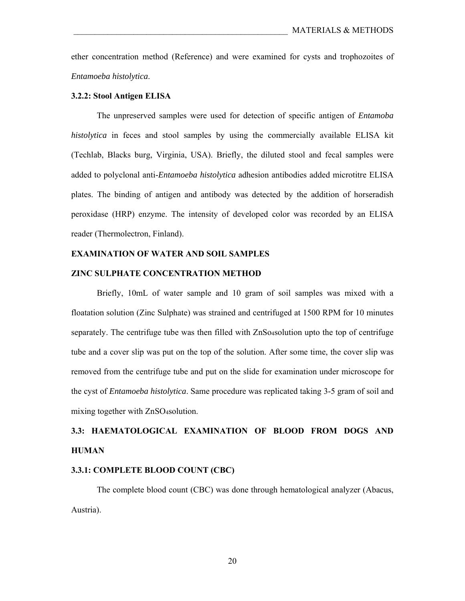ether concentration method (Reference) and were examined for cysts and trophozoites of *Entamoeba histolytica*.

#### **3.2.2: Stool Antigen ELISA**

 The unpreserved samples were used for detection of specific antigen of *Entamoba histolytica* in feces and stool samples by using the commercially available ELISA kit (Techlab, Blacks burg, Virginia, USA). Briefly, the diluted stool and fecal samples were added to polyclonal anti-*Entamoeba histolytica* adhesion antibodies added microtitre ELISA plates. The binding of antigen and antibody was detected by the addition of horseradish peroxidase (HRP) enzyme. The intensity of developed color was recorded by an ELISA reader (Thermolectron, Finland).

#### **EXAMINATION OF WATER AND SOIL SAMPLES**

#### **ZINC SULPHATE CONCENTRATION METHOD**

 Briefly, 10mL of water sample and 10 gram of soil samples was mixed with a floatation solution (Zinc Sulphate) was strained and centrifuged at 1500 RPM for 10 minutes separately. The centrifuge tube was then filled with ZnSo4solution upto the top of centrifuge tube and a cover slip was put on the top of the solution. After some time, the cover slip was removed from the centrifuge tube and put on the slide for examination under microscope for the cyst of *Entamoeba histolytica*. Same procedure was replicated taking 3-5 gram of soil and mixing together with ZnSO4solution.

# **3.3: HAEMATOLOGICAL EXAMINATION OF BLOOD FROM DOGS AND HUMAN**

#### **3.3.1: COMPLETE BLOOD COUNT (CBC)**

 The complete blood count (CBC) was done through hematological analyzer (Abacus, Austria).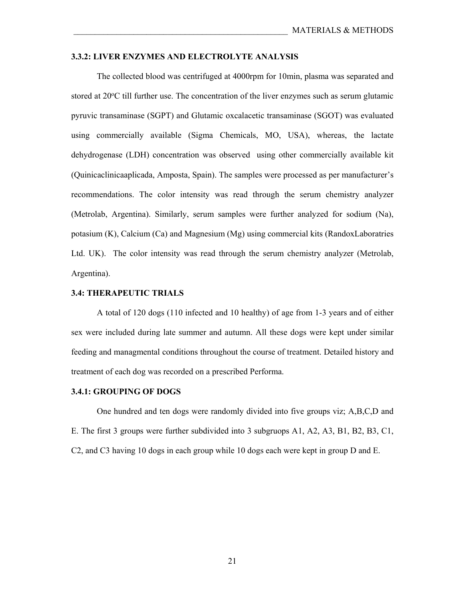#### **3.3.2: LIVER ENZYMES AND ELECTROLYTE ANALYSIS**

 The collected blood was centrifuged at 4000rpm for 10min, plasma was separated and stored at 20<sup>o</sup>C till further use. The concentration of the liver enzymes such as serum glutamic pyruvic transaminase (SGPT) and Glutamic oxcalacetic transaminase (SGOT) was evaluated using commercially available (Sigma Chemicals, MO, USA), whereas, the lactate dehydrogenase (LDH) concentration was observed using other commercially available kit (Quinicaclinicaaplicada, Amposta, Spain). The samples were processed as per manufacturer's recommendations. The color intensity was read through the serum chemistry analyzer (Metrolab, Argentina). Similarly, serum samples were further analyzed for sodium (Na), potasium (K), Calcium (Ca) and Magnesium (Mg) using commercial kits (RandoxLaboratries Ltd. UK). The color intensity was read through the serum chemistry analyzer (Metrolab, Argentina).

#### **3.4: THERAPEUTIC TRIALS**

 A total of 120 dogs (110 infected and 10 healthy) of age from 1-3 years and of either sex were included during late summer and autumn. All these dogs were kept under similar feeding and managmental conditions throughout the course of treatment. Detailed history and treatment of each dog was recorded on a prescribed Performa.

#### **3.4.1: GROUPING OF DOGS**

 One hundred and ten dogs were randomly divided into five groups viz; A,B,C,D and E. The first 3 groups were further subdivided into 3 subgruops A1, A2, A3, B1, B2, B3, C1, C2, and C3 having 10 dogs in each group while 10 dogs each were kept in group D and E.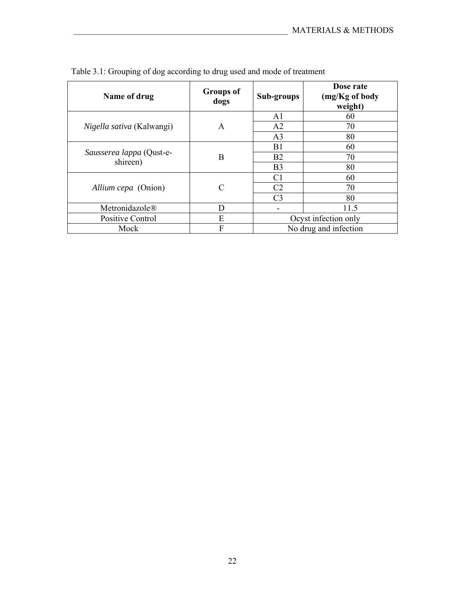| Name of drug                     | <b>Groups of</b><br>dogs | Sub-groups     | Dose rate<br>(mg/Kg of body<br>weight) |
|----------------------------------|--------------------------|----------------|----------------------------------------|
|                                  |                          | A1             | 60                                     |
| <i>Nigella sativa</i> (Kalwangi) | A                        | A <sub>2</sub> | 70                                     |
|                                  |                          | A <sub>3</sub> | 80                                     |
|                                  |                          | B1             | 60                                     |
| Sausserea lappa (Qust-e-         | B                        | B <sub>2</sub> | 70                                     |
| shireen)                         |                          | B <sub>3</sub> | 80                                     |
|                                  |                          | C <sub>1</sub> | 60                                     |
| Allium cepa (Onion)              | C                        | C <sub>2</sub> | 70                                     |
|                                  |                          | C <sub>3</sub> | 80                                     |
| Metronidazole®                   | D                        |                | 11.5                                   |
| Positive Control                 | E                        |                | Ocyst infection only                   |
| Mock                             | F                        |                | No drug and infection                  |

|  | Table 3.1: Grouping of dog according to drug used and mode of treatment |
|--|-------------------------------------------------------------------------|
|--|-------------------------------------------------------------------------|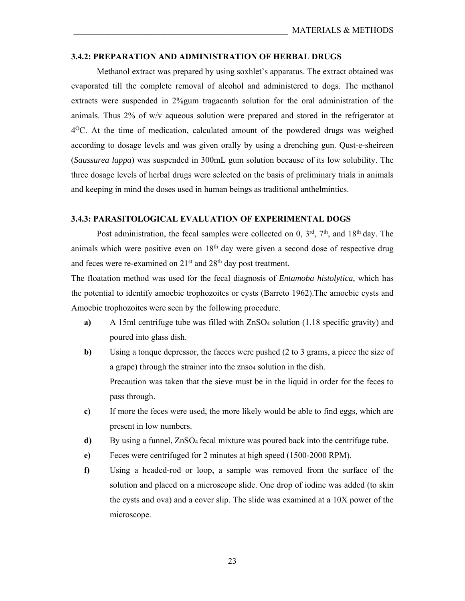#### **3.4.2: PREPARATION AND ADMINISTRATION OF HERBAL DRUGS**

 Methanol extract was prepared by using soxhlet's apparatus. The extract obtained was evaporated till the complete removal of alcohol and administered to dogs. The methanol extracts were suspended in 2%gum tragacanth solution for the oral administration of the animals. Thus 2% of w/v aqueous solution were prepared and stored in the refrigerator at  $4^{0}$ C. At the time of medication, calculated amount of the powdered drugs was weighed according to dosage levels and was given orally by using a drenching gun. Qust-e-sheireen (*Saussurea lappa*) was suspended in 300mL gum solution because of its low solubility. The three dosage levels of herbal drugs were selected on the basis of preliminary trials in animals and keeping in mind the doses used in human beings as traditional anthelmintics.

#### **3.4.3: PARASITOLOGICAL EVALUATION OF EXPERIMENTAL DOGS**

Post administration, the fecal samples were collected on 0,  $3<sup>rd</sup>$ ,  $7<sup>th</sup>$ , and  $18<sup>th</sup>$  day. The animals which were positive even on  $18<sup>th</sup>$  day were given a second dose of respective drug and feces were re-examined on  $21<sup>st</sup>$  and  $28<sup>th</sup>$  day post treatment.

The floatation method was used for the fecal diagnosis of *Entamoba histolytica*, which has the potential to identify amoebic trophozoites or cysts (Barreto 1962).The amoebic cysts and Amoebic trophozoites were seen by the following procedure.

- **a)** A 15ml centrifuge tube was filled with ZnSO4 solution (1.18 specific gravity) and poured into glass dish.
- **b)** Using a tonque depressor, the faeces were pushed (2 to 3 grams, a piece the size of a grape) through the strainer into the znso4 solution in the dish. Precaution was taken that the sieve must be in the liquid in order for the feces to pass through.
- **c)** If more the feces were used, the more likely would be able to find eggs, which are present in low numbers.
- **d)** By using a funnel, ZnSO4 fecal mixture was poured back into the centrifuge tube.
- **e)** Feces were centrifuged for 2 minutes at high speed (1500-2000 RPM).
- **f)** Using a headed-rod or loop, a sample was removed from the surface of the solution and placed on a microscope slide. One drop of iodine was added (to skin the cysts and ova) and a cover slip. The slide was examined at a 10X power of the microscope.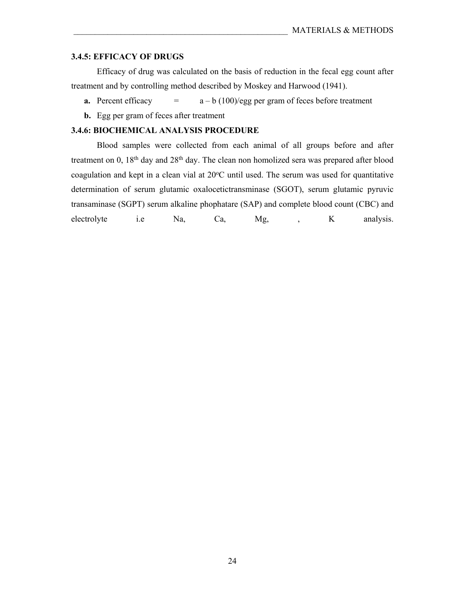#### **3.4.5: EFFICACY OF DRUGS**

 Efficacy of drug was calculated on the basis of reduction in the fecal egg count after treatment and by controlling method described by Moskey and Harwood (1941).

- **a.** Percent efficacy  $=$   $a b (100)/egg$  per gram of feces before treatment
- **b.** Egg per gram of feces after treatment

#### **3.4.6: BIOCHEMICAL ANALYSIS PROCEDURE**

 Blood samples were collected from each animal of all groups before and after treatment on  $0$ ,  $18<sup>th</sup>$  day and  $28<sup>th</sup>$  day. The clean non homolized sera was prepared after blood coagulation and kept in a clean vial at  $20^{\circ}$ C until used. The serum was used for quantitative determination of serum glutamic oxalocetictransminase (SGOT), serum glutamic pyruvic transaminase (SGPT) serum alkaline phophatare (SAP) and complete blood count (CBC) and electrolyte i.e Na, Ca, Mg, , K analysis.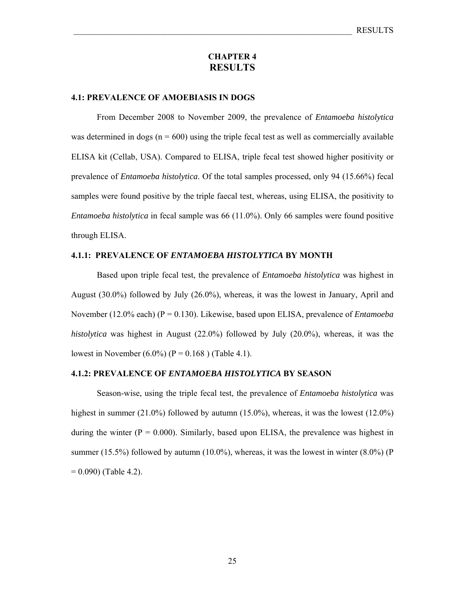#### **CHAPTER 4 RESULTS**

#### **4.1: PREVALENCE OF AMOEBIASIS IN DOGS**

 From December 2008 to November 2009, the prevalence of *Entamoeba histolytica*  was determined in dogs ( $n = 600$ ) using the triple fecal test as well as commercially available ELISA kit (Cellab, USA). Compared to ELISA, triple fecal test showed higher positivity or prevalence of *Entamoeba histolytica*. Of the total samples processed, only 94 (15.66%) fecal samples were found positive by the triple faecal test, whereas, using ELISA, the positivity to *Entamoeba histolytica* in fecal sample was 66 (11.0%). Only 66 samples were found positive through ELISA.

#### **4.1.1: PREVALENCE OF** *ENTAMOEBA HISTOLYTICA* **BY MONTH**

 Based upon triple fecal test, the prevalence of *Entamoeba histolytica* was highest in August (30.0%) followed by July (26.0%), whereas, it was the lowest in January, April and November (12.0% each) (P = 0.130). Likewise, based upon ELISA, prevalence of *Entamoeba histolytica* was highest in August (22.0%) followed by July (20.0%), whereas, it was the lowest in November (6.0%) (P = 0.168) (Table 4.1).

#### **4.1.2: PREVALENCE OF** *ENTAMOEBA HISTOLYTICA* **BY SEASON**

 Season-wise, using the triple fecal test, the prevalence of *Entamoeba histolytica* was highest in summer  $(21.0\%)$  followed by autumn  $(15.0\%)$ , whereas, it was the lowest  $(12.0\%)$ during the winter ( $P = 0.000$ ). Similarly, based upon ELISA, the prevalence was highest in summer (15.5%) followed by autumn (10.0%), whereas, it was the lowest in winter  $(8.0\%)$  (P  $= 0.090$ ) (Table 4.2).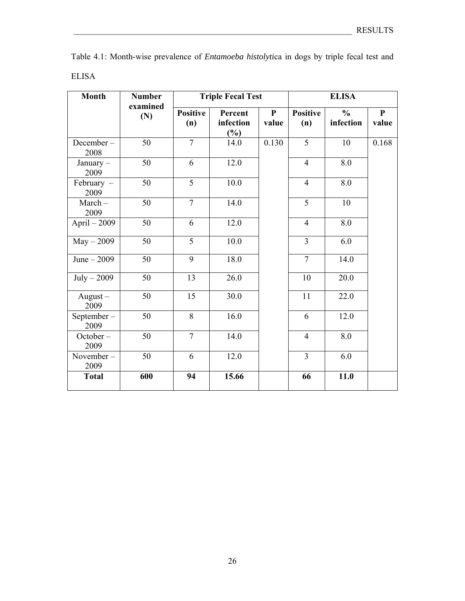| Table 4.1: Month-wise prevalence of <i>Entamoeba histolytica</i> in dogs by triple fecal test and |  |  |  |  |  |  |
|---------------------------------------------------------------------------------------------------|--|--|--|--|--|--|
| ELISA                                                                                             |  |  |  |  |  |  |

| <b>Month</b>        | <b>Number</b>   |                        | <b>Triple Fecal Test</b>       |                       |                        |                            |                       |
|---------------------|-----------------|------------------------|--------------------------------|-----------------------|------------------------|----------------------------|-----------------------|
|                     | examined<br>(N) | <b>Positive</b><br>(n) | Percent<br>infection<br>$(\%)$ | $\mathbf{P}$<br>value | <b>Positive</b><br>(n) | $\frac{0}{0}$<br>infection | $\mathbf{P}$<br>value |
| December-<br>2008   | 50              | $\overline{7}$         | 14.0                           | 0.130                 | $\overline{5}$         | 10                         | 0.168                 |
| January $-$<br>2009 | 50              | 6                      | 12.0                           |                       | $\overline{4}$         | 8.0                        |                       |
| February -<br>2009  | 50              | $\overline{5}$         | 10.0                           |                       | $\overline{4}$         | 8.0                        |                       |
| $March-$<br>2009    | 50              | $\overline{7}$         | 14.0                           |                       | $\overline{5}$         | 10                         |                       |
| April $-2009$       | 50              | 6                      | 12.0                           |                       | $\overline{4}$         | 8.0                        |                       |
| $May - 2009$        | 50              | $\overline{5}$         | 10.0                           |                       | $\overline{3}$         | 6.0                        |                       |
| June $-2009$        | 50              | 9                      | 18.0                           |                       | $\overline{7}$         | 14.0                       |                       |
| $July - 2009$       | 50              | 13                     | 26.0                           |                       | 10                     | 20.0                       |                       |
| $August -$<br>2009  | 50              | 15                     | 30.0                           |                       | 11                     | 22.0                       |                       |
| September-<br>2009  | 50              | 8                      | 16.0                           |                       | 6                      | 12.0                       |                       |
| October-<br>2009    | 50              | $\overline{7}$         | 14.0                           |                       | $\overline{4}$         | 8.0                        |                       |
| November-<br>2009   | 50              | 6                      | 12.0                           |                       | 3                      | 6.0                        |                       |
| <b>Total</b>        | 600             | 94                     | 15.66                          |                       | 66                     | 11.0                       |                       |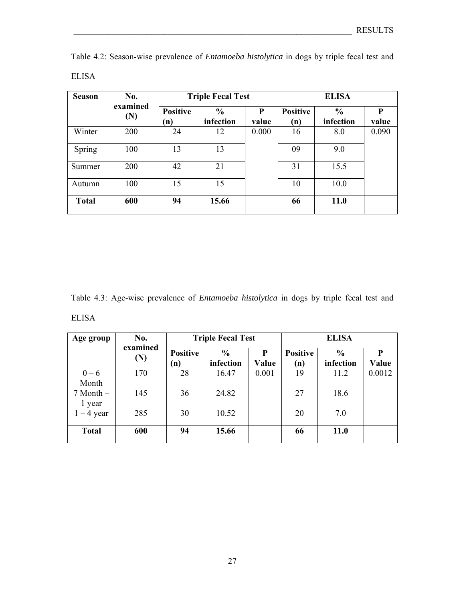| <b>Season</b> | No.             |                        | <b>Triple Fecal Test</b>   |            | <b>ELISA</b>           |                            |            |  |
|---------------|-----------------|------------------------|----------------------------|------------|------------------------|----------------------------|------------|--|
|               | examined<br>(N) | <b>Positive</b><br>(n) | $\frac{6}{6}$<br>infection | P<br>value | <b>Positive</b><br>(n) | $\frac{0}{0}$<br>infection | P<br>value |  |
| Winter        | 200             | 24                     | 12                         | 0.000      | 16                     | 8.0                        | 0.090      |  |
| Spring        | 100             | 13                     | 13                         |            | 09                     | 9.0                        |            |  |
| Summer        | 200             | 42                     | 21                         |            | 31                     | 15.5                       |            |  |
| Autumn        | 100             | 15                     | 15                         |            | 10                     | 10.0                       |            |  |
| <b>Total</b>  | 600             | 94                     | 15.66                      |            | 66                     | <b>11.0</b>                |            |  |

Table 4.2: Season-wise prevalence of *Entamoeba histolytica* in dogs by triple fecal test and ELISA

Table 4.3: Age-wise prevalence of *Entamoeba histolytica* in dogs by triple fecal test and ELISA

| Age group             | No.<br>examined |                        | <b>Triple Fecal Test</b>   |            |                        | <b>ELISA</b>               |            |
|-----------------------|-----------------|------------------------|----------------------------|------------|------------------------|----------------------------|------------|
|                       | $(\mathbf{N})$  | <b>Positive</b><br>(n) | $\frac{6}{6}$<br>infection | P<br>Value | <b>Positive</b><br>(n) | $\frac{6}{6}$<br>infection | P<br>Value |
| $0 - 6$<br>Month      | 170             | 28                     | 16.47                      | 0.001      | 19                     | 11.2                       | 0.0012     |
| $7$ Month $-$<br>year | 145             | 36                     | 24.82                      |            | 27                     | 18.6                       |            |
| $1 - 4$ year          | 285             | 30                     | 10.52                      |            | 20                     | 7.0                        |            |
| <b>Total</b>          | 600             | 94                     | 15.66                      |            | 66                     | 11.0                       |            |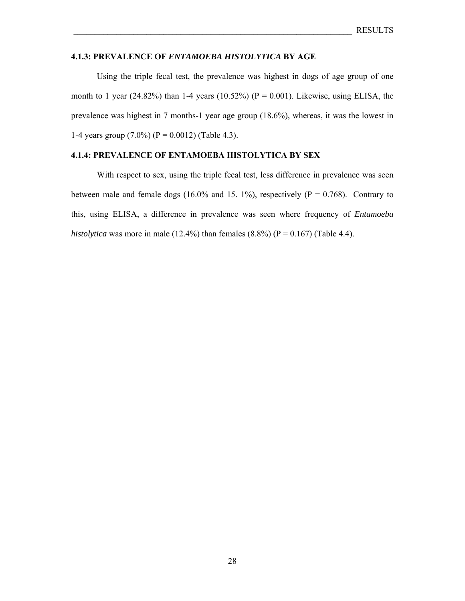#### **4.1.3: PREVALENCE OF** *ENTAMOEBA HISTOLYTICA* **BY AGE**

 Using the triple fecal test, the prevalence was highest in dogs of age group of one month to 1 year (24.82%) than 1-4 years (10.52%) ( $P = 0.001$ ). Likewise, using ELISA, the prevalence was highest in 7 months-1 year age group (18.6%), whereas, it was the lowest in 1-4 years group  $(7.0\%)$  (P = 0.0012) (Table 4.3).

#### **4.1.4: PREVALENCE OF ENTAMOEBA HISTOLYTICA BY SEX**

 With respect to sex, using the triple fecal test, less difference in prevalence was seen between male and female dogs (16.0% and 15. 1%), respectively ( $P = 0.768$ ). Contrary to this, using ELISA, a difference in prevalence was seen where frequency of *Entamoeba histolytica* was more in male (12.4%) than females (8.8%) ( $P = 0.167$ ) (Table 4.4).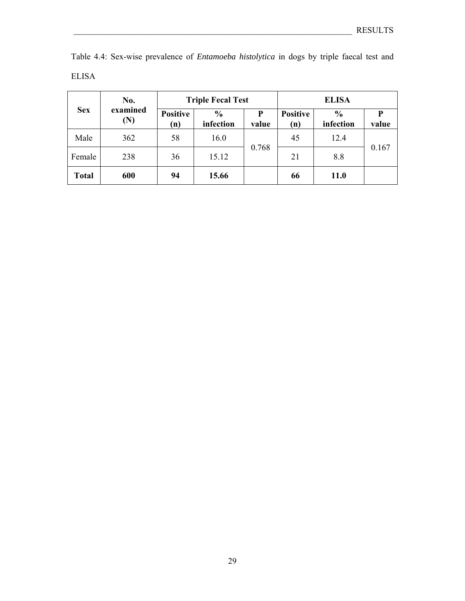| Table 4.4: Sex-wise prevalence of <i>Entamoeba histolytica</i> in dogs by triple faecal test and |  |  |  |  |  |  |
|--------------------------------------------------------------------------------------------------|--|--|--|--|--|--|
| ELISA                                                                                            |  |  |  |  |  |  |

|              | No.             |                        | <b>Triple Fecal Test</b>   |            | <b>ELISA</b>           |                            |       |  |  |
|--------------|-----------------|------------------------|----------------------------|------------|------------------------|----------------------------|-------|--|--|
| <b>Sex</b>   | examined<br>(N) | <b>Positive</b><br>(n) | $\frac{0}{0}$<br>infection | P<br>value | <b>Positive</b><br>(n) | $\frac{0}{0}$<br>infection | value |  |  |
| Male         | 362             | 58                     | 16.0                       |            | 45                     | 12.4                       |       |  |  |
| Female       | 238             | 36                     | 15.12                      | 0.768      | 21                     | 8.8                        | 0.167 |  |  |
| <b>Total</b> | 600             | 94                     | 15.66                      |            | 66                     | <b>11.0</b>                |       |  |  |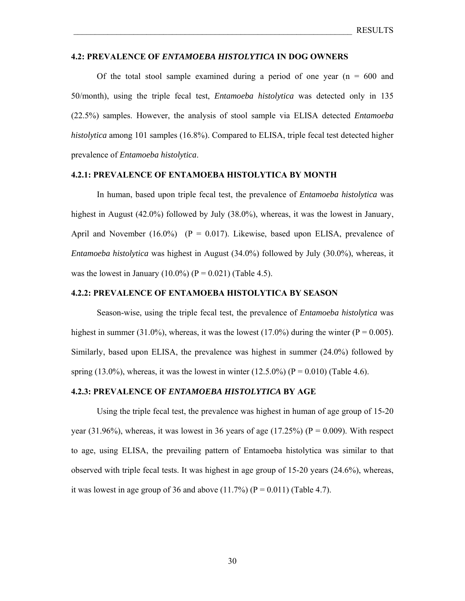#### **4.2: PREVALENCE OF** *ENTAMOEBA HISTOLYTICA* **IN DOG OWNERS**

Of the total stool sample examined during a period of one year  $(n = 600$  and 50/month), using the triple fecal test, *Entamoeba histolytica* was detected only in 135 (22.5%) samples. However, the analysis of stool sample via ELISA detected *Entamoeba histolytica* among 101 samples (16.8%). Compared to ELISA, triple fecal test detected higher prevalence of *Entamoeba histolytica*.

## **4.2.1: PREVALENCE OF ENTAMOEBA HISTOLYTICA BY MONTH**

 In human, based upon triple fecal test, the prevalence of *Entamoeba histolytica* was highest in August (42.0%) followed by July (38.0%), whereas, it was the lowest in January, April and November (16.0%) ( $P = 0.017$ ). Likewise, based upon ELISA, prevalence of *Entamoeba histolytica* was highest in August (34.0%) followed by July (30.0%), whereas, it was the lowest in January (10.0%) ( $P = 0.021$ ) (Table 4.5).

## **4.2.2: PREVALENCE OF ENTAMOEBA HISTOLYTICA BY SEASON**

 Season-wise, using the triple fecal test, the prevalence of *Entamoeba histolytica* was highest in summer (31.0%), whereas, it was the lowest (17.0%) during the winter ( $P = 0.005$ ). Similarly, based upon ELISA, the prevalence was highest in summer (24.0%) followed by spring (13.0%), whereas, it was the lowest in winter (12.5.0%) ( $P = 0.010$ ) (Table 4.6).

#### **4.2.3: PREVALENCE OF** *ENTAMOEBA HISTOLYTICA* **BY AGE**

 Using the triple fecal test, the prevalence was highest in human of age group of 15-20 year (31.96%), whereas, it was lowest in 36 years of age (17.25%) ( $P = 0.009$ ). With respect to age, using ELISA, the prevailing pattern of Entamoeba histolytica was similar to that observed with triple fecal tests. It was highest in age group of 15-20 years (24.6%), whereas, it was lowest in age group of 36 and above  $(11.7%)$   $(P = 0.011)$  (Table 4.7).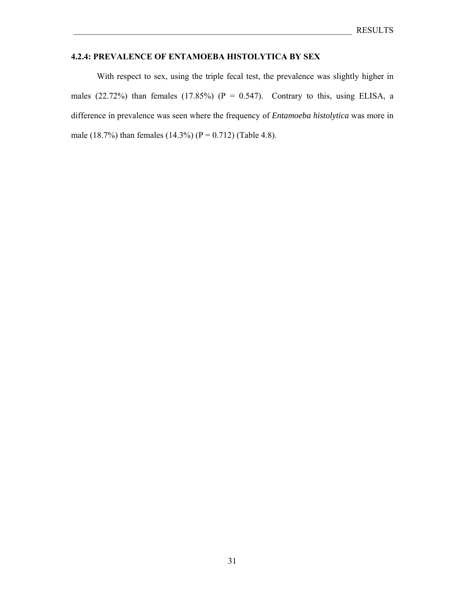# **4.2.4: PREVALENCE OF ENTAMOEBA HISTOLYTICA BY SEX**

 With respect to sex, using the triple fecal test, the prevalence was slightly higher in males (22.72%) than females (17.85%) ( $P = 0.547$ ). Contrary to this, using ELISA, a difference in prevalence was seen where the frequency of *Entamoeba histolytica* was more in male (18.7%) than females (14.3%) (P = 0.712) (Table 4.8).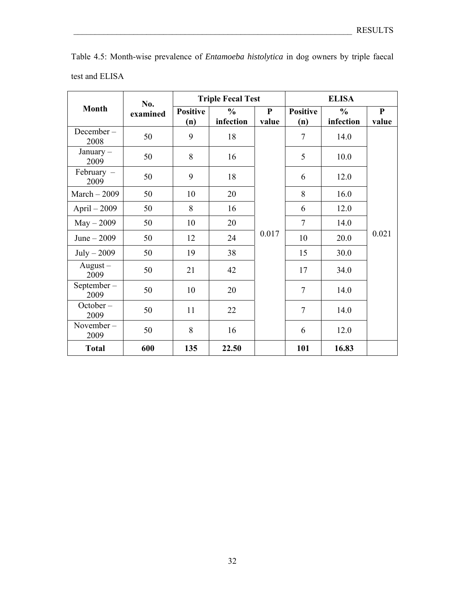| test and ELISA       |          |                        |                            |            |                        |                            |                    |  |
|----------------------|----------|------------------------|----------------------------|------------|------------------------|----------------------------|--------------------|--|
|                      | No.      |                        | <b>Triple Fecal Test</b>   |            |                        | <b>ELISA</b>               |                    |  |
| <b>Month</b>         | examined | <b>Positive</b><br>(n) | $\frac{6}{6}$<br>infection | P<br>value | <b>Positive</b><br>(n) | $\frac{0}{0}$<br>infection | ${\bf P}$<br>value |  |
| $December -$<br>2008 | 50       | 9                      | 18                         |            | 7                      | 14.0                       |                    |  |
| January $-$<br>2009  | 50       | 8                      | 16                         |            | 5                      | 10.0                       |                    |  |
| February $-$<br>2009 | 50       | 9                      | 18                         |            | 6                      | 12.0                       | 0.021              |  |
| March $-2009$        | 50       | 10                     | 20                         |            | 8                      | 16.0                       |                    |  |
| April $-2009$        | 50       | 8                      | 16                         |            | 6                      | 12.0                       |                    |  |
| $May - 2009$         | 50       | 10                     | 20                         |            | $\overline{7}$         | 14.0                       |                    |  |
| June $-2009$         | 50       | 12                     | 24                         | 0.017      | 10                     | 20.0                       |                    |  |
| $July - 2009$        | 50       | 19                     | 38                         |            | 15                     | 30.0                       |                    |  |
| $August -$<br>2009   | 50       | 21                     | 42                         |            | 17                     | 34.0                       |                    |  |
| September-<br>2009   | 50       | 10                     | 20                         |            | $\overline{7}$         | 14.0                       |                    |  |
| $October -$<br>2009  | 50       | 11                     | 22                         |            | $\overline{7}$         | 14.0                       |                    |  |
| November-<br>2009    | 50       | 8                      | 16                         |            | 6                      | 12.0                       |                    |  |

**Total 600 135 22.50 101 16.83** 

Table 4.5: Month-wise prevalence of *Entamoeba histolytica* in dog owners by triple faecal test and ELISA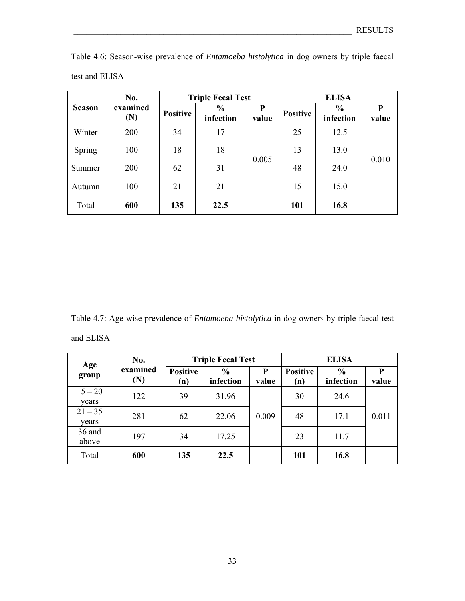|               | No.             |                 | <b>Triple Fecal Test</b>   |            |                 | <b>ELISA</b>               |            |  |
|---------------|-----------------|-----------------|----------------------------|------------|-----------------|----------------------------|------------|--|
| <b>Season</b> | examined<br>(N) | <b>Positive</b> | $\frac{0}{0}$<br>infection | P<br>value | <b>Positive</b> | $\frac{0}{0}$<br>infection | P<br>value |  |
| Winter        | 200             | 34              | 17                         |            | 25              | 12.5                       | 0.010      |  |
| Spring        | 100             | 18              | 18                         |            | 13              | 13.0                       |            |  |
| Summer        | 200             | 62              | 31                         | 0.005      | 48              | 24.0                       |            |  |
| Autumn        | 100             | 21              | 21                         |            | 15              | 15.0                       |            |  |
| Total         | 600             | 135             | 22.5                       |            | 101             | 16.8                       |            |  |

Table 4.6: Season-wise prevalence of *Entamoeba histolytica* in dog owners by triple faecal test and ELISA

Table 4.7: Age-wise prevalence of *Entamoeba histolytica* in dog owners by triple faecal test and ELISA

| Age                | No.             |                        | <b>Triple Fecal Test</b>   |            |                        |                            |            |
|--------------------|-----------------|------------------------|----------------------------|------------|------------------------|----------------------------|------------|
| group              | examined<br>(N) | <b>Positive</b><br>(n) | $\frac{6}{6}$<br>infection | P<br>value | <b>Positive</b><br>(n) | $\frac{6}{6}$<br>infection | P<br>value |
| $15 - 20$<br>years | 122             | 39                     | 31.96                      |            | 30                     | 24.6                       |            |
| $21 - 35$<br>vears | 281             | 62                     | 22.06                      | 0.009      | 48                     | 17.1                       | 0.011      |
| 36 and<br>above    | 197             | 34                     | 17.25                      |            | 23                     | 11.7                       |            |
| Total              | 600             | 135                    | 22.5                       |            | 101                    | 16.8                       |            |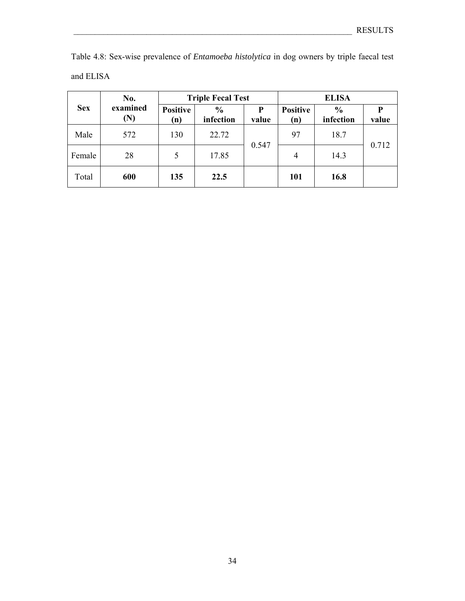| Table 4.8: Sex-wise prevalence of <i>Entamoeba histolytica</i> in dog owners by triple faecal test |  |  |  |  |  |
|----------------------------------------------------------------------------------------------------|--|--|--|--|--|
| and ELISA                                                                                          |  |  |  |  |  |

|            | No.             |                        | <b>Triple Fecal Test</b>   |            | <b>ELISA</b>           |                            |       |  |
|------------|-----------------|------------------------|----------------------------|------------|------------------------|----------------------------|-------|--|
| <b>Sex</b> | examined<br>(N) | <b>Positive</b><br>(n) | $\frac{6}{6}$<br>infection | P<br>value | <b>Positive</b><br>(n) | $\frac{6}{6}$<br>infection | value |  |
| Male       | 572             | 130                    | 22.72                      |            | 97                     | 18.7                       | 0.712 |  |
| Female     | 28              | 5                      | 17.85                      | 0.547      | $\overline{4}$         | 14.3                       |       |  |
| Total      | 600             | 135                    | 22.5                       |            | 101                    | 16.8                       |       |  |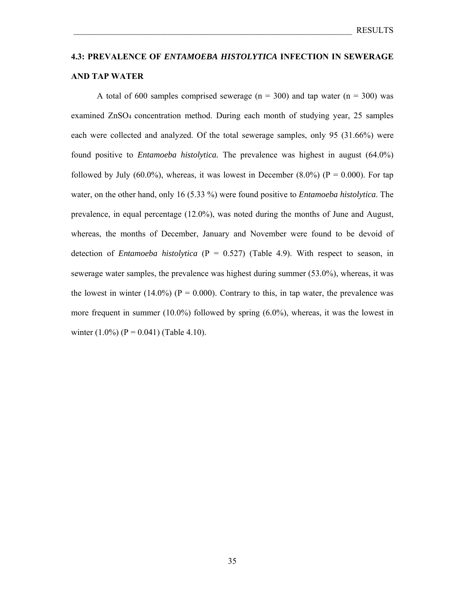# **4.3: PREVALENCE OF** *ENTAMOEBA HISTOLYTICA* **INFECTION IN SEWERAGE AND TAP WATER**

A total of 600 samples comprised sewerage ( $n = 300$ ) and tap water ( $n = 300$ ) was examined ZnSO4 concentration method. During each month of studying year, 25 samples each were collected and analyzed. Of the total sewerage samples, only 95 (31.66%) were found positive to *Entamoeba histolytica.* The prevalence was highest in august (64.0%) followed by July (60.0%), whereas, it was lowest in December (8.0%) ( $P = 0.000$ ). For tap water, on the other hand, only 16 (5.33 %) were found positive to *Entamoeba histolytica*. The prevalence, in equal percentage (12.0%), was noted during the months of June and August, whereas, the months of December, January and November were found to be devoid of detection of *Entamoeba histolytica* ( $P = 0.527$ ) (Table 4.9). With respect to season, in sewerage water samples, the prevalence was highest during summer (53.0%), whereas, it was the lowest in winter  $(14.0\%)$  (P = 0.000). Contrary to this, in tap water, the prevalence was more frequent in summer (10.0%) followed by spring (6.0%), whereas, it was the lowest in winter  $(1.0\%)$  (P = 0.041) (Table 4.10).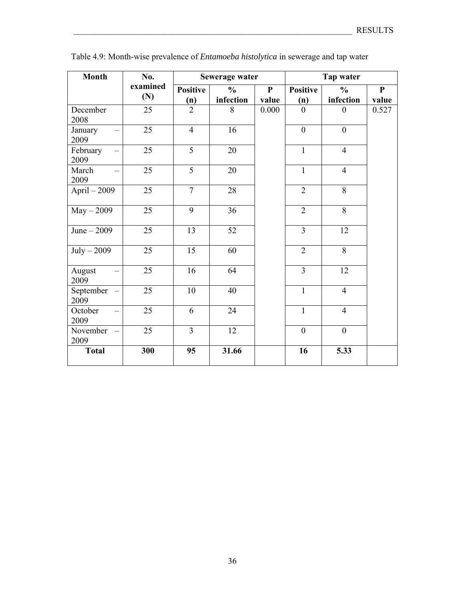| <b>Month</b>      | No.             | Sewerage water         |                            |                       | Tap water              |                            |                       |  |
|-------------------|-----------------|------------------------|----------------------------|-----------------------|------------------------|----------------------------|-----------------------|--|
|                   | examined<br>(N) | <b>Positive</b><br>(n) | $\frac{6}{6}$<br>infection | $\mathbf{P}$<br>value | <b>Positive</b><br>(n) | $\frac{0}{0}$<br>infection | $\mathbf{P}$<br>value |  |
| December<br>2008  | 25              | $\overline{2}$         | 8                          | 0.000                 | $\theta$               | $\overline{0}$             | 0.527                 |  |
| January<br>2009   | 25              | $\overline{4}$         | 16                         |                       | $\boldsymbol{0}$       | $\boldsymbol{0}$           |                       |  |
| February<br>2009  | 25              | 5                      | 20                         |                       | $\mathbf{1}$           | $\overline{4}$             |                       |  |
| March<br>2009     | 25              | 5                      | 20                         |                       | $\mathbf{1}$           | $\overline{4}$             |                       |  |
| April - 2009      | 25              | $\overline{7}$         | 28                         |                       | $\overline{2}$         | 8                          |                       |  |
| $May - 2009$      | 25              | 9                      | 36                         |                       | $\overline{2}$         | 8                          |                       |  |
| June $-2009$      | 25              | 13                     | 52                         |                       | $\overline{3}$         | 12                         |                       |  |
| July $-2009$      | 25              | 15                     | 60                         |                       | $\overline{2}$         | $\overline{8}$             |                       |  |
| August<br>2009    | 25              | 16                     | 64                         |                       | $\overline{3}$         | 12                         |                       |  |
| September<br>2009 | $\overline{25}$ | 10                     | 40                         |                       | $\overline{1}$         | $\overline{4}$             |                       |  |
| October<br>2009   | 25              | 6                      | 24                         |                       | $\mathbf{1}$           | $\overline{4}$             |                       |  |
| November<br>2009  | 25              | $\overline{3}$         | 12                         |                       | $\mathbf{0}$           | $\overline{0}$             |                       |  |
| <b>Total</b>      | 300             | 95                     | 31.66                      |                       | 16                     | 5.33                       |                       |  |

Table 4.9: Month-wise prevalence of *Entamoeba histolytica* in sewerage and tap water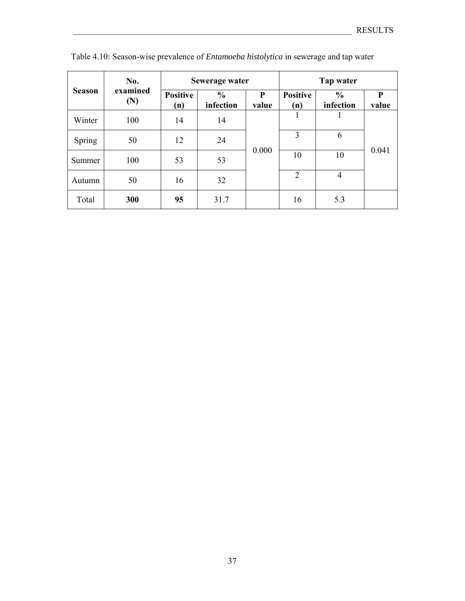|               | No.             |                        | Sewerage water             |            | Tap water              |                            |            |  |
|---------------|-----------------|------------------------|----------------------------|------------|------------------------|----------------------------|------------|--|
| <b>Season</b> | examined<br>(N) | <b>Positive</b><br>(n) | $\frac{0}{0}$<br>infection | P<br>value | <b>Positive</b><br>(n) | $\frac{6}{6}$<br>infection | P<br>value |  |
| Winter        | 100             | 14                     | 14                         |            |                        |                            | 0.041      |  |
| Spring        | 50              | 12                     | 24                         |            | 3                      | 6                          |            |  |
| Summer        | 100             | 53                     | 53                         | 0.000      | 10                     | 10                         |            |  |
| Autumn        | 50              | 16                     | 32                         |            | $\overline{2}$         | 4                          |            |  |
| Total         | 300             | 95                     | 31.7                       |            | 16                     | 5.3                        |            |  |

Table 4.10: Season-wise prevalence of *Entamoeba histolytica* in sewerage and tap water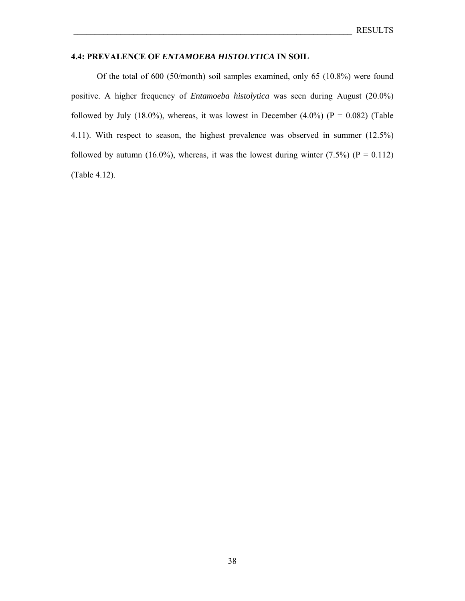## **4.4: PREVALENCE OF** *ENTAMOEBA HISTOLYTICA* **IN SOIL**

 Of the total of 600 (50/month) soil samples examined, only 65 (10.8%) were found positive. A higher frequency of *Entamoeba histolytica* was seen during August (20.0%) followed by July (18.0%), whereas, it was lowest in December (4.0%) ( $P = 0.082$ ) (Table 4.11). With respect to season, the highest prevalence was observed in summer (12.5%) followed by autumn (16.0%), whereas, it was the lowest during winter (7.5%) ( $P = 0.112$ ) (Table 4.12).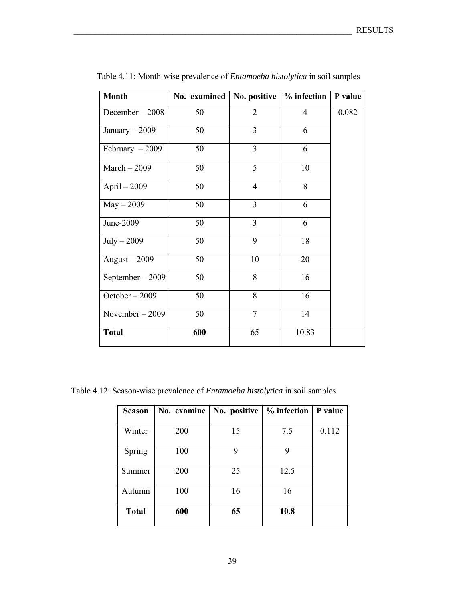| <b>Month</b>      | No. examined | No. positive   | % infection    | P value |
|-------------------|--------------|----------------|----------------|---------|
| December-2008     | 50           | $\overline{2}$ | $\overline{4}$ | 0.082   |
| January $-2009$   | 50           | $\overline{3}$ | 6              |         |
| February $-2009$  | 50           | $\overline{3}$ | 6              |         |
| $March - 2009$    | 50           | $\overline{5}$ | 10             |         |
| April $-2009$     | 50           | $\overline{4}$ | 8              |         |
| $May - 2009$      | 50           | $\overline{3}$ | 6              |         |
| June-2009         | 50           | $\overline{3}$ | 6              |         |
| $July - 2009$     | 50           | 9              | 18             |         |
| August $-2009$    | 50           | 10             | 20             |         |
| September $-2009$ | 50           | 8              | 16             |         |
| October - 2009    | 50           | 8              | 16             |         |
| November $-2009$  | 50           | $\overline{7}$ | 14             |         |
| <b>Total</b>      | 600          | 65             | 10.83          |         |

Table 4.11: Month-wise prevalence of *Entamoeba histolytica* in soil samples

Table 4.12: Season-wise prevalence of *Entamoeba histolytica* in soil samples

| <b>Season</b> | No. examine | No. positive | % infection   P value |       |
|---------------|-------------|--------------|-----------------------|-------|
| Winter        | 200         | 15           | 7.5                   | 0.112 |
| Spring        | 100         | 9            | 9                     |       |
| Summer        | 200         | 25           | 12.5                  |       |
| Autumn        | 100         | 16           | 16                    |       |
| <b>Total</b>  | 600         | 65           | 10.8                  |       |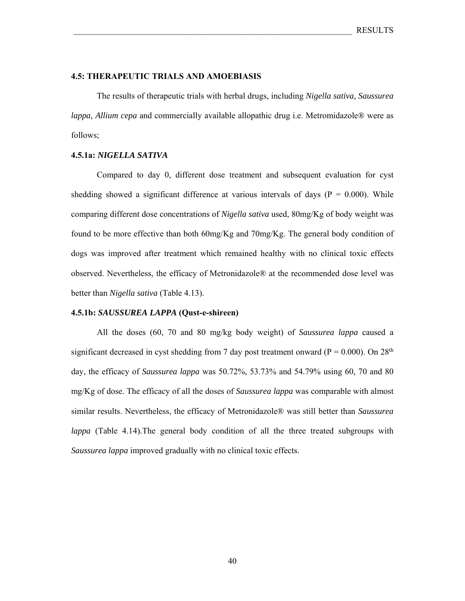### **4.5: THERAPEUTIC TRIALS AND AMOEBIASIS**

 The results of therapeutic trials with herbal drugs, including *Nigella sativa, Saussurea lappa, Allium cepa* and commercially available allopathic drug i.e. Metromidazole*®* were as follows;

### **4.5.1a:** *NIGELLA SATIVA*

 Compared to day 0, different dose treatment and subsequent evaluation for cyst shedding showed a significant difference at various intervals of days ( $P = 0.000$ ). While comparing different dose concentrations of *Nigella sativa* used, 80mg/Kg of body weight was found to be more effective than both 60mg/Kg and 70mg/Kg. The general body condition of dogs was improved after treatment which remained healthy with no clinical toxic effects observed. Nevertheless, the efficacy of Metronidazole® at the recommended dose level was better than *Nigella sativa* (Table 4.13).

#### **4.5.1b:** *SAUSSUREA LAPPA* **(Qust-e-shireen)**

 All the doses (60, 70 and 80 mg/kg body weight) of *Saussurea lappa* caused a significant decreased in cyst shedding from 7 day post treatment onward ( $P = 0.000$ ). On 28<sup>th</sup> day, the efficacy of *Saussurea lappa* was 50.72%, 53.73% and 54.79% using 60, 70 and 80 mg/Kg of dose. The efficacy of all the doses of *Saussurea lappa* was comparable with almost similar results. Nevertheless, the efficacy of Metronidazole® was still better than *Saussurea lappa* (Table 4.14)*.*The general body condition of all the three treated subgroups with *Saussurea lappa* improved gradually with no clinical toxic effects.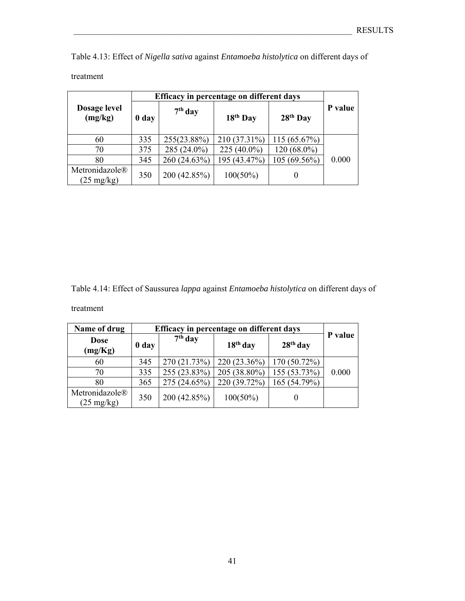Table 4.13: Effect of *Nigella sativa* against *Entamoeba histolytica* on different days of

|                                        | Efficacy in percentage on different days |              |                      |                      |         |
|----------------------------------------|------------------------------------------|--------------|----------------------|----------------------|---------|
| Dosage level<br>(mg/kg)                | 0 day                                    | $7th$ day    | 18 <sup>th</sup> Day | 28 <sup>th</sup> Day | P value |
| 60                                     | 335                                      | 255(23.88%)  | 210 (37.31%)         | 115(65.67%)          |         |
| 70                                     | 375                                      | 285 (24.0%)  | 225 (40.0%)          | 120 (68.0%)          |         |
| 80                                     | 345                                      | 260 (24.63%) | 195 (43.47%)         | 105 (69.56%)         | 0.000   |
| Metronidazole®<br>$(25 \text{ mg/kg})$ | 350                                      | 200 (42.85%) | $100(50\%)$          | $\theta$             |         |

Table 4.14: Effect of Saussurea *lappa* against *Entamoeba histolytica* on different days of

# treatment

| Name of drug                           |       | Efficacy in percentage on different days |              |              |         |  |  |  |
|----------------------------------------|-------|------------------------------------------|--------------|--------------|---------|--|--|--|
| <b>Dose</b><br>(mg/Kg)                 | 0 day | $7th$ day                                | $18th$ day   | $28th$ day   | P value |  |  |  |
| 60                                     | 345   | 270 (21.73%)                             | 220 (23.36%) | 170 (50.72%) |         |  |  |  |
| 70                                     | 335   | 255 (23.83%)                             | 205 (38.80%) | 155 (53.73%) | 0.000   |  |  |  |
| 80                                     | 365   | 275 (24.65%)                             | 220 (39.72%) | 165 (54.79%) |         |  |  |  |
| Metronidazole®<br>$(25 \text{ mg/kg})$ | 350   | 200 (42.85%)                             | $100(50\%)$  |              |         |  |  |  |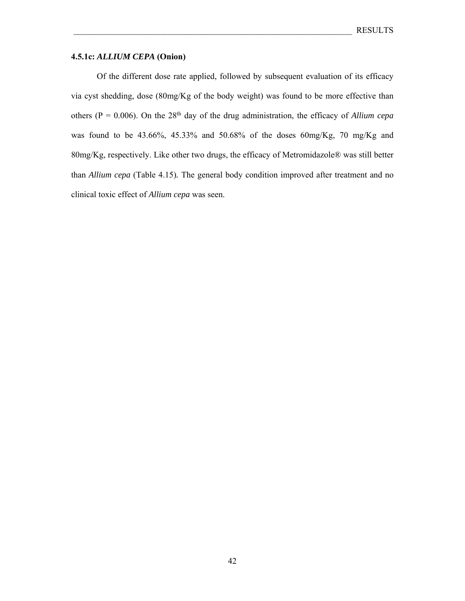## **4.5.1c:** *ALLIUM CEPA* **(Onion)**

 Of the different dose rate applied, followed by subsequent evaluation of its efficacy via cyst shedding, dose (80mg/Kg of the body weight) was found to be more effective than others ( $P = 0.006$ ). On the 28<sup>th</sup> day of the drug administration, the efficacy of *Allium cepa* was found to be 43.66%, 45.33% and 50.68% of the doses 60mg/Kg, 70 mg/Kg and 80mg/Kg, respectively. Like other two drugs, the efficacy of Metromidazole® was still better than *Allium cepa* (Table 4.15)*.* The general body condition improved after treatment and no clinical toxic effect of *Allium cepa* was seen.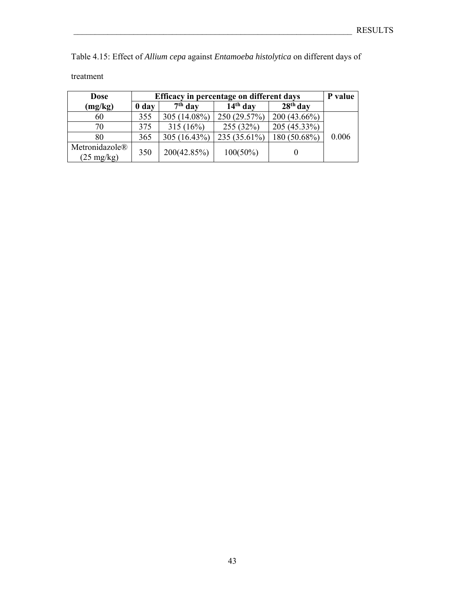Table 4.15: Effect of *Allium cepa* against *Entamoeba histolytica* on different days of

| <b>Dose</b>                            |                  |              | Efficacy in percentage on different days |                | P value |
|----------------------------------------|------------------|--------------|------------------------------------------|----------------|---------|
| (mg/kg)                                | 0 <sub>day</sub> | $7th$ day    | $14th$ day                               | $28th$ day     |         |
| 60                                     | 355              | 305 (14.08%) | 250 (29.57%)                             | $200(43.66\%)$ |         |
| 70                                     | 375              | $315(16\%)$  | 255 (32%)                                | 205 (45.33%)   |         |
| 80                                     | 365              | 305 (16.43%) | 235 (35.61%)                             | 180 (50.68%)   | 0.006   |
| Metronidazole®<br>$(25 \text{ mg/kg})$ | 350              | 200(42.85%)  | $100(50\%)$                              |                |         |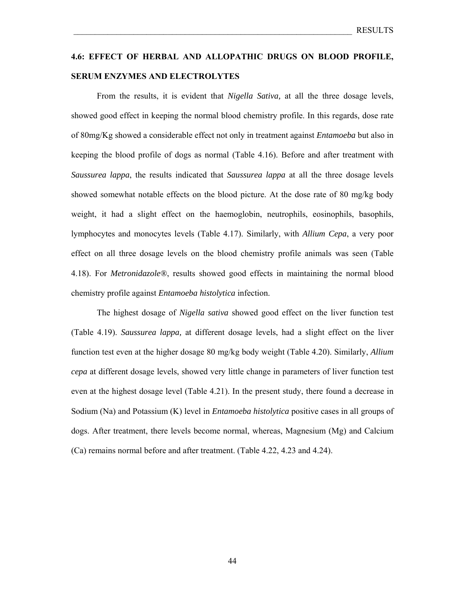# **4.6: EFFECT OF HERBAL AND ALLOPATHIC DRUGS ON BLOOD PROFILE, SERUM ENZYMES AND ELECTROLYTES**

 From the results, it is evident that *Nigella Sativa,* at all the three dosage levels, showed good effect in keeping the normal blood chemistry profile. In this regards, dose rate of 80mg/Kg showed a considerable effect not only in treatment against *Entamoeba* but also in keeping the blood profile of dogs as normal (Table 4.16). Before and after treatment with *Saussurea lappa*, the results indicated that *Saussurea lappa* at all the three dosage levels showed somewhat notable effects on the blood picture. At the dose rate of 80 mg/kg body weight, it had a slight effect on the haemoglobin, neutrophils, eosinophils, basophils, lymphocytes and monocytes levels (Table 4.17). Similarly, with *Allium Cepa*, a very poor effect on all three dosage levels on the blood chemistry profile animals was seen (Table 4.18). For *Metronidazole®*, results showed good effects in maintaining the normal blood chemistry profile against *Entamoeba histolytica* infection.

 The highest dosage of *Nigella sativa* showed good effect on the liver function test (Table 4.19). *Saussurea lappa,* at different dosage levels, had a slight effect on the liver function test even at the higher dosage 80 mg/kg body weight (Table 4.20). Similarly, *Allium cepa* at different dosage levels, showed very little change in parameters of liver function test even at the highest dosage level (Table 4.21). In the present study, there found a decrease in Sodium (Na) and Potassium (K) level in *Entamoeba histolytica* positive cases in all groups of dogs. After treatment, there levels become normal, whereas, Magnesium (Mg) and Calcium (Ca) remains normal before and after treatment. (Table 4.22, 4.23 and 4.24).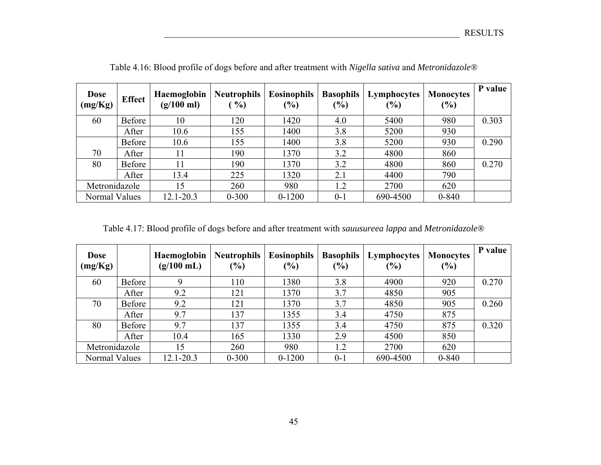| <b>Dose</b><br>(mg/Kg) | <b>Effect</b> | Haemoglobin<br>$(g/100 \text{ ml})$ | <b>Neutrophils</b><br>$\%$ | <b>Eosinophils</b><br>(%) | <b>Basophils</b><br>$(\%)$ | Lymphocytes<br>(%) | <b>Monocytes</b><br>(%) | P value |
|------------------------|---------------|-------------------------------------|----------------------------|---------------------------|----------------------------|--------------------|-------------------------|---------|
| 60                     | Before        | 10                                  | 120                        | 1420                      | 4.0                        | 5400               | 980                     | 0.303   |
|                        | After         | 10.6                                | 155                        | 1400                      | 3.8                        | 5200               | 930                     |         |
|                        | <b>Before</b> | 10.6                                | 155                        | 1400                      | 3.8                        | 5200               | 930                     | 0.290   |
| 70                     | After         | 11                                  | 190                        | 1370                      | 3.2                        | 4800               | 860                     |         |
| 80                     | Before        | 11                                  | 190                        | 1370                      | 3.2                        | 4800               | 860                     | 0.270   |
|                        | After         | 13.4                                | 225                        | 1320                      | 2.1                        | 4400               | 790                     |         |
| Metronidazole          |               | 15                                  | 260                        | 980                       | 1.2                        | 2700               | 620                     |         |
| Normal Values          |               | 12.1-20.3                           | $0 - 300$                  | $0 - 1200$                | $0 - 1$                    | 690-4500           | $0 - 840$               |         |

Table 4.16: Blood profile of dogs before and after treatment with *Nigella sativa* and *Metronidazole®*

Table 4.17: Blood profile of dogs before and after treatment with *sauusureea lappa* and *Metronidazole®*

| <b>Dose</b><br>(mg/Kg) |        | Haemoglobin<br>$(g/100 \text{ mL})$ | <b>Neutrophils</b><br>$(\%)$ | <b>Eosinophils</b><br>(%) | <b>Basophils</b><br>$(\%)$ | Lymphocytes<br>(%) | <b>Monocytes</b><br>(%) | P value |
|------------------------|--------|-------------------------------------|------------------------------|---------------------------|----------------------------|--------------------|-------------------------|---------|
| 60                     | Before | 9                                   | 110                          | 1380                      | 3.8                        | 4900               | 920                     | 0.270   |
|                        | After  | 9.2                                 | 121                          | 1370                      | 3.7                        | 4850               | 905                     |         |
| 70                     | Before | 9.2                                 | 121                          | 1370                      | 3.7                        | 4850               | 905                     | 0.260   |
|                        | After  | 9.7                                 | 137                          | 1355                      | 3.4                        | 4750               | 875                     |         |
| 80                     | Before | 9.7                                 | 137                          | 1355                      | 3.4                        | 4750               | 875                     | 0.320   |
|                        | After  | 10.4                                | 165                          | 1330                      | 2.9                        | 4500               | 850                     |         |
| Metronidazole          |        | 15                                  | 260                          | 980                       | 1.2                        | 2700               | 620                     |         |
| Normal Values          |        | 12.1-20.3                           | $0 - 300$                    | $0 - 1200$                | $0 - 1$                    | 690-4500           | $0 - 840$               |         |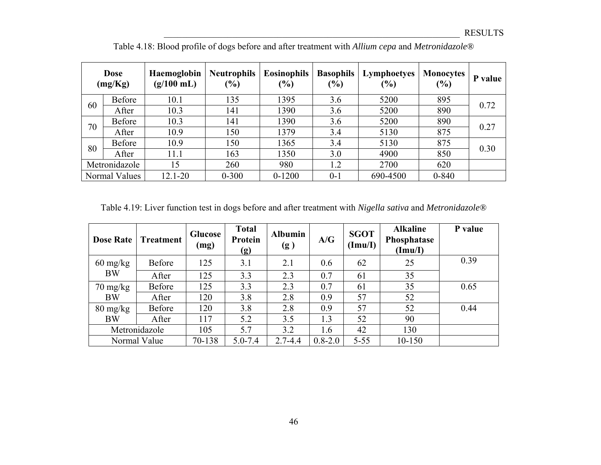|    | <b>Dose</b><br>(mg/Kg) | Haemoglobin<br>$(g/100 \text{ mL})$ | <b>Neutrophils</b><br>$(\%)$ | <b>Eosinophils</b><br>(%) | <b>Basophils</b><br>(%) | Lymphoetyes<br>(%) | <b>Monocytes</b><br>$(\%)$ | P value |
|----|------------------------|-------------------------------------|------------------------------|---------------------------|-------------------------|--------------------|----------------------------|---------|
| 60 | Before                 | 10.1                                | 135                          | 1395                      | 3.6                     | 5200               | 895                        | 0.72    |
|    | After                  | 10.3                                | 141                          | 1390                      | 3.6                     | 5200               | 890                        |         |
| 70 | <b>Before</b>          | 10.3                                | 141                          | 1390                      | 3.6                     | 5200               | 890                        | 0.27    |
|    | After                  | 10.9                                | 150                          | 1379                      | 3.4                     | 5130               | 875                        |         |
| 80 | <b>Before</b>          | 10.9                                | 150                          | 1365                      | 3.4                     | 5130               | 875                        | 0.30    |
|    | After                  | 11.1                                | 163                          | 1350                      | 3.0                     | 4900               | 850                        |         |
|    | Metronidazole          | 15                                  | 260                          | 980                       | 1.2                     | 2700               | 620                        |         |
|    | Normal Values          | $12.1 - 20$                         | $0 - 300$                    | $0 - 1200$                | $0 - 1$                 | 690-4500           | $0 - 840$                  |         |

Table 4.18: Blood profile of dogs before and after treatment with *Allium cepa* and *Metronidazole®*

Table 4.19: Liver function test in dogs before and after treatment with *Nigella sativa* and *Metronidazole®*

| <b>Dose Rate</b>                 | <b>Treatment</b> | <b>Glucose</b><br>(mg) | <b>Total</b><br>Protein<br>(g) | <b>Albumin</b><br>(g) | A/G         | <b>SGOT</b><br>(Imu/I) | <b>Alkaline</b><br>Phosphatase<br>(Imu/I) | P value |
|----------------------------------|------------------|------------------------|--------------------------------|-----------------------|-------------|------------------------|-------------------------------------------|---------|
| $60 \frac{\text{mg}}{\text{kg}}$ | Before           | 125                    | 3.1                            | 2.1                   | 0.6         | 62                     | 25                                        | 0.39    |
| <b>BW</b>                        | After            | 125                    | 3.3                            | 2.3                   | 0.7         | 61                     | 35                                        |         |
| $70 \frac{\text{mg}}{\text{kg}}$ | Before           | 125                    | 3.3                            | 2.3                   | 0.7         | 61                     | 35                                        | 0.65    |
| <b>BW</b>                        | After            | 120                    | 3.8                            | 2.8                   | 0.9         | 57                     | 52                                        |         |
| $80 \frac{\text{mg}}{\text{kg}}$ | Before           | 120                    | 3.8                            | 2.8                   | 0.9         | 57                     | 52                                        | 0.44    |
| <b>BW</b>                        | After            | 117                    | 5.2                            | 3.5                   | 1.3         | 52                     | 90                                        |         |
|                                  | Metronidazole    | 105                    | 5.7                            | 3.2                   | 1.6         | 42                     | 130                                       |         |
|                                  | Normal Value     | 70-138                 | $5.0 - 7.4$                    | $2.7 - 4.4$           | $0.8 - 2.0$ | $5 - 55$               | $10 - 150$                                |         |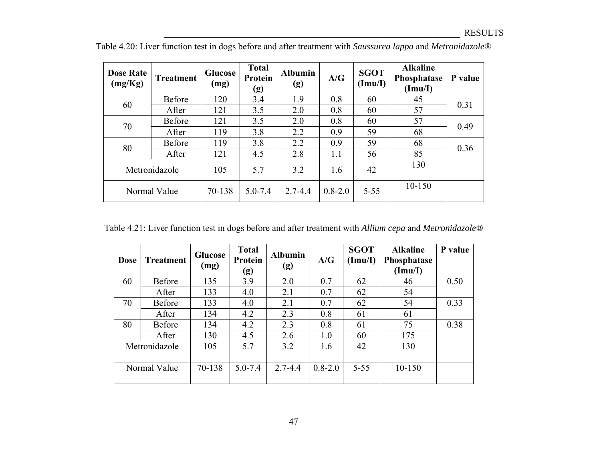| <b>Dose Rate</b><br>(mg/Kg) | <b>Treatment</b> | <b>Glucose</b><br>(mg) | <b>Total</b><br>Protein<br>(g) | <b>Albumin</b><br>(g) | A/G         | <b>SGOT</b><br>(Imu/I) | <b>Alkaline</b><br>Phosphatase<br>(Imu/I) | P value |
|-----------------------------|------------------|------------------------|--------------------------------|-----------------------|-------------|------------------------|-------------------------------------------|---------|
| 60                          | Before           | 120                    | 3.4                            | 1.9                   | 0.8         | 60                     | 45                                        | 0.31    |
|                             | After            | 121                    | 3.5                            | 2.0                   | 0.8         | 60                     | 57                                        |         |
| 70                          | <b>Before</b>    | 121                    | 3.5                            | 2.0                   | 0.8         | 60                     | 57                                        | 0.49    |
|                             | After            | 119                    | 3.8                            | 2.2                   | 0.9         | 59                     | 68                                        |         |
| 80                          | <b>Before</b>    | 119                    | 3.8                            | 2.2                   | 0.9         | 59                     | 68                                        | 0.36    |
|                             | After            | 121                    | 4.5                            | 2.8                   | 1.1         | 56                     | 85                                        |         |
|                             | Metronidazole    | 105                    | 5.7                            | 3.2                   | 1.6         | 42                     | 130                                       |         |
| Normal Value                |                  | 70-138                 | $5.0 - 7.4$                    | $2.7 - 4.4$           | $0.8 - 2.0$ | $5 - 55$               | $10 - 150$                                |         |

Table 4.20: Liver function test in dogs before and after treatment with *Saussurea lappa* and *Metronidazole®*

Table 4.21: Liver function test in dogs before and after treatment with *Allium cepa* and *Metronidazole®*

| <b>Dose</b> | <b>Treatment</b> | <b>Glucose</b><br>(mg) | <b>Total</b><br>Protein<br>$\left( g\right)$ | <b>Albumin</b><br>(g) | A/G         | <b>SGOT</b><br>(Imu/I) | <b>Alkaline</b><br>Phosphatase<br>(Imu/I) | P value |
|-------------|------------------|------------------------|----------------------------------------------|-----------------------|-------------|------------------------|-------------------------------------------|---------|
| 60          | Before           | 135                    | 3.9                                          | 2.0                   | 0.7         | 62                     | 46                                        | 0.50    |
|             | After            | 133                    | 4.0                                          | 2.1                   | 0.7         | 62                     | 54                                        |         |
| 70          | <b>Before</b>    | 133                    | 4.0                                          | 2.1                   | 0.7         | 62                     | 54                                        | 0.33    |
|             | After            | 134                    | 4.2                                          | 2.3                   | 0.8         | 61                     | 61                                        |         |
| 80          | Before           | 134                    | 4.2                                          | 2.3                   | 0.8         | 61                     | 75                                        | 0.38    |
|             | After            | 130                    | 4.5                                          | 2.6                   | 1.0         | 60                     | 175                                       |         |
|             | Metronidazole    | 105                    | 5.7                                          | 3.2                   | 1.6         | 42                     | 130                                       |         |
|             | Normal Value     | 70-138                 | $5.0 - 7.4$                                  | $2.7 - 4.4$           | $0.8 - 2.0$ | $5 - 55$               | $10 - 150$                                |         |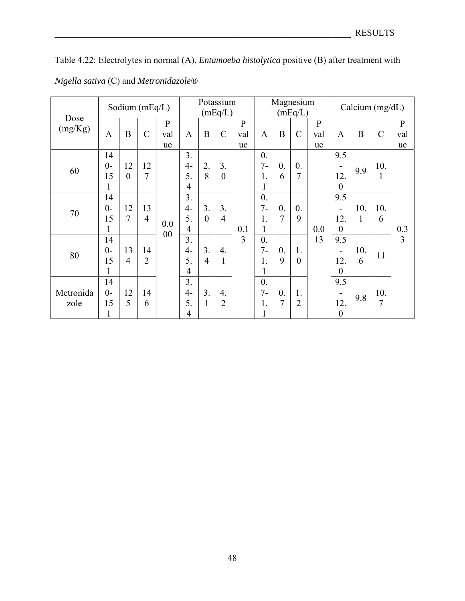Table 4.22: Electrolytes in normal (A), *Entamoeba histolytica* positive (B) after treatment with *Nigella sativa* (C) and *Metronidazole®*

|           |              |                | Sodium $(mEq/L)$ |              |                |                | Potassium<br>(mEq/L) |              | Magnesium<br>(mEq/L) |                  |                  |              | Calcium $(mg/dL)$            |             |                |              |
|-----------|--------------|----------------|------------------|--------------|----------------|----------------|----------------------|--------------|----------------------|------------------|------------------|--------------|------------------------------|-------------|----------------|--------------|
| Dose      |              |                |                  | $\mathbf{P}$ |                |                |                      | $\mathbf{P}$ |                      |                  |                  | $\mathbf{P}$ |                              |             |                | $\mathbf{P}$ |
| (mg/Kg)   | $\mathbf{A}$ | B              | $\mathcal{C}$    | val          | $\mathbf{A}$   | $\overline{B}$ | $\mathcal{C}$        | val          | $\mathbf{A}$         | B                | $\mathcal{C}$    | val          | $\mathbf{A}$                 | $\mathbf B$ | $\mathcal{C}$  | val          |
|           |              |                |                  | ue           |                |                |                      | ue           |                      |                  |                  | ue           |                              |             |                | ue           |
|           | 14           |                |                  |              | 3 <sub>1</sub> |                |                      |              | $\overline{0}$ .     |                  |                  |              | 9.5                          |             |                |              |
| 60        | $0-$         | 12             | 12               |              | $4-$           | 2.             | 3.                   |              | $7-$                 | $\overline{0}$ . | $\overline{0}$ . |              | $\qquad \qquad \blacksquare$ | 9.9         | 10.            |              |
|           | 15           | $\theta$       | 7                |              | 5.             | 8              | $\overline{0}$       |              | 1.                   | 6                | $\overline{7}$   |              | 12.                          |             | $\mathbf{1}$   |              |
|           |              |                |                  |              | $\overline{4}$ |                |                      |              |                      |                  |                  |              | $\boldsymbol{0}$             |             |                |              |
|           | 14           |                |                  |              | 3.             |                |                      |              | $\overline{0}$ .     |                  |                  |              | 9.5                          |             |                |              |
|           | $0-$         | 12             | 13               |              | $4-$           | 3.             | 3.                   |              | $7-$                 | $\overline{0}$ . | $\overline{0}$ . |              | $\qquad \qquad \blacksquare$ | 10.         | 10.            |              |
| 70        | 15           | 7              | $\overline{4}$   |              | 5.             | $\overline{0}$ | $\overline{4}$       |              | 1.                   | $\overline{7}$   | 9                |              | 12.                          | 1           | 6              |              |
|           |              |                |                  | 0.0<br>00    | $\overline{4}$ |                |                      | 0.1          | 1                    |                  |                  | 0.0          | $\overline{0}$               |             |                | 0.3          |
|           | 14           |                |                  |              | 3.             |                |                      | 3            | $\overline{0}$ .     |                  |                  | 13           | 9.5                          |             |                | 3            |
| 80        | $0-$         | 13             | 14               |              | $4-$           | 3.             | $\overline{4}$ .     |              | $7-$                 | $\theta$ .       | 1.               |              | $\overline{\phantom{0}}$     | 10.         | 11             |              |
|           | 15           | $\overline{4}$ | $\overline{2}$   |              | 5.             | $\overline{4}$ | $\mathbf{1}$         |              | 1.                   | 9                | $\overline{0}$   |              | 12.                          | 6           |                |              |
|           |              |                |                  |              | $\overline{4}$ |                |                      |              |                      |                  |                  |              | $\theta$                     |             |                |              |
|           | 14           |                |                  |              | 3.             |                |                      |              | $\mathbf{0}$ .       |                  |                  |              | 9.5                          |             |                |              |
| Metronida | $0-$         | 12             | 14               |              | $4-$           | 3.             | $\overline{4}$ .     |              | $7-$                 | $\overline{0}$ . | 1.               |              |                              | 9.8         | 10.            |              |
| zole      | 15           | 5              | 6                |              | 5.             | $\mathbf{1}$   | $\overline{2}$       |              | 1.                   | $\overline{7}$   | $\overline{2}$   |              | 12.                          |             | $\overline{7}$ |              |
|           |              |                |                  |              | 4              |                |                      |              |                      |                  |                  |              | $\boldsymbol{0}$             |             |                |              |

48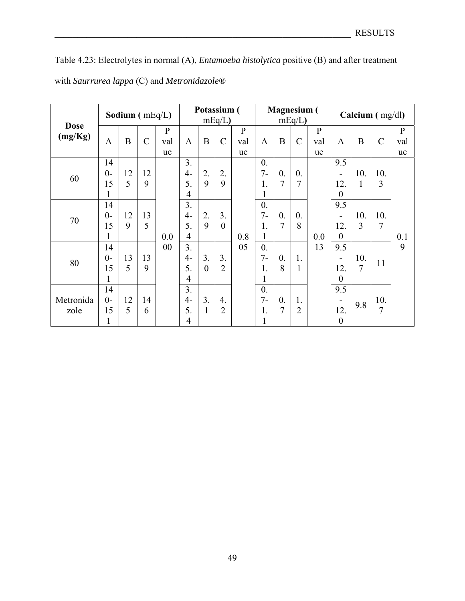|             |              |    | Sodium (mEq/L) |              | Potassium (<br>$mEq/L$ ) |                |                  | <b>Magnesium</b> (<br>$mEq/L$ ) |                  |                  |                  | Calcium $(mg/dl)$ |                  |                  |                |              |
|-------------|--------------|----|----------------|--------------|--------------------------|----------------|------------------|---------------------------------|------------------|------------------|------------------|-------------------|------------------|------------------|----------------|--------------|
| <b>Dose</b> |              |    |                | $\mathbf{P}$ |                          |                |                  | $\mathbf{P}$                    |                  |                  |                  | $\mathbf{P}$      |                  |                  |                | $\mathbf{P}$ |
| (mg/Kg)     | $\mathbf{A}$ | B  | $\mathcal{C}$  | val          | $\mathbf{A}$             | $\mathbf B$    | $\mathcal{C}$    | val                             | $\mathbf{A}$     | B                | $\mathcal{C}$    | val               | $\mathbf{A}$     | $\boldsymbol{B}$ | $\mathcal{C}$  | val          |
|             |              |    |                | ue           |                          |                |                  | ue                              |                  |                  |                  | ue                |                  |                  |                | ue           |
|             | 14           |    |                |              | 3.                       |                |                  |                                 | $\overline{0}$ . |                  |                  |                   | 9.5              |                  |                |              |
|             | $0-$         | 12 | 12             |              | $4-$                     | 2.             | 2.               |                                 | $7-$             | $\overline{0}$ . | $\overline{0}$ . |                   |                  | 10.              | 10.            |              |
| 60          | 15           | 5  | 9              |              | 5.                       | 9              | 9                |                                 | 1.               | $\overline{7}$   | $\overline{7}$   |                   | 12.              | $\mathbf{1}$     | 3              |              |
|             | 1            |    |                |              | $\overline{4}$           |                |                  |                                 | 1                |                  |                  |                   | $\theta$         |                  |                |              |
|             | 14           |    |                |              | 3.                       |                |                  |                                 | $\overline{0}$ . |                  |                  |                   | 9.5              |                  |                |              |
|             | $0-$         | 12 | 13             |              | $4-$                     | 2.             | 3.               |                                 | $7 -$            | $\overline{0}$ . | $\overline{0}$ . |                   | -                | 10.              | 10.            |              |
| 70          | 15           | 9  | 5              |              | 5.                       | 9              | $\theta$         |                                 | 1.               | $\overline{7}$   | 8                |                   | 12.              | 3                | 7              |              |
|             | 1            |    |                | 0.0          | $\overline{4}$           |                |                  | 0.8                             | 1                |                  |                  | 0.0               | $\theta$         |                  |                | 0.1          |
|             | 14           |    |                | 00           | 3.                       |                |                  | 05                              | $\overline{0}$ . |                  |                  | 13                | 9.5              |                  |                | 9            |
| 80          | $0-$         | 13 | 13             |              | $4-$                     | 3.             | 3.               |                                 | $7 -$            | $\overline{0}$ . | 1.               |                   | -                | 10.              | 11             |              |
|             | 15           | 5  | 9              |              | 5.                       | $\overline{0}$ | $\overline{2}$   |                                 | 1.               | 8                | 1                |                   | 12.              | $\overline{7}$   |                |              |
|             | 1            |    |                |              | $\overline{4}$           |                |                  |                                 | 1                |                  |                  |                   | $\theta$         |                  |                |              |
|             | 14           |    |                |              | 3.                       |                |                  |                                 | $\overline{0}$ . |                  |                  |                   | 9.5              |                  |                |              |
| Metronida   | $0-$         | 12 | 14             |              | $4-$                     | 3.             | $\overline{4}$ . |                                 | $7 -$            | $\overline{0}$ . | 1.               |                   | -                | 9.8              | 10.            |              |
| zole        | 15           | 5  | 6              |              | 5.                       | 1              | $\overline{2}$   |                                 | 1.               | $\overline{7}$   | $\overline{2}$   |                   | 12.              |                  | $\overline{7}$ |              |
|             | 1            |    |                |              | $\overline{4}$           |                |                  |                                 | 1                |                  |                  |                   | $\boldsymbol{0}$ |                  |                |              |

Table 4.23: Electrolytes in normal (A), *Entamoeba histolytica* positive (B) and after treatment with *Saurrurea lappa* (C) and *Metronidazole®*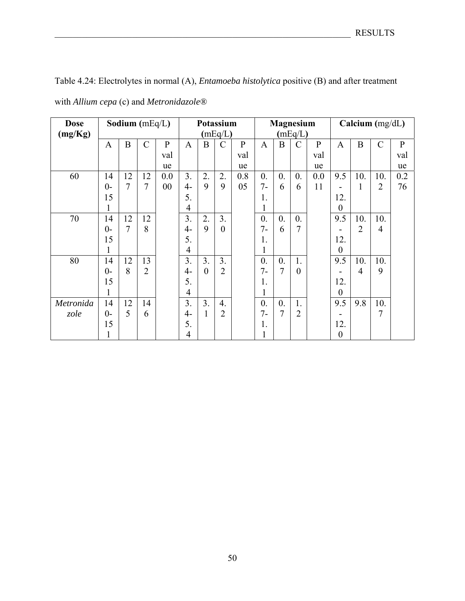Table 4.24: Electrolytes in normal (A), *Entamoeba histolytica* positive (B) and after treatment

| <b>Dose</b><br>(mg/Kg) | Sodium $(mEq/L)$ |    |                |              | Potassium<br>(mEq/L) |                  |                  |              | <b>Magnesium</b><br>(mEq/L) |                  |                  |              | Calcium (mg/dL) |                |                |              |
|------------------------|------------------|----|----------------|--------------|----------------------|------------------|------------------|--------------|-----------------------------|------------------|------------------|--------------|-----------------|----------------|----------------|--------------|
|                        | $\mathbf{A}$     | B  | $\mathcal{C}$  | $\mathbf{P}$ | $\mathbf{A}$         | B                | $\overline{C}$   | $\mathbf{P}$ | $\mathbf{A}$                | B                | C                | $\mathbf{P}$ | $\mathbf{A}$    | B              | $\mathcal{C}$  | $\mathbf{P}$ |
|                        |                  |    |                | val          |                      |                  |                  | val          |                             |                  |                  | val          |                 |                |                | val          |
|                        |                  |    |                | ue           |                      |                  |                  | ue           |                             |                  |                  | ue           |                 |                |                | ue           |
| 60                     | 14               | 12 | 12             | 0.0          | 3.                   | 2.               | 2.               | 0.8          | $\overline{0}$ .            | $\overline{0}$ . | $\overline{0}$ . | 0.0          | 9.5             | 10.            | 10.            | 0.2          |
|                        | $0-$             | 7  | 7              | 00           | $4-$                 | 9                | 9                | 05           | $7 -$                       | 6                | 6                | 11           | ۰               | 1              | $\overline{2}$ | 76           |
|                        | 15               |    |                |              | 5.                   |                  |                  |              | 1.                          |                  |                  |              | 12.             |                |                |              |
|                        |                  |    |                |              | $\overline{4}$       |                  |                  |              |                             |                  |                  |              | $\theta$        |                |                |              |
| 70                     | 14               | 12 | 12             |              | 3.                   | $\overline{2}$ . | $\overline{3}$ . |              | $\overline{0}$ .            | $\overline{0}$ . | $\overline{0}$ . |              | 9.5             | 10.            | 10.            |              |
|                        | $0-$             | 7  | 8              |              | $4-$                 | 9                | $\overline{0}$   |              | $7-$                        | 6                | 7                |              |                 | $\overline{2}$ | $\overline{4}$ |              |
|                        | 15               |    |                |              | 5.                   |                  |                  |              | 1.                          |                  |                  |              | 12.             |                |                |              |
|                        |                  |    |                |              | $\overline{4}$       |                  |                  |              |                             |                  |                  |              | $\theta$        |                |                |              |
| 80                     | 14               | 12 | 13             |              | 3.                   | 3.               | $\overline{3}$ . |              | $\overline{0}$ .            | $\theta$ .       | 1.               |              | 9.5             | 10.            | 10.            |              |
|                        | $0-$             | 8  | $\overline{2}$ |              | $4-$                 | $\overline{0}$   | $\overline{2}$   |              | $7-$                        | 7                | $\theta$         |              |                 | 4              | 9              |              |
|                        | 15               |    |                |              | 5.                   |                  |                  |              | 1.                          |                  |                  |              | 12.             |                |                |              |
|                        |                  |    |                |              | $\overline{4}$       |                  |                  |              |                             |                  |                  |              | $\overline{0}$  |                |                |              |
| Metronida              | 14               | 12 | 14             |              | 3.                   | 3.               | $\overline{4}$ . |              | $\overline{0}$ .            | $\theta$ .       | 1.               |              | 9.5             | 9.8            | 10.            |              |
| zole                   | $0-$             | 5  | 6              |              | $4-$                 | 1                | 2                |              | $7-$                        | 7                | $\overline{2}$   |              |                 |                | $\overline{7}$ |              |
|                        | 15               |    |                |              | 5.                   |                  |                  |              | 1.                          |                  |                  |              | 12.             |                |                |              |
|                        |                  |    |                |              | 4                    |                  |                  |              |                             |                  |                  |              | $\theta$        |                |                |              |

with *Allium cepa* (c) and *Metronidazole®*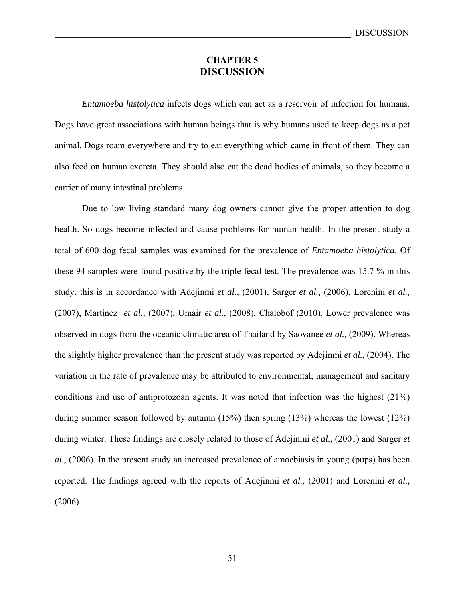# **CHAPTER 5 DISCUSSION**

 *Entamoeba histolytica* infects dogs which can act as a reservoir of infection for humans. Dogs have great associations with human beings that is why humans used to keep dogs as a pet animal. Dogs roam everywhere and try to eat everything which came in front of them. They can also feed on human excreta. They should also eat the dead bodies of animals, so they become a carrier of many intestinal problems.

Due to low living standard many dog owners cannot give the proper attention to dog health. So dogs become infected and cause problems for human health. In the present study a total of 600 dog fecal samples was examined for the prevalence of *Entamoeba histolytica*. Of these 94 samples were found positive by the triple fecal test. The prevalence was 15.7 % in this study, this is in accordance with Adejinmi *et al.,* (2001), Sarger *et al.,* (2006), Lorenini *et al.,* (2007), Martinez *et al.,* (2007), Umair *et al.,* (2008), Chalobof (2010). Lower prevalence was observed in dogs from the oceanic climatic area of Thailand by Saovanee *et al.,* (2009). Whereas the slightly higher prevalence than the present study was reported by Adejinmi *et al.,* (2004). The variation in the rate of prevalence may be attributed to environmental, management and sanitary conditions and use of antiprotozoan agents. It was noted that infection was the highest (21%) during summer season followed by autumn  $(15%)$  then spring  $(13%)$  whereas the lowest  $(12%)$ during winter. These findings are closely related to those of Adejinmi *et al.,* (2001) and Sarger *et al.,* (2006). In the present study an increased prevalence of amoebiasis in young (pups) has been reported. The findings agreed with the reports of Adejinmi *et al.,* (2001) and Lorenini *et al.,* (2006).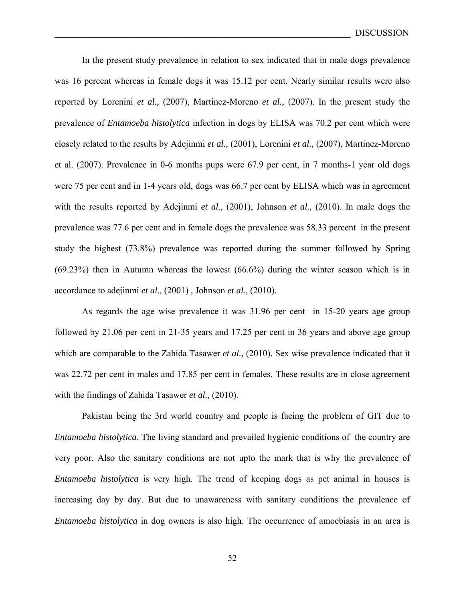In the present study prevalence in relation to sex indicated that in male dogs prevalence was 16 percent whereas in female dogs it was 15.12 per cent. Nearly similar results were also reported by Lorenini *et al.,* (2007), Martinez-Moreno *et al.,* (2007). In the present study the prevalence of *Entamoeba histolytica* infection in dogs by ELISA was 70.2 per cent which were closely related to the results by Adejinmi *et al.,* (2001), Lorenini *et al.,* (2007), Martinez-Moreno et al. (2007). Prevalence in 0-6 months pups were 67.9 per cent, in 7 months-1 year old dogs were 75 per cent and in 1-4 years old, dogs was 66.7 per cent by ELISA which was in agreement with the results reported by Adejinmi *et al.,* (2001), Johnson *et al.,* (2010). In male dogs the prevalence was 77.6 per cent and in female dogs the prevalence was 58.33 percent in the present study the highest (73.8%) prevalence was reported during the summer followed by Spring (69.23%) then in Autumn whereas the lowest (66.6%) during the winter season which is in accordance to adejinmi *et al.,* (2001) , Johnson *et al.,* (2010).

 As regards the age wise prevalence it was 31.96 per cent in 15-20 years age group followed by 21.06 per cent in 21-35 years and 17.25 per cent in 36 years and above age group which are comparable to the Zahida Tasawer *et al.,* (2010). Sex wise prevalence indicated that it was 22.72 per cent in males and 17.85 per cent in females. These results are in close agreement with the findings of Zahida Tasawer *et al.,* (2010).

Pakistan being the 3rd world country and people is facing the problem of GIT due to *Entamoeba histolytica*. The living standard and prevailed hygienic conditions of the country are very poor. Also the sanitary conditions are not upto the mark that is why the prevalence of *Entamoeba histolytica* is very high. The trend of keeping dogs as pet animal in houses is increasing day by day. But due to unawareness with sanitary conditions the prevalence of *Entamoeba histolytica* in dog owners is also high. The occurrence of amoebiasis in an area is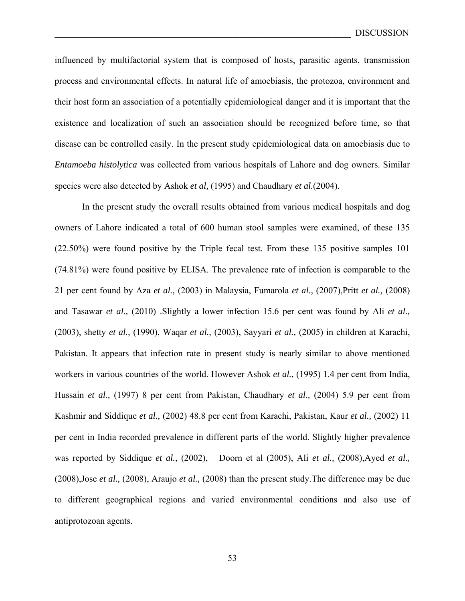influenced by multifactorial system that is composed of hosts, parasitic agents, transmission process and environmental effects. In natural life of amoebiasis, the protozoa, environment and their host form an association of a potentially epidemiological danger and it is important that the existence and localization of such an association should be recognized before time, so that disease can be controlled easily. In the present study epidemiological data on amoebiasis due to *Entamoeba histolytica* was collected from various hospitals of Lahore and dog owners. Similar species were also detected by Ashok *et al,* (1995) and Chaudhary *et al.*(2004).

In the present study the overall results obtained from various medical hospitals and dog owners of Lahore indicated a total of 600 human stool samples were examined, of these 135 (22.50%) were found positive by the Triple fecal test. From these 135 positive samples 101 (74.81%) were found positive by ELISA. The prevalence rate of infection is comparable to the 21 per cent found by Aza *et al.,* (2003) in Malaysia, Fumarola *et al.,* (2007),Pritt *et al.,* (2008) and Tasawar *et al.,* (2010) .Slightly a lower infection 15.6 per cent was found by Ali *et al.,* (2003), shetty *et al.,* (1990), Waqar *et al.,* (2003), Sayyari *et al.,* (2005) in children at Karachi, Pakistan. It appears that infection rate in present study is nearly similar to above mentioned workers in various countries of the world. However Ashok *et al.,* (1995) 1.4 per cent from India, Hussain *et al.,* (1997) 8 per cent from Pakistan, Chaudhary *et al.,* (2004) 5.9 per cent from Kashmir and Siddique *et al.,* (2002) 48.8 per cent from Karachi, Pakistan, Kaur *et al.,* (2002) 11 per cent in India recorded prevalence in different parts of the world. Slightly higher prevalence was reported by Siddique *et al.,* (2002), Doorn et al (2005), Ali *et al.,* (2008),Ayed *et al.,* (2008),Jose *et al.,* (2008), Araujo *et al.,* (2008) than the present study.The difference may be due to different geographical regions and varied environmental conditions and also use of antiprotozoan agents.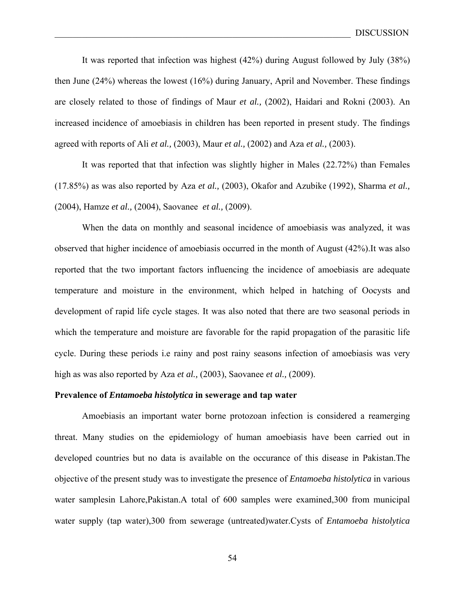It was reported that infection was highest (42%) during August followed by July (38%) then June (24%) whereas the lowest (16%) during January, April and November. These findings are closely related to those of findings of Maur *et al.,* (2002), Haidari and Rokni (2003). An increased incidence of amoebiasis in children has been reported in present study. The findings agreed with reports of Ali *et al.,* (2003), Maur *et al.,* (2002) and Aza *et al.,* (2003).

 It was reported that that infection was slightly higher in Males (22.72%) than Females (17.85%) as was also reported by Aza *et al.,* (2003), Okafor and Azubike (1992), Sharma *et al.,* (2004), Hamze *et al.,* (2004), Saovanee *et al.,* (2009).

When the data on monthly and seasonal incidence of amoebiasis was analyzed, it was observed that higher incidence of amoebiasis occurred in the month of August (42%).It was also reported that the two important factors influencing the incidence of amoebiasis are adequate temperature and moisture in the environment, which helped in hatching of Oocysts and development of rapid life cycle stages. It was also noted that there are two seasonal periods in which the temperature and moisture are favorable for the rapid propagation of the parasitic life cycle. During these periods i.e rainy and post rainy seasons infection of amoebiasis was very high as was also reported by Aza *et al.,* (2003), Saovanee *et al.,* (2009).

## **Prevalence of** *Entamoeba histolytica* **in sewerage and tap water**

 Amoebiasis an important water borne protozoan infection is considered a reamerging threat. Many studies on the epidemiology of human amoebiasis have been carried out in developed countries but no data is available on the occurance of this disease in Pakistan.The objective of the present study was to investigate the presence of *Entamoeba histolytica* in various water samplesin Lahore, Pakistan.A total of 600 samples were examined, 300 from municipal water supply (tap water),300 from sewerage (untreated)water.Cysts of *Entamoeba histolytica*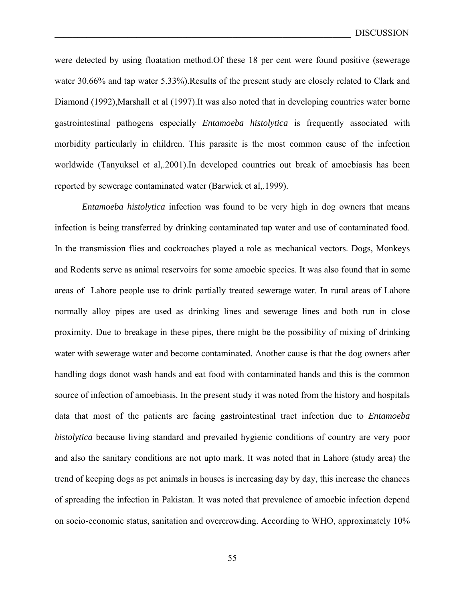were detected by using floatation method.Of these 18 per cent were found positive (sewerage water 30.66% and tap water 5.33%).Results of the present study are closely related to Clark and Diamond (1992),Marshall et al (1997).It was also noted that in developing countries water borne gastrointestinal pathogens especially *Entamoeba histolytica* is frequently associated with morbidity particularly in children. This parasite is the most common cause of the infection worldwide (Tanyuksel et al,.2001).In developed countries out break of amoebiasis has been reported by sewerage contaminated water (Barwick et al,.1999).

*Entamoeba histolytica* infection was found to be very high in dog owners that means infection is being transferred by drinking contaminated tap water and use of contaminated food. In the transmission flies and cockroaches played a role as mechanical vectors. Dogs, Monkeys and Rodents serve as animal reservoirs for some amoebic species. It was also found that in some areas of Lahore people use to drink partially treated sewerage water. In rural areas of Lahore normally alloy pipes are used as drinking lines and sewerage lines and both run in close proximity. Due to breakage in these pipes, there might be the possibility of mixing of drinking water with sewerage water and become contaminated. Another cause is that the dog owners after handling dogs donot wash hands and eat food with contaminated hands and this is the common source of infection of amoebiasis. In the present study it was noted from the history and hospitals data that most of the patients are facing gastrointestinal tract infection due to *Entamoeba histolytica* because living standard and prevailed hygienic conditions of country are very poor and also the sanitary conditions are not upto mark. It was noted that in Lahore (study area) the trend of keeping dogs as pet animals in houses is increasing day by day, this increase the chances of spreading the infection in Pakistan. It was noted that prevalence of amoebic infection depend on socio-economic status, sanitation and overcrowding. According to WHO, approximately 10%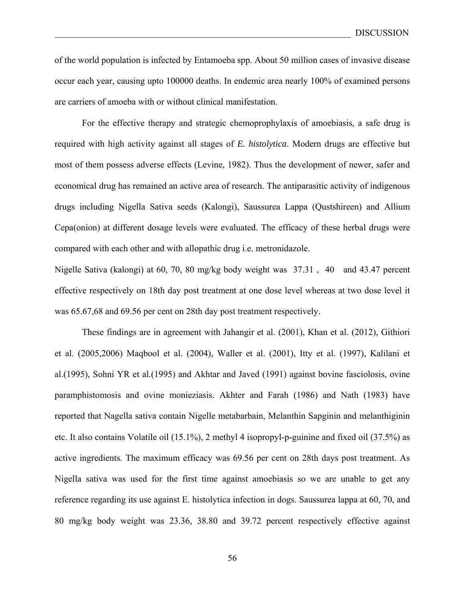of the world population is infected by Entamoeba spp. About 50 million cases of invasive disease occur each year, causing upto 100000 deaths. In endemic area nearly 100% of examined persons are carriers of amoeba with or without clinical manifestation.

For the effective therapy and strategic chemoprophylaxis of amoebiasis, a safe drug is required with high activity against all stages of *E. histolytica*. Modern drugs are effective but most of them possess adverse effects (Levine, 1982). Thus the development of newer, safer and economical drug has remained an active area of research. The antiparasitic activity of indigenous drugs including Nigella Sativa seeds (Kalongi), Saussurea Lappa (Qustshireen) and Allium Cepa(onion) at different dosage levels were evaluated. The efficacy of these herbal drugs were compared with each other and with allopathic drug i.e. metronidazole.

Nigelle Sativa (kalongi) at 60, 70, 80 mg/kg body weight was 37.31 , 40 and 43.47 percent effective respectively on 18th day post treatment at one dose level whereas at two dose level it was 65.67,68 and 69.56 per cent on 28th day post treatment respectively.

These findings are in agreement with Jahangir et al. (2001), Khan et al. (2012), Githiori et al. (2005,2006) Maqbool et al. (2004), Waller et al. (2001), Itty et al. (1997), Kalilani et al.(1995), Sohni YR et al.(1995) and Akhtar and Javed (1991) against bovine fasciolosis, ovine paramphistomosis and ovine monieziasis. Akhter and Farah (1986) and Nath (1983) have reported that Nagella sativa contain Nigelle metabarbain, Melanthin Sapginin and melanthiginin etc. It also contains Volatile oil (15.1%), 2 methyl 4 isopropyl-p-guinine and fixed oil (37.5%) as active ingredients. The maximum efficacy was 69.56 per cent on 28th days post treatment. As Nigella sativa was used for the first time against amoebiasis so we are unable to get any reference regarding its use against E. histolytica infection in dogs. Saussurea lappa at 60, 70, and 80 mg/kg body weight was 23.36, 38.80 and 39.72 percent respectively effective against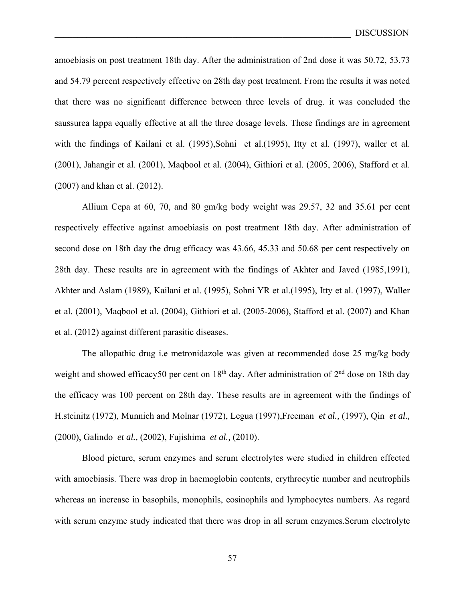amoebiasis on post treatment 18th day. After the administration of 2nd dose it was 50.72, 53.73 and 54.79 percent respectively effective on 28th day post treatment. From the results it was noted that there was no significant difference between three levels of drug. it was concluded the saussurea lappa equally effective at all the three dosage levels. These findings are in agreement with the findings of Kailani et al. (1995),Sohni et al.(1995), Itty et al. (1997), waller et al. (2001), Jahangir et al. (2001), Maqbool et al. (2004), Githiori et al. (2005, 2006), Stafford et al. (2007) and khan et al. (2012).

Allium Cepa at 60, 70, and 80 gm/kg body weight was 29.57, 32 and 35.61 per cent respectively effective against amoebiasis on post treatment 18th day. After administration of second dose on 18th day the drug efficacy was 43.66, 45.33 and 50.68 per cent respectively on 28th day. These results are in agreement with the findings of Akhter and Javed (1985,1991), Akhter and Aslam (1989), Kailani et al. (1995), Sohni YR et al.(1995), Itty et al. (1997), Waller et al. (2001), Maqbool et al. (2004), Githiori et al. (2005-2006), Stafford et al. (2007) and Khan et al. (2012) against different parasitic diseases.

The allopathic drug i.e metronidazole was given at recommended dose 25 mg/kg body weight and showed efficacy50 per cent on 18<sup>th</sup> day. After administration of 2<sup>nd</sup> dose on 18th day the efficacy was 100 percent on 28th day. These results are in agreement with the findings of H.steinitz (1972), Munnich and Molnar (1972), Legua (1997),Freeman *et al.,* (1997), Qin *et al.,* (2000), Galindo *et al.,* (2002), Fujishima *et al.,* (2010).

Blood picture, serum enzymes and serum electrolytes were studied in children effected with amoebiasis. There was drop in haemoglobin contents, erythrocytic number and neutrophils whereas an increase in basophils, monophils, eosinophils and lymphocytes numbers. As regard with serum enzyme study indicated that there was drop in all serum enzymes. Serum electrolyte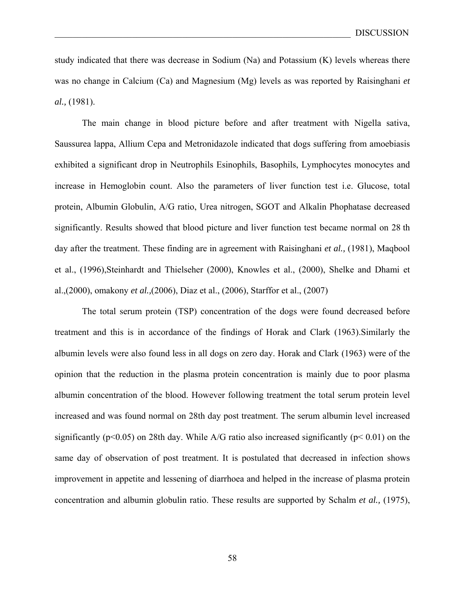study indicated that there was decrease in Sodium  $(Na)$  and Potassium  $(K)$  levels whereas there was no change in Calcium (Ca) and Magnesium (Mg) levels as was reported by Raisinghani *et al.,* (1981).

The main change in blood picture before and after treatment with Nigella sativa, Saussurea lappa, Allium Cepa and Metronidazole indicated that dogs suffering from amoebiasis exhibited a significant drop in Neutrophils Esinophils, Basophils, Lymphocytes monocytes and increase in Hemoglobin count. Also the parameters of liver function test i.e. Glucose, total protein, Albumin Globulin, A/G ratio, Urea nitrogen, SGOT and Alkalin Phophatase decreased significantly. Results showed that blood picture and liver function test became normal on 28 th day after the treatment. These finding are in agreement with Raisinghani *et al.,* (1981), Maqbool et al., (1996),Steinhardt and Thielseher (2000), Knowles et al., (2000), Shelke and Dhami et al.,(2000), omakony *et al.,*(2006), Diaz et al., (2006), Starffor et al., (2007)

 The total serum protein (TSP) concentration of the dogs were found decreased before treatment and this is in accordance of the findings of Horak and Clark (1963).Similarly the albumin levels were also found less in all dogs on zero day. Horak and Clark (1963) were of the opinion that the reduction in the plasma protein concentration is mainly due to poor plasma albumin concentration of the blood. However following treatment the total serum protein level increased and was found normal on 28th day post treatment. The serum albumin level increased significantly ( $p<0.05$ ) on 28th day. While A/G ratio also increased significantly ( $p<0.01$ ) on the same day of observation of post treatment. It is postulated that decreased in infection shows improvement in appetite and lessening of diarrhoea and helped in the increase of plasma protein concentration and albumin globulin ratio. These results are supported by Schalm *et al.,* (1975),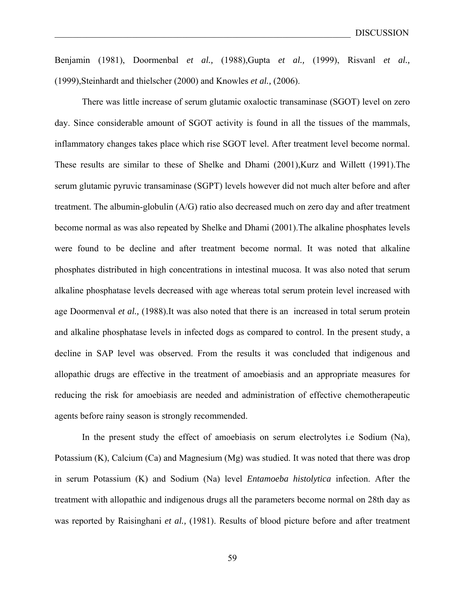Benjamin (1981), Doormenbal *et al.,* (1988),Gupta *et al.,* (1999), Risvanl *et al.,* (1999),Steinhardt and thielscher (2000) and Knowles *et al.,* (2006).

There was little increase of serum glutamic oxaloctic transaminase (SGOT) level on zero day. Since considerable amount of SGOT activity is found in all the tissues of the mammals, inflammatory changes takes place which rise SGOT level. After treatment level become normal. These results are similar to these of Shelke and Dhami (2001),Kurz and Willett (1991).The serum glutamic pyruvic transaminase (SGPT) levels however did not much alter before and after treatment. The albumin-globulin (A/G) ratio also decreased much on zero day and after treatment become normal as was also repeated by Shelke and Dhami (2001).The alkaline phosphates levels were found to be decline and after treatment become normal. It was noted that alkaline phosphates distributed in high concentrations in intestinal mucosa. It was also noted that serum alkaline phosphatase levels decreased with age whereas total serum protein level increased with age Doormenval *et al.,* (1988).It was also noted that there is an increased in total serum protein and alkaline phosphatase levels in infected dogs as compared to control. In the present study, a decline in SAP level was observed. From the results it was concluded that indigenous and allopathic drugs are effective in the treatment of amoebiasis and an appropriate measures for reducing the risk for amoebiasis are needed and administration of effective chemotherapeutic agents before rainy season is strongly recommended.

 In the present study the effect of amoebiasis on serum electrolytes i.e Sodium (Na), Potassium (K), Calcium (Ca) and Magnesium (Mg) was studied. It was noted that there was drop in serum Potassium (K) and Sodium (Na) level *Entamoeba histolytica* infection. After the treatment with allopathic and indigenous drugs all the parameters become normal on 28th day as was reported by Raisinghani *et al.,* (1981). Results of blood picture before and after treatment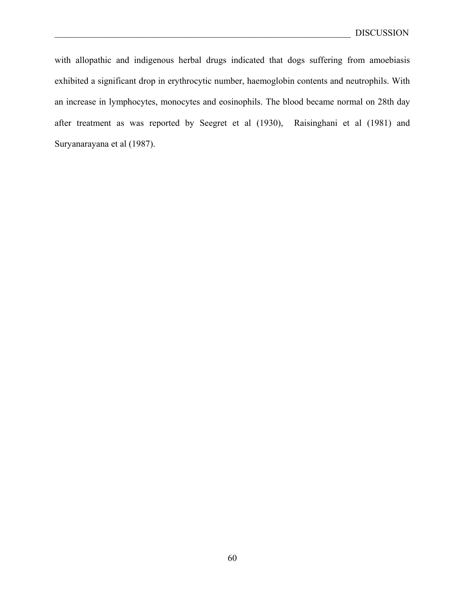with allopathic and indigenous herbal drugs indicated that dogs suffering from amoebiasis exhibited a significant drop in erythrocytic number, haemoglobin contents and neutrophils. With an increase in lymphocytes, monocytes and eosinophils. The blood became normal on 28th day after treatment as was reported by Seegret et al (1930), Raisinghani et al (1981) and Suryanarayana et al (1987).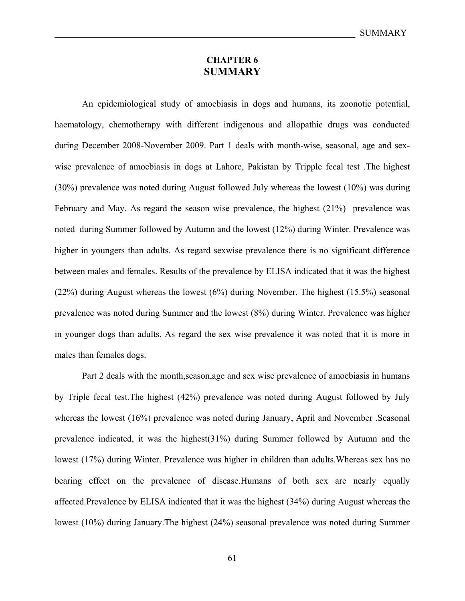# **CHAPTER 6 SUMMARY**

 An epidemiological study of amoebiasis in dogs and humans, its zoonotic potential, haematology, chemotherapy with different indigenous and allopathic drugs was conducted during December 2008-November 2009. Part 1 deals with month-wise, seasonal, age and sexwise prevalence of amoebiasis in dogs at Lahore, Pakistan by Tripple fecal test .The highest (30%) prevalence was noted during August followed July whereas the lowest (10%) was during February and May. As regard the season wise prevalence, the highest (21%) prevalence was noted during Summer followed by Autumn and the lowest (12%) during Winter. Prevalence was higher in youngers than adults. As regard sexwise prevalence there is no significant difference between males and females. Results of the prevalence by ELISA indicated that it was the highest (22%) during August whereas the lowest (6%) during November. The highest (15.5%) seasonal prevalence was noted during Summer and the lowest (8%) during Winter. Prevalence was higher in younger dogs than adults. As regard the sex wise prevalence it was noted that it is more in males than females dogs.

Part 2 deals with the month,season,age and sex wise prevalence of amoebiasis in humans by Triple fecal test.The highest (42%) prevalence was noted during August followed by July whereas the lowest (16%) prevalence was noted during January, April and November .Seasonal prevalence indicated, it was the highest(31%) during Summer followed by Autumn and the lowest (17%) during Winter. Prevalence was higher in children than adults.Whereas sex has no bearing effect on the prevalence of disease.Humans of both sex are nearly equally affected.Prevalence by ELISA indicated that it was the highest (34%) during August whereas the lowest (10%) during January.The highest (24%) seasonal prevalence was noted during Summer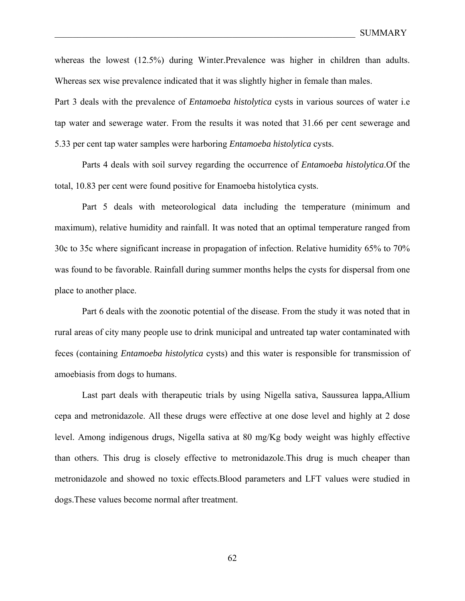whereas the lowest (12.5%) during Winter.Prevalence was higher in children than adults. Whereas sex wise prevalence indicated that it was slightly higher in female than males.

Part 3 deals with the prevalence of *Entamoeba histolytica* cysts in various sources of water i.e tap water and sewerage water. From the results it was noted that 31.66 per cent sewerage and 5.33 per cent tap water samples were harboring *Entamoeba histolytica* cysts.

 Parts 4 deals with soil survey regarding the occurrence of *Entamoeba histolytica*.Of the total, 10.83 per cent were found positive for Enamoeba histolytica cysts.

 Part 5 deals with meteorological data including the temperature (minimum and maximum), relative humidity and rainfall. It was noted that an optimal temperature ranged from 30c to 35c where significant increase in propagation of infection. Relative humidity 65% to 70% was found to be favorable. Rainfall during summer months helps the cysts for dispersal from one place to another place.

 Part 6 deals with the zoonotic potential of the disease. From the study it was noted that in rural areas of city many people use to drink municipal and untreated tap water contaminated with feces (containing *Entamoeba histolytica* cysts) and this water is responsible for transmission of amoebiasis from dogs to humans.

 Last part deals with therapeutic trials by using Nigella sativa, Saussurea lappa,Allium cepa and metronidazole. All these drugs were effective at one dose level and highly at 2 dose level. Among indigenous drugs, Nigella sativa at 80 mg/Kg body weight was highly effective than others. This drug is closely effective to metronidazole.This drug is much cheaper than metronidazole and showed no toxic effects.Blood parameters and LFT values were studied in dogs.These values become normal after treatment.

62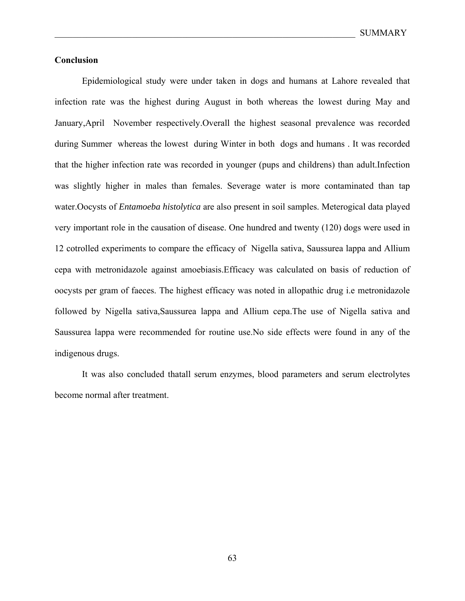## **Conclusion**

 Epidemiological study were under taken in dogs and humans at Lahore revealed that infection rate was the highest during August in both whereas the lowest during May and January,April November respectively.Overall the highest seasonal prevalence was recorded during Summer whereas the lowest during Winter in both dogs and humans . It was recorded that the higher infection rate was recorded in younger (pups and childrens) than adult.Infection was slightly higher in males than females. Severage water is more contaminated than tap water.Oocysts of *Entamoeba histolytica* are also present in soil samples. Meterogical data played very important role in the causation of disease. One hundred and twenty (120) dogs were used in 12 cotrolled experiments to compare the efficacy of Nigella sativa, Saussurea lappa and Allium cepa with metronidazole against amoebiasis.Efficacy was calculated on basis of reduction of oocysts per gram of faeces. The highest efficacy was noted in allopathic drug i.e metronidazole followed by Nigella sativa,Saussurea lappa and Allium cepa.The use of Nigella sativa and Saussurea lappa were recommended for routine use.No side effects were found in any of the indigenous drugs.

 It was also concluded thatall serum enzymes, blood parameters and serum electrolytes become normal after treatment.

63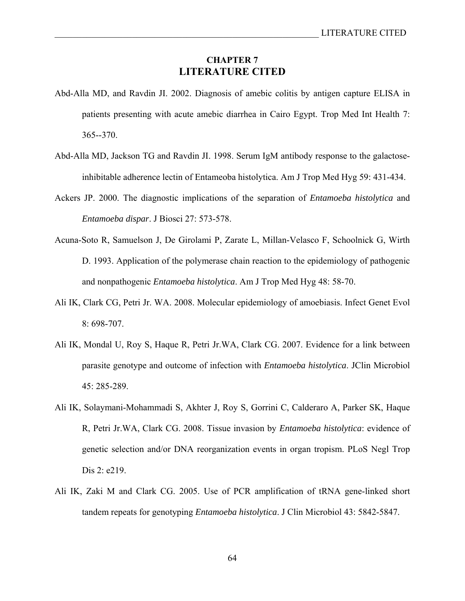# **CHAPTER 7 LITERATURE CITED**

- Abd-Alla MD, and Ravdin JI. 2002. Diagnosis of amebic colitis by antigen capture ELISA in patients presenting with acute amebic diarrhea in Cairo Egypt. Trop Med Int Health 7: 365--370.
- Abd-Alla MD, Jackson TG and Ravdin JI. 1998. Serum IgM antibody response to the galactoseinhibitable adherence lectin of Entameoba histolytica. Am J Trop Med Hyg 59: 431-434.
- Ackers JP. 2000. The diagnostic implications of the separation of *Entamoeba histolytica* and *Entamoeba dispar*. J Biosci 27: 573-578.
- Acuna-Soto R, Samuelson J, De Girolami P, Zarate L, Millan-Velasco F, Schoolnick G, Wirth D. 1993. Application of the polymerase chain reaction to the epidemiology of pathogenic and nonpathogenic *Entamoeba histolytica*. Am J Trop Med Hyg 48: 58-70.
- Ali IK, Clark CG, Petri Jr. WA. 2008. Molecular epidemiology of amoebiasis. Infect Genet Evol 8: 698-707.
- Ali IK, Mondal U, Roy S, Haque R, Petri Jr.WA, Clark CG. 2007. Evidence for a link between parasite genotype and outcome of infection with *Entamoeba histolytica*. JClin Microbiol 45: 285-289.
- Ali IK, Solaymani-Mohammadi S, Akhter J, Roy S, Gorrini C, Calderaro A, Parker SK, Haque R, Petri Jr.WA, Clark CG. 2008. Tissue invasion by *Entamoeba histolytica*: evidence of genetic selection and/or DNA reorganization events in organ tropism. PLoS Negl Trop Dis 2: e219.
- Ali IK, Zaki M and Clark CG. 2005. Use of PCR amplification of tRNA gene-linked short tandem repeats for genotyping *Entamoeba histolytica*. J Clin Microbiol 43: 5842-5847.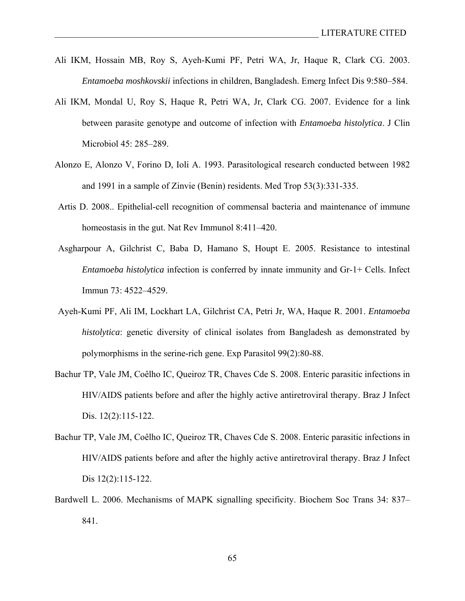- Ali IKM, Hossain MB, Roy S, Ayeh-Kumi PF, Petri WA, Jr, Haque R, Clark CG. 2003. *Entamoeba moshkovskii* infections in children, Bangladesh. Emerg Infect Dis 9:580–584.
- Ali IKM, Mondal U, Roy S, Haque R, Petri WA, Jr, Clark CG. 2007. Evidence for a link between parasite genotype and outcome of infection with *Entamoeba histolytica*. J Clin Microbiol 45: 285–289.
- Alonzo E, Alonzo V, Forino D, Ioli A. 1993. Parasitological research conducted between 1982 and 1991 in a sample of Zinvie (Benin) residents. Med Trop 53(3):331-335.
- Artis D. 2008.. Epithelial-cell recognition of commensal bacteria and maintenance of immune homeostasis in the gut. Nat Rev Immunol 8:411–420.
- Asgharpour A, Gilchrist C, Baba D, Hamano S, Houpt E. 2005. Resistance to intestinal *Entamoeba histolytica* infection is conferred by innate immunity and Gr-1+ Cells. Infect Immun 73: 4522–4529.
- Ayeh-Kumi PF, Ali IM, Lockhart LA, Gilchrist CA, Petri Jr, WA, Haque R. 2001. *Entamoeba histolytica*: genetic diversity of clinical isolates from Bangladesh as demonstrated by polymorphisms in the serine-rich gene. Exp Parasitol 99(2):80-88.
- Bachur TP, Vale JM, Coêlho IC, Queiroz TR, Chaves Cde S. 2008. Enteric parasitic infections in HIV/AIDS patients before and after the highly active antiretroviral therapy. Braz J Infect Dis. 12(2):115-122.
- Bachur TP, Vale JM, Coêlho IC, Queiroz TR, Chaves Cde S. 2008. Enteric parasitic infections in HIV/AIDS patients before and after the highly active antiretroviral therapy. Braz J Infect Dis 12(2):115-122.
- Bardwell L. 2006. Mechanisms of MAPK signalling specificity. Biochem Soc Trans 34: 837– 841.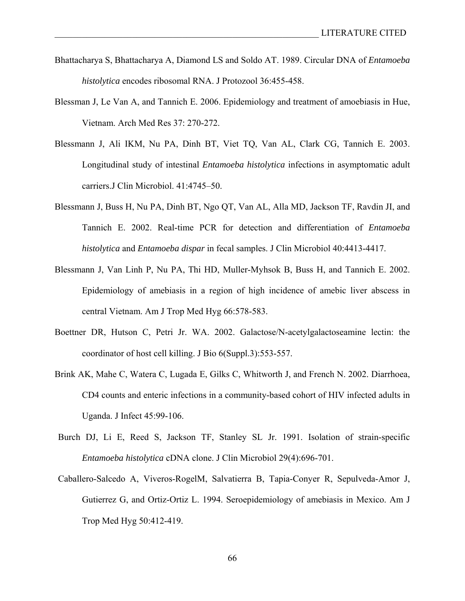- Bhattacharya S, Bhattacharya A, Diamond LS and Soldo AT. 1989. Circular DNA of *Entamoeba histolytica* encodes ribosomal RNA. J Protozool 36:455-458.
- Blessman J, Le Van A, and Tannich E. 2006. Epidemiology and treatment of amoebiasis in Hue, Vietnam. Arch Med Res 37: 270-272.
- Blessmann J, Ali IKM, Nu PA, Dinh BT, Viet TQ, Van AL, Clark CG, Tannich E. 2003. Longitudinal study of intestinal *Entamoeba histolytica* infections in asymptomatic adult carriers.J Clin Microbiol. 41:4745–50.
- Blessmann J, Buss H, Nu PA, Dinh BT, Ngo QT, Van AL, Alla MD, Jackson TF, Ravdin JI, and Tannich E. 2002. Real-time PCR for detection and differentiation of *Entamoeba histolytica* and *Entamoeba dispar* in fecal samples. J Clin Microbiol 40:4413-4417.
- Blessmann J, Van Linh P, Nu PA, Thi HD, Muller-Myhsok B, Buss H, and Tannich E. 2002. Epidemiology of amebiasis in a region of high incidence of amebic liver abscess in central Vietnam. Am J Trop Med Hyg 66:578-583.
- Boettner DR, Hutson C, Petri Jr. WA. 2002. Galactose/N-acetylgalactoseamine lectin: the coordinator of host cell killing. J Bio 6(Suppl.3):553-557.
- Brink AK, Mahe C, Watera C, Lugada E, Gilks C, Whitworth J, and French N. 2002. Diarrhoea, CD4 counts and enteric infections in a community-based cohort of HIV infected adults in Uganda. J Infect 45:99-106.
- Burch DJ, Li E, Reed S, Jackson TF, Stanley SL Jr. 1991. Isolation of strain-specific *Entamoeba histolytica* cDNA clone. J Clin Microbiol 29(4):696-701.
- Caballero-Salcedo A, Viveros-RogelM, Salvatierra B, Tapia-Conyer R, Sepulveda-Amor J, Gutierrez G, and Ortiz-Ortiz L. 1994. Seroepidemiology of amebiasis in Mexico. Am J Trop Med Hyg 50:412-419.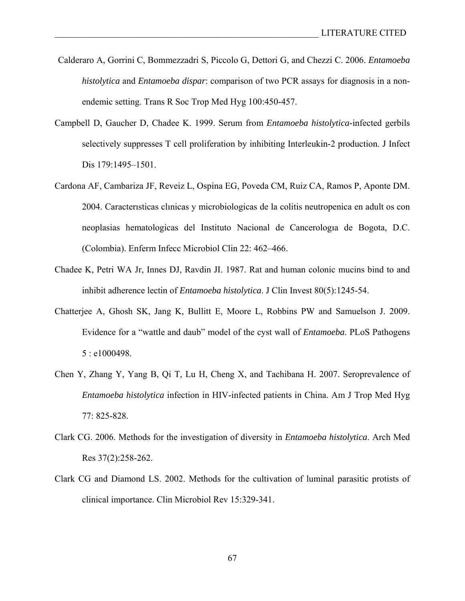- Calderaro A, Gorrini C, Bommezzadri S, Piccolo G, Dettori G, and Chezzi C. 2006. *Entamoeba histolytica* and *Entamoeba dispar*: comparison of two PCR assays for diagnosis in a nonendemic setting. Trans R Soc Trop Med Hyg 100:450-457.
- Campbell D, Gaucher D, Chadee K. 1999. Serum from *Entamoeba histolytica*-infected gerbils selectively suppresses T cell proliferation by inhibiting Interleukin-2 production. J Infect Dis 179:1495-1501.
- Cardona AF, Cambariza JF, Reveiz L, Ospina EG, Poveda CM, Ruiz CA, Ramos P, Aponte DM. 2004. Caracterısticas clınicas y microbiologicas de la colitis neutropenica en adult os con neoplasias hematologicas del Instituto Nacional de Cancerologıa de Bogota, D.C. (Colombia). Enferm Infecc Microbiol Clin 22: 462–466.
- Chadee K, Petri WA Jr, Innes DJ, Ravdin JI. 1987. Rat and human colonic mucins bind to and inhibit adherence lectin of *Entamoeba histolytica*. J Clin Invest 80(5):1245-54.
- Chatterjee A, Ghosh SK, Jang K, Bullitt E, Moore L, Robbins PW and Samuelson J. 2009. Evidence for a "wattle and daub" model of the cyst wall of *Entamoeba*. PLoS Pathogens 5 : e1000498.
- Chen Y, Zhang Y, Yang B, Qi T, Lu H, Cheng X, and Tachibana H. 2007. Seroprevalence of *Entamoeba histolytica* infection in HIV-infected patients in China. Am J Trop Med Hyg 77: 825-828.
- Clark CG. 2006. Methods for the investigation of diversity in *Entamoeba histolytica*. Arch Med Res 37(2):258-262.
- Clark CG and Diamond LS. 2002. Methods for the cultivation of luminal parasitic protists of clinical importance. Clin Microbiol Rev 15:329-341.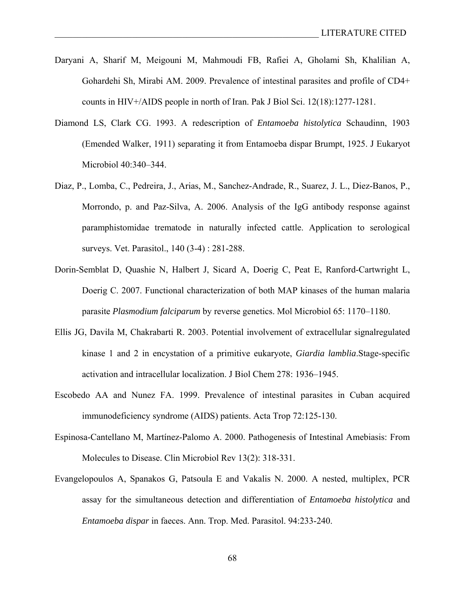- Daryani A, Sharif M, Meigouni M, Mahmoudi FB, Rafiei A, Gholami Sh, Khalilian A, Gohardehi Sh, Mirabi AM. 2009. Prevalence of intestinal parasites and profile of CD4+ counts in HIV+/AIDS people in north of Iran. Pak J Biol Sci. 12(18):1277-1281.
- Diamond LS, Clark CG. 1993. A redescription of *Entamoeba histolytica* Schaudinn, 1903 (Emended Walker, 1911) separating it from Entamoeba dispar Brumpt, 1925. J Eukaryot Microbiol 40:340–344.
- Diaz, P., Lomba, C., Pedreira, J., Arias, M., Sanchez-Andrade, R., Suarez, J. L., Diez-Banos, P., Morrondo, p. and Paz-Silva, A. 2006. Analysis of the IgG antibody response against paramphistomidae trematode in naturally infected cattle. Application to serological surveys. Vet. Parasitol., 140 (3-4) : 281-288.
- Dorin-Semblat D, Quashie N, Halbert J, Sicard A, Doerig C, Peat E, Ranford-Cartwright L, Doerig C. 2007. Functional characterization of both MAP kinases of the human malaria parasite *Plasmodium falciparum* by reverse genetics. Mol Microbiol 65: 1170–1180.
- Ellis JG, Davila M, Chakrabarti R. 2003. Potential involvement of extracellular signalregulated kinase 1 and 2 in encystation of a primitive eukaryote, *Giardia lamblia*.Stage-specific activation and intracellular localization. J Biol Chem 278: 1936–1945.
- Escobedo AA and Nunez FA. 1999. Prevalence of intestinal parasites in Cuban acquired immunodeficiency syndrome (AIDS) patients. Acta Trop 72:125-130.
- Espinosa-Cantellano M, Martínez-Palomo A. 2000. Pathogenesis of Intestinal Amebiasis: From Molecules to Disease. Clin Microbiol Rev 13(2): 318-331.
- Evangelopoulos A, Spanakos G, Patsoula E and Vakalis N. 2000. A nested, multiplex, PCR assay for the simultaneous detection and differentiation of *Entamoeba histolytica* and *Entamoeba dispar* in faeces. Ann. Trop. Med. Parasitol. 94:233-240.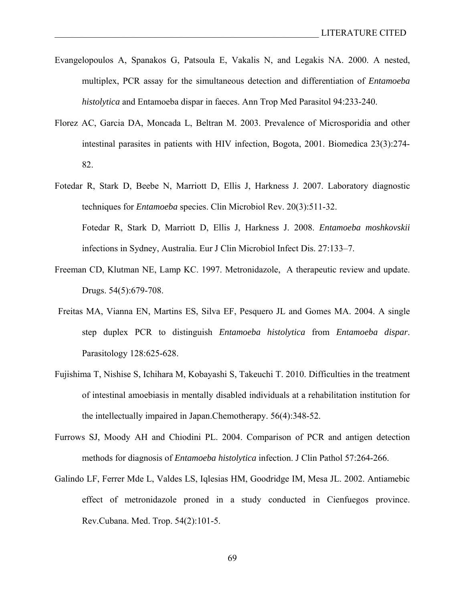- Evangelopoulos A, Spanakos G, Patsoula E, Vakalis N, and Legakis NA. 2000. A nested, multiplex, PCR assay for the simultaneous detection and differentiation of *Entamoeba histolytica* and Entamoeba dispar in faeces. Ann Trop Med Parasitol 94:233-240.
- Florez AC, Garcia DA, Moncada L, Beltran M. 2003. Prevalence of Microsporidia and other intestinal parasites in patients with HIV infection, Bogota, 2001. Biomedica 23(3):274- 82.
- Fotedar R, Stark D, Beebe N, Marriott D, Ellis J, Harkness J. 2007. Laboratory diagnostic techniques for *Entamoeba* species. Clin Microbiol Rev. 20(3):511-32. Fotedar R, Stark D, Marriott D, Ellis J, Harkness J. 2008. *Entamoeba moshkovskii*  infections in Sydney, Australia. Eur J Clin Microbiol Infect Dis. 27:133–7.
- Freeman CD, Klutman NE, Lamp KC. 1997. Metronidazole, A therapeutic review and update. Drugs. 54(5):679-708.
- Freitas MA, Vianna EN, Martins ES, Silva EF, Pesquero JL and Gomes MA. 2004. A single step duplex PCR to distinguish *Entamoeba histolytica* from *Entamoeba dispar*. Parasitology 128:625-628.
- Fujishima T, Nishise S, Ichihara M, Kobayashi S, Takeuchi T. 2010. Difficulties in the treatment of intestinal amoebiasis in mentally disabled individuals at a rehabilitation institution for the intellectually impaired in Japan.Chemotherapy. 56(4):348-52.
- Furrows SJ, Moody AH and Chiodini PL. 2004. Comparison of PCR and antigen detection methods for diagnosis of *Entamoeba histolytica* infection. J Clin Pathol 57:264-266.
- Galindo LF, Ferrer Mde L, Valdes LS, Iqlesias HM, Goodridge IM, Mesa JL. 2002. Antiamebic effect of metronidazole proned in a study conducted in Cienfuegos province. Rev.Cubana. Med. Trop. 54(2):101-5.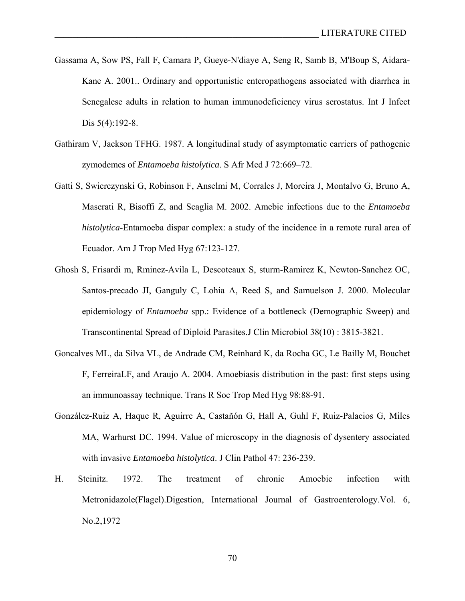- Gassama A, Sow PS, Fall F, Camara P, Gueye-N'diaye A, Seng R, Samb B, M'Boup S, Aidara-Kane A. 2001.. Ordinary and opportunistic enteropathogens associated with diarrhea in Senegalese adults in relation to human immunodeficiency virus serostatus. Int J Infect Dis 5(4):192-8.
- Gathiram V, Jackson TFHG. 1987. A longitudinal study of asymptomatic carriers of pathogenic zymodemes of *Entamoeba histolytica*. S Afr Med J 72:669–72.
- Gatti S, Swierczynski G, Robinson F, Anselmi M, Corrales J, Moreira J, Montalvo G, Bruno A, Maserati R, Bisoffi Z, and Scaglia M. 2002. Amebic infections due to the *Entamoeba histolytica*-Entamoeba dispar complex: a study of the incidence in a remote rural area of Ecuador. Am J Trop Med Hyg 67:123-127.
- Ghosh S, Frisardi m, Rminez-Avila L, Descoteaux S, sturm-Ramirez K, Newton-Sanchez OC, Santos-precado JI, Ganguly C, Lohia A, Reed S, and Samuelson J. 2000. Molecular epidemiology of *Entamoeba* spp.: Evidence of a bottleneck (Demographic Sweep) and Transcontinental Spread of Diploid Parasites.J Clin Microbiol 38(10) : 3815-3821.
- Goncalves ML, da Silva VL, de Andrade CM, Reinhard K, da Rocha GC, Le Bailly M, Bouchet F, FerreiraLF, and Araujo A. 2004. Amoebiasis distribution in the past: first steps using an immunoassay technique. Trans R Soc Trop Med Hyg 98:88-91.
- González-Ruiz A, Haque R, Aguirre A, Castañón G, Hall A, Guhl F, Ruiz-Palacios G, Miles MA, Warhurst DC. 1994. Value of microscopy in the diagnosis of dysentery associated with invasive *Entamoeba histolytica*. J Clin Pathol 47: 236-239.
- H. Steinitz. 1972. The treatment of chronic Amoebic infection with Metronidazole(Flagel).Digestion, International Journal of Gastroenterology.Vol. 6, No.2,1972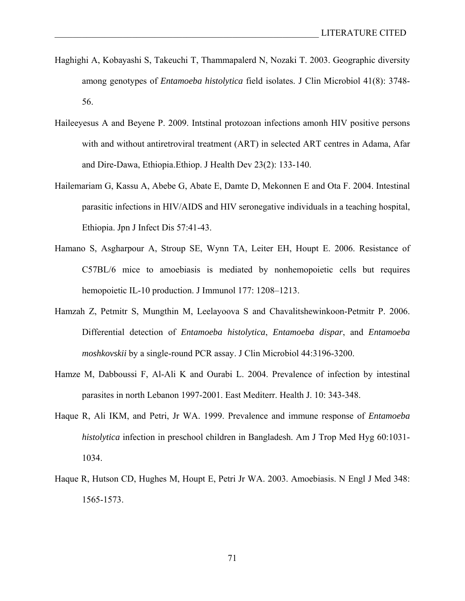- Haghighi A, Kobayashi S, Takeuchi T, Thammapalerd N, Nozaki T. 2003. Geographic diversity among genotypes of *Entamoeba histolytica* field isolates. J Clin Microbiol 41(8): 3748- 56.
- Haileeyesus A and Beyene P. 2009. Intstinal protozoan infections amonh HIV positive persons with and without antiretroviral treatment (ART) in selected ART centres in Adama, Afar and Dire-Dawa, Ethiopia.Ethiop. J Health Dev 23(2): 133-140.
- Hailemariam G, Kassu A, Abebe G, Abate E, Damte D, Mekonnen E and Ota F. 2004. Intestinal parasitic infections in HIV/AIDS and HIV seronegative individuals in a teaching hospital, Ethiopia. Jpn J Infect Dis 57:41-43.
- Hamano S, Asgharpour A, Stroup SE, Wynn TA, Leiter EH, Houpt E. 2006. Resistance of C57BL/6 mice to amoebiasis is mediated by nonhemopoietic cells but requires hemopoietic IL-10 production. J Immunol 177: 1208–1213.
- Hamzah Z, Petmitr S, Mungthin M, Leelayoova S and Chavalitshewinkoon-Petmitr P. 2006. Differential detection of *Entamoeba histolytica*, *Entamoeba dispar*, and *Entamoeba moshkovskii* by a single-round PCR assay. J Clin Microbiol 44:3196-3200.
- Hamze M, Dabboussi F, Al-Ali K and Ourabi L. 2004. Prevalence of infection by intestinal parasites in north Lebanon 1997-2001. East Mediterr. Health J. 10: 343-348.
- Haque R, Ali IKM, and Petri, Jr WA. 1999. Prevalence and immune response of *Entamoeba histolytica* infection in preschool children in Bangladesh. Am J Trop Med Hyg 60:1031- 1034.
- Haque R, Hutson CD, Hughes M, Houpt E, Petri Jr WA. 2003. Amoebiasis. N Engl J Med 348: 1565-1573.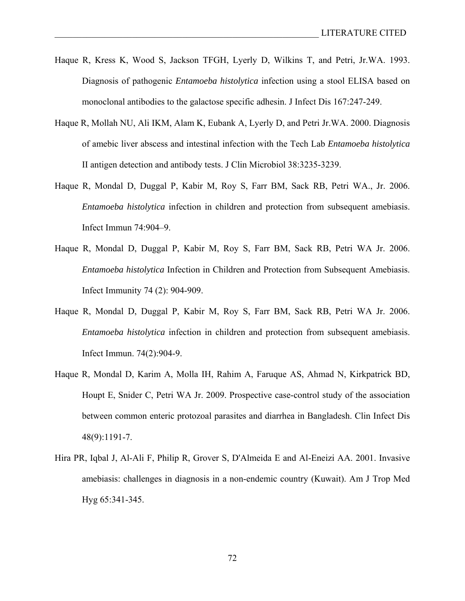- Haque R, Kress K, Wood S, Jackson TFGH, Lyerly D, Wilkins T, and Petri, Jr.WA. 1993. Diagnosis of pathogenic *Entamoeba histolytica* infection using a stool ELISA based on monoclonal antibodies to the galactose specific adhesin. J Infect Dis 167:247-249.
- Haque R, Mollah NU, Ali IKM, Alam K, Eubank A, Lyerly D, and Petri Jr.WA. 2000. Diagnosis of amebic liver abscess and intestinal infection with the Tech Lab *Entamoeba histolytica*  II antigen detection and antibody tests. J Clin Microbiol 38:3235-3239.
- Haque R, Mondal D, Duggal P, Kabir M, Roy S, Farr BM, Sack RB, Petri WA., Jr. 2006. *Entamoeba histolytica* infection in children and protection from subsequent amebiasis. Infect Immun 74:904–9.
- Haque R, Mondal D, Duggal P, Kabir M, Roy S, Farr BM, Sack RB, Petri WA Jr. 2006. *Entamoeba histolytica* Infection in Children and Protection from Subsequent Amebiasis. Infect Immunity 74 (2): 904-909.
- Haque R, Mondal D, Duggal P, Kabir M, Roy S, Farr BM, Sack RB, Petri WA Jr. 2006. *Entamoeba histolytica* infection in children and protection from subsequent amebiasis. Infect Immun. 74(2):904-9.
- Haque R, Mondal D, Karim A, Molla IH, Rahim A, Faruque AS, Ahmad N, Kirkpatrick BD, Houpt E, Snider C, Petri WA Jr. 2009. Prospective case-control study of the association between common enteric protozoal parasites and diarrhea in Bangladesh. Clin Infect Dis 48(9):1191-7.
- Hira PR, Iqbal J, Al-Ali F, Philip R, Grover S, D'Almeida E and Al-Eneizi AA. 2001. Invasive amebiasis: challenges in diagnosis in a non-endemic country (Kuwait). Am J Trop Med Hyg 65:341-345.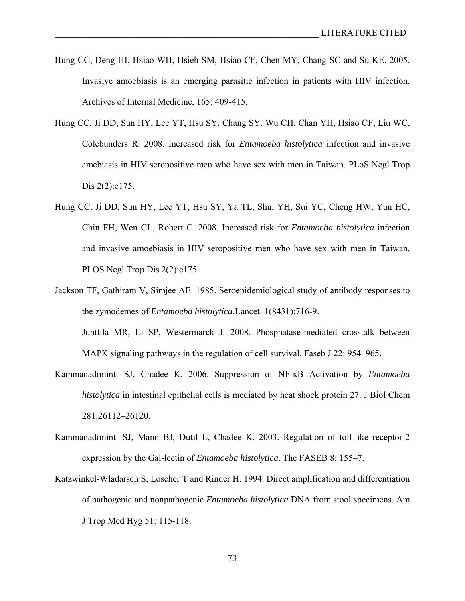- Hung CC, Deng HI, Hsiao WH, Hsieh SM, Hsiao CF, Chen MY, Chang SC and Su KE. 2005. Invasive amoebiasis is an emerging parasitic infection in patients with HIV infection. Archives of Internal Medicine, 165: 409-415.
- Hung CC, Ji DD, Sun HY, Lee YT, Hsu SY, Chang SY, Wu CH, Chan YH, Hsiao CF, Liu WC, Colebunders R. 2008. Increased risk for *Entamoeba histolytica* infection and invasive amebiasis in HIV seropositive men who have sex with men in Taiwan. PLoS Negl Trop Dis 2(2):e175.
- Hung CC, Ji DD, Sun HY, Lee YT, Hsu SY, Ya TL, Shui YH, Sui YC, Cheng HW, Yun HC, Chin FH, Wen CL, Robert C. 2008. Increased risk for *Entamoeba histolytica* infection and invasive amoebiasis in HIV seropositive men who have sex with men in Taiwan. PLOS Negl Trop Dis 2(2):e175.
- Jackson TF, Gathiram V, Simjee AE. 1985. Seroepidemiological study of antibody responses to the zymodemes of *Entamoeba histolytica*.Lancet. 1(8431):716-9.

Junttila MR, Li SP, Westermarck J. 2008. Phosphatase-mediated crosstalk between MAPK signaling pathways in the regulation of cell survival. Faseb J 22: 954–965.

- Kammanadiminti SJ, Chadee K. 2006. Suppression of NF-κB Activation by *Entamoeba histolytica* in intestinal epithelial cells is mediated by heat shock protein 27. J Biol Chem 281:26112–26120.
- Kammanadiminti SJ, Mann BJ, Dutil L, Chadee K. 2003. Regulation of toll-like receptor-2 expression by the Gal-lectin of *Entamoeba histolytica*. The FASEB 8: 155–7.
- Katzwinkel-Wladarsch S, Loscher T and Rinder H. 1994. Direct amplification and differentiation of pathogenic and nonpathogenic *Entamoeba histolytica* DNA from stool specimens. Am J Trop Med Hyg 51: 115-118.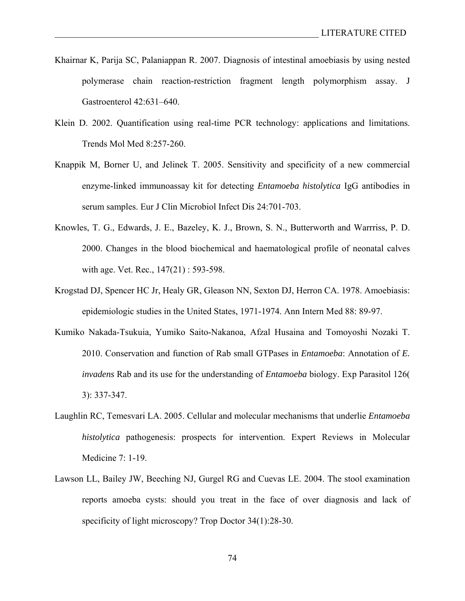- Khairnar K, Parija SC, Palaniappan R. 2007. Diagnosis of intestinal amoebiasis by using nested polymerase chain reaction-restriction fragment length polymorphism assay. J Gastroenterol 42:631–640.
- Klein D. 2002. Quantification using real-time PCR technology: applications and limitations. Trends Mol Med 8:257-260.
- Knappik M, Borner U, and Jelinek T. 2005. Sensitivity and specificity of a new commercial enzyme-linked immunoassay kit for detecting *Entamoeba histolytica* IgG antibodies in serum samples. Eur J Clin Microbiol Infect Dis 24:701-703.
- Knowles, T. G., Edwards, J. E., Bazeley, K. J., Brown, S. N., Butterworth and Warrriss, P. D. 2000. Changes in the blood biochemical and haematological profile of neonatal calves with age. Vet. Rec., 147(21) : 593-598.
- Krogstad DJ, Spencer HC Jr, Healy GR, Gleason NN, Sexton DJ, Herron CA. 1978. Amoebiasis: epidemiologic studies in the United States, 1971-1974. Ann Intern Med 88: 89-97.
- Kumiko Nakada-Tsukuia, Yumiko Saito-Nakanoa, Afzal Husaina and Tomoyoshi Nozaki T. 2010. Conservation and function of Rab small GTPases in *Entamoeba*: Annotation of *E. invadens* Rab and its use for the understanding of *Entamoeba* biology. Exp Parasitol 126( 3): 337-347.
- Laughlin RC, Temesvari LA. 2005. Cellular and molecular mechanisms that underlie *Entamoeba histolytica* pathogenesis: prospects for intervention. Expert Reviews in Molecular Medicine 7: 1-19.
- Lawson LL, Bailey JW, Beeching NJ, Gurgel RG and Cuevas LE. 2004. The stool examination reports amoeba cysts: should you treat in the face of over diagnosis and lack of specificity of light microscopy? Trop Doctor 34(1):28-30.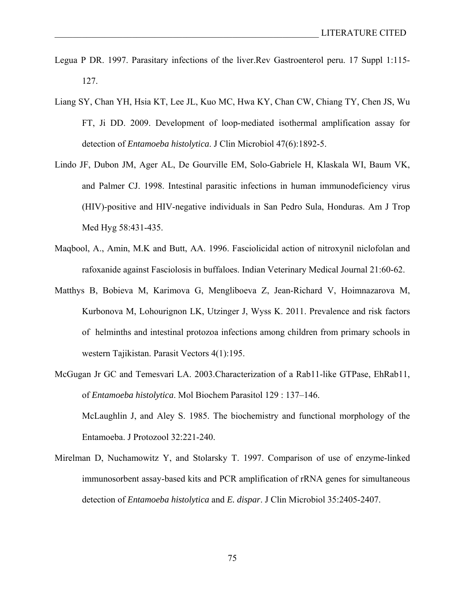- Legua P DR. 1997. Parasitary infections of the liver.Rev Gastroenterol peru. 17 Suppl 1:115- 127.
- Liang SY, Chan YH, Hsia KT, Lee JL, Kuo MC, Hwa KY, Chan CW, Chiang TY, Chen JS, Wu FT, Ji DD. 2009. Development of loop-mediated isothermal amplification assay for detection of *Entamoeba histolytica*. J Clin Microbiol 47(6):1892-5.
- Lindo JF, Dubon JM, Ager AL, De Gourville EM, Solo-Gabriele H, Klaskala WI, Baum VK, and Palmer CJ. 1998. Intestinal parasitic infections in human immunodeficiency virus (HIV)-positive and HIV-negative individuals in San Pedro Sula, Honduras. Am J Trop Med Hyg 58:431-435.
- Maqbool, A., Amin, M.K and Butt, AA. 1996. Fasciolicidal action of nitroxynil niclofolan and rafoxanide against Fasciolosis in buffaloes. Indian Veterinary Medical Journal 21:60-62.
- Matthys B, Bobieva M, Karimova G, Mengliboeva Z, Jean-Richard V, Hoimnazarova M, Kurbonova M, Lohourignon LK, Utzinger J, Wyss K. 2011. Prevalence and risk factors of helminths and intestinal protozoa infections among children from primary schools in western Tajikistan. Parasit Vectors 4(1):195.
- McGugan Jr GC and Temesvari LA. 2003.Characterization of a Rab11-like GTPase, EhRab11, of *Entamoeba histolytica*. Mol Biochem Parasitol 129 : 137–146. McLaughlin J, and Aley S. 1985. The biochemistry and functional morphology of the Entamoeba. J Protozool 32:221-240.
- Mirelman D, Nuchamowitz Y, and Stolarsky T. 1997. Comparison of use of enzyme-linked immunosorbent assay-based kits and PCR amplification of rRNA genes for simultaneous detection of *Entamoeba histolytica* and *E. dispar*. J Clin Microbiol 35:2405-2407.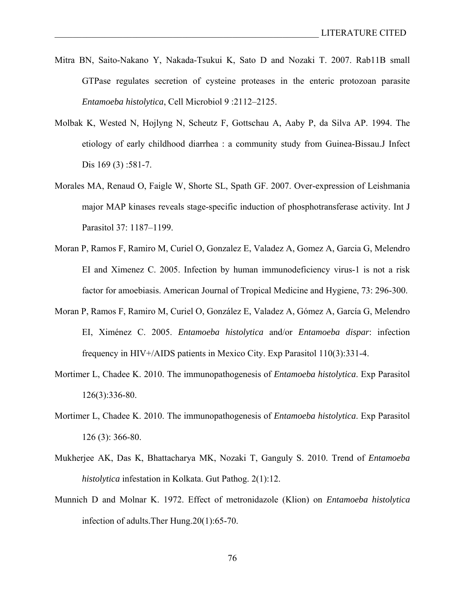- Mitra BN, Saito-Nakano Y, Nakada-Tsukui K, Sato D and Nozaki T. 2007. Rab11B small GTPase regulates secretion of cysteine proteases in the enteric protozoan parasite *Entamoeba histolytica*, Cell Microbiol 9 :2112–2125.
- Molbak K, Wested N, Hojlyng N, Scheutz F, Gottschau A, Aaby P, da Silva AP. 1994. The etiology of early childhood diarrhea : a community study from Guinea-Bissau.J Infect Dis 169 (3) :581-7.
- Morales MA, Renaud O, Faigle W, Shorte SL, Spath GF. 2007. Over-expression of Leishmania major MAP kinases reveals stage-specific induction of phosphotransferase activity. Int J Parasitol 37: 1187–1199.
- Moran P, Ramos F, Ramiro M, Curiel O, Gonzalez E, Valadez A, Gomez A, Garcia G, Melendro EI and Ximenez C. 2005. Infection by human immunodeficiency virus-1 is not a risk factor for amoebiasis. American Journal of Tropical Medicine and Hygiene, 73: 296-300.
- Moran P, Ramos F, Ramiro M, Curiel O, González E, Valadez A, Gómez A, García G, Melendro EI, Ximénez C. 2005. *Entamoeba histolytica* and/or *Entamoeba dispar*: infection frequency in HIV+/AIDS patients in Mexico City. Exp Parasitol 110(3):331-4.
- Mortimer L, Chadee K. 2010. The immunopathogenesis of *Entamoeba histolytica*. Exp Parasitol 126(3):336-80.
- Mortimer L, Chadee K. 2010. The immunopathogenesis of *Entamoeba histolytica*. Exp Parasitol 126 (3): 366-80.
- Mukherjee AK, Das K, Bhattacharya MK, Nozaki T, Ganguly S. 2010. Trend of *Entamoeba histolytica* infestation in Kolkata. Gut Pathog. 2(1):12.
- Munnich D and Molnar K. 1972. Effect of metronidazole (Klion) on *Entamoeba histolytica*  infection of adults.Ther Hung.20(1):65-70.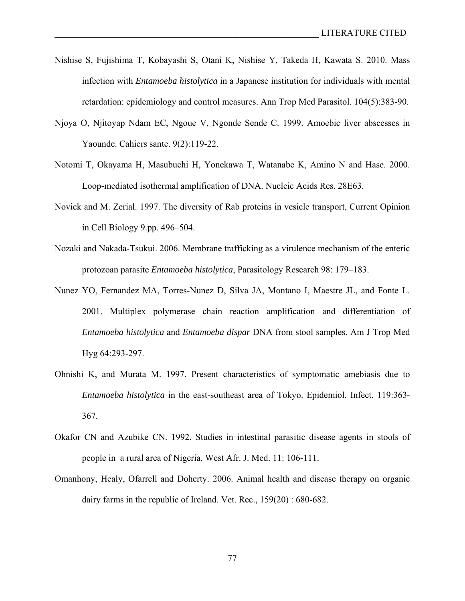- Nishise S, Fujishima T, Kobayashi S, Otani K, Nishise Y, Takeda H, Kawata S. 2010. Mass infection with *Entamoeba histolytica* in a Japanese institution for individuals with mental retardation: epidemiology and control measures. Ann Trop Med Parasitol. 104(5):383-90.
- Njoya O, Njitoyap Ndam EC, Ngoue V, Ngonde Sende C. 1999. Amoebic liver abscesses in Yaounde. Cahiers sante. 9(2):119-22.
- Notomi T, Okayama H, Masubuchi H, Yonekawa T, Watanabe K, Amino N and Hase. 2000. Loop-mediated isothermal amplification of DNA. Nucleic Acids Res. 28E63.
- Novick and M. Zerial. 1997. The diversity of Rab proteins in vesicle transport, Current Opinion in Cell Biology 9.pp. 496–504.
- Nozaki and Nakada-Tsukui. 2006. Membrane trafficking as a virulence mechanism of the enteric protozoan parasite *Entamoeba histolytica*, Parasitology Research 98: 179–183.
- Nunez YO, Fernandez MA, Torres-Nunez D, Silva JA, Montano I, Maestre JL, and Fonte L. 2001. Multiplex polymerase chain reaction amplification and differentiation of *Entamoeba histolytica* and *Entamoeba dispar* DNA from stool samples. Am J Trop Med Hyg 64:293-297.
- Ohnishi K, and Murata M. 1997. Present characteristics of symptomatic amebiasis due to *Entamoeba histolytica* in the east-southeast area of Tokyo. Epidemiol. Infect. 119:363- 367.
- Okafor CN and Azubike CN. 1992. Studies in intestinal parasitic disease agents in stools of people in a rural area of Nigeria. West Afr. J. Med. 11: 106-111.
- Omanhony, Healy, Ofarrell and Doherty. 2006. Animal health and disease therapy on organic dairy farms in the republic of Ireland. Vet. Rec., 159(20) : 680-682.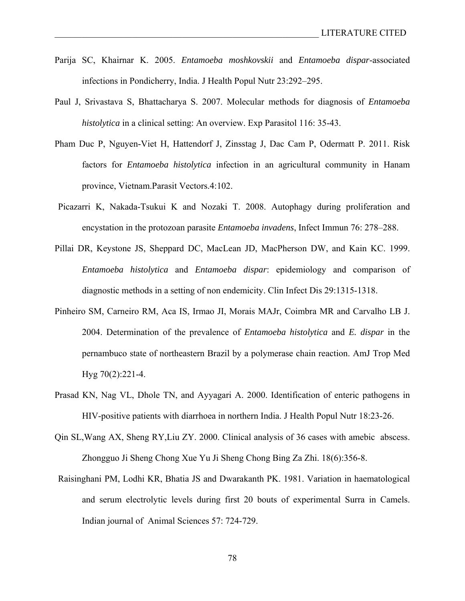- Parija SC, Khairnar K. 2005. *Entamoeba moshkovskii* and *Entamoeba dispar*-associated infections in Pondicherry, India. J Health Popul Nutr 23:292–295.
- Paul J, Srivastava S, Bhattacharya S. 2007. Molecular methods for diagnosis of *Entamoeba histolytica* in a clinical setting: An overview. Exp Parasitol 116: 35-43.
- Pham Duc P, Nguyen-Viet H, Hattendorf J, Zinsstag J, Dac Cam P, Odermatt P. 2011. Risk factors for *Entamoeba histolytica* infection in an agricultural community in Hanam province, Vietnam.Parasit Vectors.4:102.
- Picazarri K, Nakada-Tsukui K and Nozaki T. 2008. Autophagy during proliferation and encystation in the protozoan parasite *Entamoeba invadens*, Infect Immun 76: 278–288.
- Pillai DR, Keystone JS, Sheppard DC, MacLean JD, MacPherson DW, and Kain KC. 1999. *Entamoeba histolytica* and *Entamoeba dispar*: epidemiology and comparison of diagnostic methods in a setting of non endemicity. Clin Infect Dis 29:1315-1318.
- Pinheiro SM, Carneiro RM, Aca IS, Irmao JI, Morais MAJr, Coimbra MR and Carvalho LB J. 2004. Determination of the prevalence of *Entamoeba histolytica* and *E. dispar* in the pernambuco state of northeastern Brazil by a polymerase chain reaction. AmJ Trop Med Hyg 70(2):221-4.
- Prasad KN, Nag VL, Dhole TN, and Ayyagari A. 2000. Identification of enteric pathogens in HIV-positive patients with diarrhoea in northern India. J Health Popul Nutr 18:23-26.
- Qin SL,Wang AX, Sheng RY,Liu ZY. 2000. Clinical analysis of 36 cases with amebic abscess. Zhongguo Ji Sheng Chong Xue Yu Ji Sheng Chong Bing Za Zhi. 18(6):356-8.
- Raisinghani PM, Lodhi KR, Bhatia JS and Dwarakanth PK. 1981. Variation in haematological and serum electrolytic levels during first 20 bouts of experimental Surra in Camels. Indian journal of Animal Sciences 57: 724-729.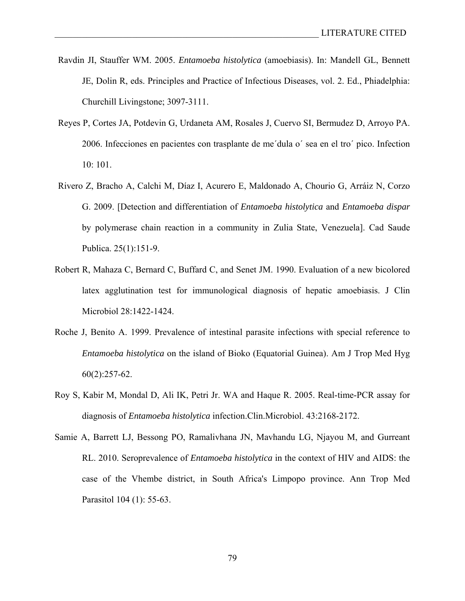- Ravdin JI, Stauffer WM. 2005. *Entamoeba histolytica* (amoebiasis). In: Mandell GL, Bennett JE, Dolin R, eds. Principles and Practice of Infectious Diseases, vol. 2. Ed., Phiadelphia: Churchill Livingstone; 3097-3111.
- Reyes P, Cortes JA, Potdevin G, Urdaneta AM, Rosales J, Cuervo SI, Bermudez D, Arroyo PA. 2006. Infecciones en pacientes con trasplante de me´dula o´ sea en el tro´ pico. Infection 10: 101.
- Rivero Z, Bracho A, Calchi M, Díaz I, Acurero E, Maldonado A, Chourio G, Arráiz N, Corzo G. 2009. [Detection and differentiation of *Entamoeba histolytica* and *Entamoeba dispar*  by polymerase chain reaction in a community in Zulia State, Venezuela]. Cad Saude Publica. 25(1):151-9.
- Robert R, Mahaza C, Bernard C, Buffard C, and Senet JM. 1990. Evaluation of a new bicolored latex agglutination test for immunological diagnosis of hepatic amoebiasis. J Clin Microbiol 28:1422-1424.
- Roche J, Benito A. 1999. Prevalence of intestinal parasite infections with special reference to *Entamoeba histolytica* on the island of Bioko (Equatorial Guinea). Am J Trop Med Hyg 60(2):257-62.
- Roy S, Kabir M, Mondal D, Ali IK, Petri Jr. WA and Haque R. 2005. Real-time-PCR assay for diagnosis of *Entamoeba histolytica* infection.Clin.Microbiol. 43:2168-2172.
- Samie A, Barrett LJ, Bessong PO, Ramalivhana JN, Mavhandu LG, Njayou M, and Gurreant RL. 2010. Seroprevalence of *Entamoeba histolytica* in the context of HIV and AIDS: the case of the Vhembe district, in South Africa's Limpopo province. Ann Trop Med Parasitol 104 (1): 55-63.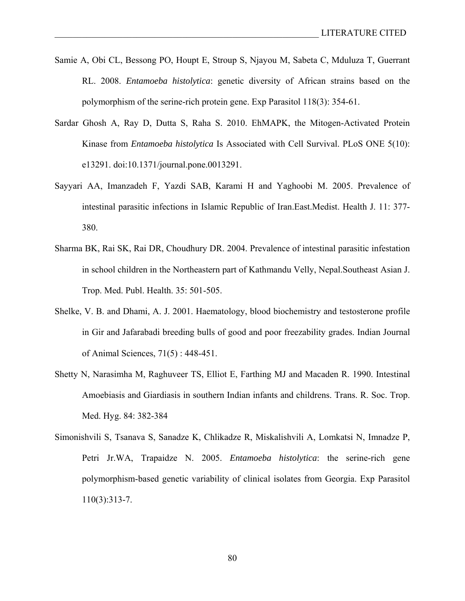- Samie A, Obi CL, Bessong PO, Houpt E, Stroup S, Njayou M, Sabeta C, Mduluza T, Guerrant RL. 2008. *Entamoeba histolytica*: genetic diversity of African strains based on the polymorphism of the serine-rich protein gene. Exp Parasitol 118(3): 354-61.
- Sardar Ghosh A, Ray D, Dutta S, Raha S. 2010. EhMAPK, the Mitogen-Activated Protein Kinase from *Entamoeba histolytica* Is Associated with Cell Survival. PLoS ONE 5(10): e13291. doi:10.1371/journal.pone.0013291.
- Sayyari AA, Imanzadeh F, Yazdi SAB, Karami H and Yaghoobi M. 2005. Prevalence of intestinal parasitic infections in Islamic Republic of Iran.East.Medist. Health J. 11: 377- 380.
- Sharma BK, Rai SK, Rai DR, Choudhury DR. 2004. Prevalence of intestinal parasitic infestation in school children in the Northeastern part of Kathmandu Velly, Nepal.Southeast Asian J. Trop. Med. Publ. Health. 35: 501-505.
- Shelke, V. B. and Dhami, A. J. 2001. Haematology, blood biochemistry and testosterone profile in Gir and Jafarabadi breeding bulls of good and poor freezability grades. Indian Journal of Animal Sciences, 71(5) : 448-451.
- Shetty N, Narasimha M, Raghuveer TS, Elliot E, Farthing MJ and Macaden R. 1990. Intestinal Amoebiasis and Giardiasis in southern Indian infants and childrens. Trans. R. Soc. Trop. Med. Hyg. 84: 382-384
- Simonishvili S, Tsanava S, Sanadze K, Chlikadze R, Miskalishvili A, Lomkatsi N, Imnadze P, Petri Jr.WA, Trapaidze N. 2005. *Entamoeba histolytica*: the serine-rich gene polymorphism-based genetic variability of clinical isolates from Georgia. Exp Parasitol 110(3):313-7.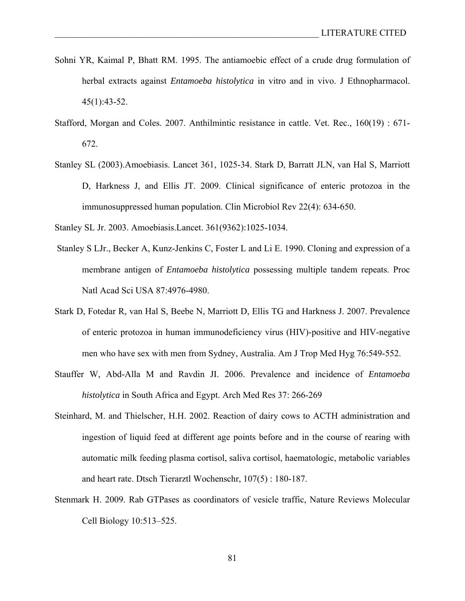- Sohni YR, Kaimal P, Bhatt RM. 1995. The antiamoebic effect of a crude drug formulation of herbal extracts against *Entamoeba histolytica* in vitro and in vivo. J Ethnopharmacol. 45(1):43-52.
- Stafford, Morgan and Coles. 2007. Anthilmintic resistance in cattle. Vet. Rec., 160(19) : 671- 672.
- Stanley SL (2003).Amoebiasis. Lancet 361, 1025-34. Stark D, Barratt JLN, van Hal S, Marriott D, Harkness J, and Ellis JT. 2009. Clinical significance of enteric protozoa in the immunosuppressed human population. Clin Microbiol Rev 22(4): 634-650.
- Stanley SL Jr. 2003. Amoebiasis.Lancet. 361(9362):1025-1034.
- Stanley S LJr., Becker A, Kunz-Jenkins C, Foster L and Li E. 1990. Cloning and expression of a membrane antigen of *Entamoeba histolytica* possessing multiple tandem repeats. Proc Natl Acad Sci USA 87:4976-4980.
- Stark D, Fotedar R, van Hal S, Beebe N, Marriott D, Ellis TG and Harkness J. 2007. Prevalence of enteric protozoa in human immunodeficiency virus (HIV)-positive and HIV-negative men who have sex with men from Sydney, Australia. Am J Trop Med Hyg 76:549-552.
- Stauffer W, Abd-Alla M and Ravdin JI. 2006. Prevalence and incidence of *Entamoeba histolytica* in South Africa and Egypt. Arch Med Res 37: 266-269
- Steinhard, M. and Thielscher, H.H. 2002. Reaction of dairy cows to ACTH administration and ingestion of liquid feed at different age points before and in the course of rearing with automatic milk feeding plasma cortisol, saliva cortisol, haematologic, metabolic variables and heart rate. Dtsch Tierarztl Wochenschr, 107(5) : 180-187.
- Stenmark H. 2009. Rab GTPases as coordinators of vesicle traffic, Nature Reviews Molecular Cell Biology 10:513–525.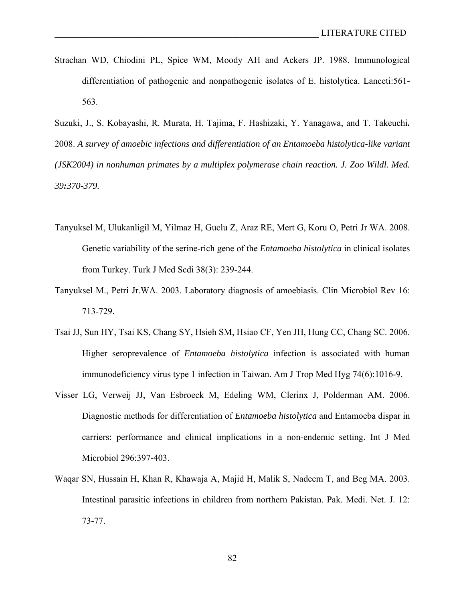Strachan WD, Chiodini PL, Spice WM, Moody AH and Ackers JP. 1988. Immunological differentiation of pathogenic and nonpathogenic isolates of E. histolytica. Lanceti:561- 563.

Suzuki, J., S. Kobayashi, R. Murata, H. Tajima, F. Hashizaki, Y. Yanagawa, and T. Takeuchi*.* 2008. *A survey of amoebic infections and differentiation of an Entamoeba histolytica-like variant (JSK2004) in nonhuman primates by a multiplex polymerase chain reaction. J. Zoo Wildl. Med. 39:370-379.*

- Tanyuksel M, Ulukanligil M, Yilmaz H, Guclu Z, Araz RE, Mert G, Koru O, Petri Jr WA. 2008. Genetic variability of the serine-rich gene of the *Entamoeba histolytica* in clinical isolates from Turkey. Turk J Med Scdi 38(3): 239-244.
- Tanyuksel M., Petri Jr.WA. 2003. Laboratory diagnosis of amoebiasis. Clin Microbiol Rev 16: 713-729.
- Tsai JJ, Sun HY, Tsai KS, Chang SY, Hsieh SM, Hsiao CF, Yen JH, Hung CC, Chang SC. 2006. Higher seroprevalence of *Entamoeba histolytica* infection is associated with human immunodeficiency virus type 1 infection in Taiwan. Am J Trop Med Hyg 74(6):1016-9.
- Visser LG, Verweij JJ, Van Esbroeck M, Edeling WM, Clerinx J, Polderman AM. 2006. Diagnostic methods for differentiation of *Entamoeba histolytica* and Entamoeba dispar in carriers: performance and clinical implications in a non-endemic setting. Int J Med Microbiol 296:397-403.
- Waqar SN, Hussain H, Khan R, Khawaja A, Majid H, Malik S, Nadeem T, and Beg MA. 2003. Intestinal parasitic infections in children from northern Pakistan. Pak. Medi. Net. J. 12: 73-77.